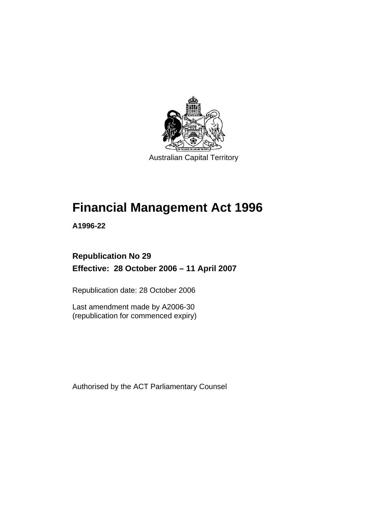

# **Financial Management Act 1996**

**A1996-22** 

## **Republication No 29 Effective: 28 October 2006 – 11 April 2007**

Republication date: 28 October 2006

Last amendment made by A2006-30 (republication for commenced expiry)

Authorised by the ACT Parliamentary Counsel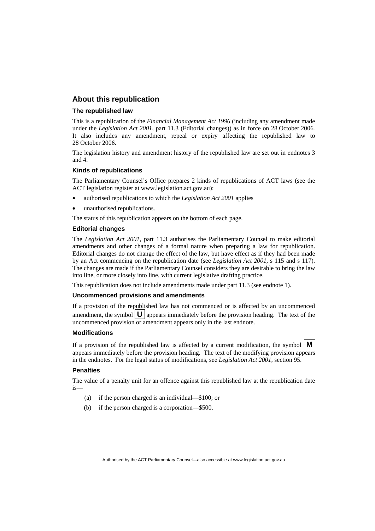#### **About this republication**

#### **The republished law**

This is a republication of the *Financial Management Act 1996* (including any amendment made under the *Legislation Act 2001*, part 11.3 (Editorial changes)) as in force on 28 October 2006*.*  It also includes any amendment, repeal or expiry affecting the republished law to 28 October 2006.

The legislation history and amendment history of the republished law are set out in endnotes 3 and 4.

#### **Kinds of republications**

The Parliamentary Counsel's Office prepares 2 kinds of republications of ACT laws (see the ACT legislation register at www.legislation.act.gov.au):

- authorised republications to which the *Legislation Act 2001* applies
- unauthorised republications.

The status of this republication appears on the bottom of each page.

#### **Editorial changes**

The *Legislation Act 2001*, part 11.3 authorises the Parliamentary Counsel to make editorial amendments and other changes of a formal nature when preparing a law for republication. Editorial changes do not change the effect of the law, but have effect as if they had been made by an Act commencing on the republication date (see *Legislation Act 2001*, s 115 and s 117). The changes are made if the Parliamentary Counsel considers they are desirable to bring the law into line, or more closely into line, with current legislative drafting practice.

This republication does not include amendments made under part 11.3 (see endnote 1).

#### **Uncommenced provisions and amendments**

If a provision of the republished law has not commenced or is affected by an uncommenced amendment, the symbol  $\mathbf{U}$  appears immediately before the provision heading. The text of the uncommenced provision or amendment appears only in the last endnote.

#### **Modifications**

If a provision of the republished law is affected by a current modification, the symbol  $\mathbf{M}$ appears immediately before the provision heading. The text of the modifying provision appears in the endnotes. For the legal status of modifications, see *Legislation Act 2001*, section 95.

#### **Penalties**

The value of a penalty unit for an offence against this republished law at the republication date is—

- (a) if the person charged is an individual—\$100; or
- (b) if the person charged is a corporation—\$500.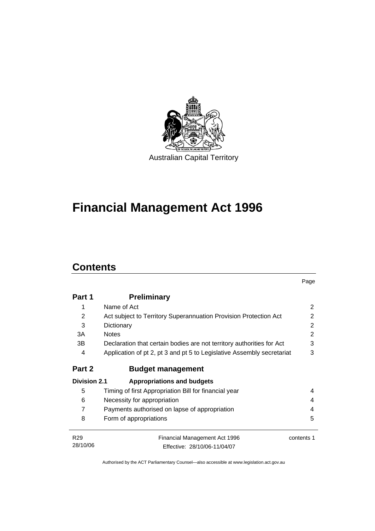

# **Financial Management Act 1996**

## **Contents**

|                     |                                                                        | Page       |  |
|---------------------|------------------------------------------------------------------------|------------|--|
| Part 1              | <b>Preliminary</b>                                                     |            |  |
| 1                   | Name of Act                                                            | 2          |  |
| 2                   | Act subject to Territory Superannuation Provision Protection Act       | 2          |  |
| 3                   | Dictionary                                                             | 2          |  |
| 3A                  | <b>Notes</b>                                                           | 2          |  |
| 3B                  | Declaration that certain bodies are not territory authorities for Act  | 3          |  |
| 4                   | Application of pt 2, pt 3 and pt 5 to Legislative Assembly secretariat | 3          |  |
| Part 2              | <b>Budget management</b>                                               |            |  |
| <b>Division 2.1</b> | <b>Appropriations and budgets</b>                                      |            |  |
| 5                   | Timing of first Appropriation Bill for financial year                  | 4          |  |
| 6                   | Necessity for appropriation                                            | 4          |  |
| 7                   | Payments authorised on lapse of appropriation                          |            |  |
| 8                   | Form of appropriations                                                 | 5          |  |
| R <sub>29</sub>     | <b>Financial Management Act 1996</b>                                   | contents 1 |  |
| 28/10/06            | Effective: 28/10/06-11/04/07                                           |            |  |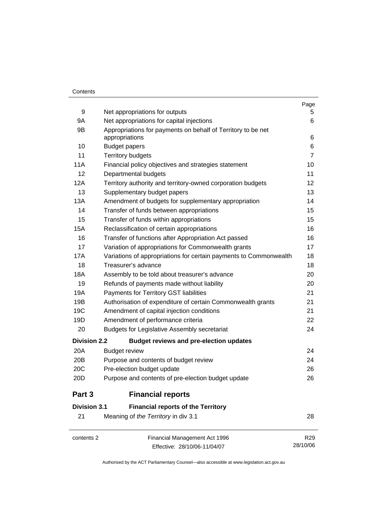#### **Contents**

|                     |                                                                                | Page            |
|---------------------|--------------------------------------------------------------------------------|-----------------|
| 9                   | Net appropriations for outputs                                                 | 5               |
| 9A                  | Net appropriations for capital injections                                      | 6               |
| 9B                  | Appropriations for payments on behalf of Territory to be net<br>appropriations | 6               |
| 10                  | <b>Budget papers</b>                                                           | 6               |
| 11                  | <b>Territory budgets</b>                                                       | $\overline{7}$  |
| 11A                 | Financial policy objectives and strategies statement                           | 10              |
| 12                  | Departmental budgets                                                           | 11              |
| 12A                 | Territory authority and territory-owned corporation budgets                    | 12              |
| 13                  | Supplementary budget papers                                                    | 13              |
| 13A                 | Amendment of budgets for supplementary appropriation                           | 14              |
| 14                  | Transfer of funds between appropriations                                       | 15              |
| 15                  | Transfer of funds within appropriations                                        | 15              |
| 15A                 | Reclassification of certain appropriations                                     | 16              |
| 16                  | Transfer of functions after Appropriation Act passed                           | 16              |
| 17                  | Variation of appropriations for Commonwealth grants                            | 17              |
| 17A                 | Variations of appropriations for certain payments to Commonwealth              | 18              |
| 18                  | Treasurer's advance                                                            | 18              |
| 18A                 | Assembly to be told about treasurer's advance                                  | 20              |
| 19                  | Refunds of payments made without liability                                     | 20              |
| 19A                 | Payments for Territory GST liabilities                                         | 21              |
| 19B                 | Authorisation of expenditure of certain Commonwealth grants                    | 21              |
| 19C                 | Amendment of capital injection conditions                                      | 21              |
| 19D                 | Amendment of performance criteria                                              | 22              |
| 20                  | <b>Budgets for Legislative Assembly secretariat</b>                            | 24              |
| <b>Division 2.2</b> | <b>Budget reviews and pre-election updates</b>                                 |                 |
| 20A                 | <b>Budget review</b>                                                           | 24              |
| 20 <sub>B</sub>     | Purpose and contents of budget review                                          | 24              |
| 20C                 | Pre-election budget update                                                     | 26              |
| 20D                 | Purpose and contents of pre-election budget update                             | 26              |
| Part 3              | <b>Financial reports</b>                                                       |                 |
| <b>Division 3.1</b> | <b>Financial reports of the Territory</b>                                      |                 |
| 21                  | Meaning of the Territory in div 3.1                                            | 28              |
| contents 2          | Financial Management Act 1996                                                  | R <sub>29</sub> |
|                     | Effective: 28/10/06-11/04/07                                                   | 28/10/06        |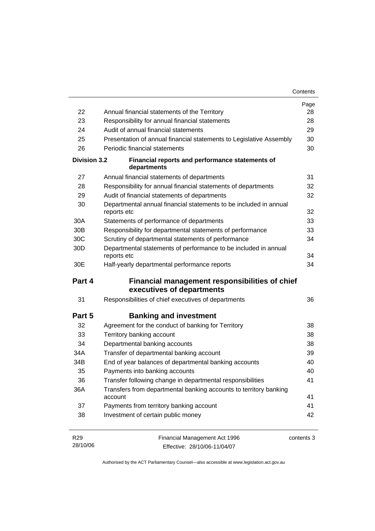|                                                                                       |                                                                                  | Contents |
|---------------------------------------------------------------------------------------|----------------------------------------------------------------------------------|----------|
|                                                                                       |                                                                                  | Page     |
| 22                                                                                    | Annual financial statements of the Territory                                     | 28       |
| 23                                                                                    | Responsibility for annual financial statements                                   | 28       |
| 24                                                                                    | Audit of annual financial statements                                             | 29       |
| 25                                                                                    | Presentation of annual financial statements to Legislative Assembly              | 30       |
| 26                                                                                    | Periodic financial statements                                                    | 30       |
| <b>Division 3.2</b>                                                                   | Financial reports and performance statements of<br>departments                   |          |
| 27                                                                                    | Annual financial statements of departments                                       | 31       |
| 28                                                                                    | Responsibility for annual financial statements of departments                    | 32       |
| 29                                                                                    | Audit of financial statements of departments                                     | 32       |
| 30                                                                                    | Departmental annual financial statements to be included in annual<br>reports etc | 32       |
| 30A                                                                                   | Statements of performance of departments                                         | 33       |
| 30 <sub>B</sub>                                                                       | Responsibility for departmental statements of performance                        | 33       |
| 30C                                                                                   | Scrutiny of departmental statements of performance                               | 34       |
| 30D                                                                                   | Departmental statements of performance to be included in annual<br>reports etc   | 34       |
| 30E                                                                                   | Half-yearly departmental performance reports                                     | 34       |
| Part 4<br>Financial management responsibilities of chief<br>executives of departments |                                                                                  |          |
| 31                                                                                    | Responsibilities of chief executives of departments                              | 36       |
| Part 5                                                                                | <b>Banking and investment</b>                                                    |          |
| 32                                                                                    | Agreement for the conduct of banking for Territory                               | 38       |
| 33                                                                                    | Territory banking account                                                        | 38       |
| 34                                                                                    | Departmental banking accounts                                                    | 38       |
| 34A                                                                                   | Transfer of departmental banking account                                         | 39       |
| 34B                                                                                   | End of year balances of departmental banking accounts                            | 40       |
| 35                                                                                    | Payments into banking accounts                                                   | 40       |
| 36                                                                                    | Transfer following change in departmental responsibilities                       | 41       |
| 36A                                                                                   | Transfers from departmental banking accounts to territory banking<br>account     | 41       |
| 37                                                                                    | Payments from territory banking account                                          | 41       |
| 38                                                                                    | Investment of certain public money                                               | 42       |
|                                                                                       |                                                                                  |          |

R29 28/10/06 Financial Management Act 1996 Effective: 28/10/06-11/04/07 contents 3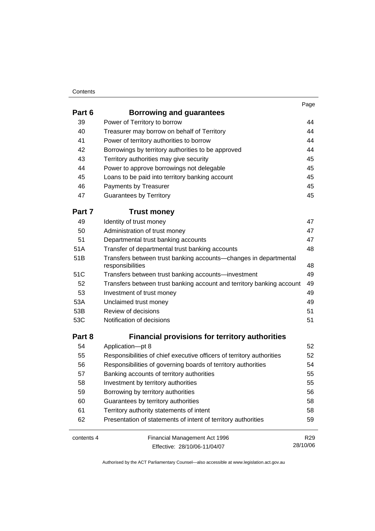#### **Contents**

| Part 6     | Borrowing and guarantees                                                             |                 |
|------------|--------------------------------------------------------------------------------------|-----------------|
| 39         | Power of Territory to borrow                                                         | 44              |
| 40         | Treasurer may borrow on behalf of Territory                                          | 44              |
| 41         | Power of territory authorities to borrow                                             | 44              |
| 42         | Borrowings by territory authorities to be approved                                   | 44              |
| 43         | Territory authorities may give security                                              | 45              |
| 44         | Power to approve borrowings not delegable                                            | 45              |
| 45         | Loans to be paid into territory banking account                                      | 45              |
| 46         | Payments by Treasurer                                                                | 45              |
| 47         | <b>Guarantees by Territory</b>                                                       | 45              |
| Part 7     | <b>Trust money</b>                                                                   |                 |
| 49         | Identity of trust money                                                              | 47              |
| 50         | Administration of trust money                                                        | 47              |
| 51         | Departmental trust banking accounts                                                  | 47              |
| 51A        | Transfer of departmental trust banking accounts                                      | 48              |
| 51B        | Transfers between trust banking accounts-changes in departmental<br>responsibilities | 48              |
| 51C        | Transfers between trust banking accounts-investment                                  | 49              |
| 52         | Transfers between trust banking account and territory banking account                | 49              |
| 53         | Investment of trust money                                                            | 49              |
| 53A        | Unclaimed trust money                                                                | 49              |
| 53B        | Review of decisions                                                                  | 51              |
| 53C        | Notification of decisions                                                            | 51              |
| Part 8     | <b>Financial provisions for territory authorities</b>                                |                 |
| 54         | Application-pt 8                                                                     | 52              |
| 55         | Responsibilities of chief executive officers of territory authorities                | 52              |
| 56         | Responsibilities of governing boards of territory authorities                        | 54              |
| 57         | Banking accounts of territory authorities                                            | 55              |
| 58         | Investment by territory authorities                                                  | 55              |
| 59         | Borrowing by territory authorities                                                   | 56              |
| 60         | Guarantees by territory authorities                                                  | 58              |
| 61         | Territory authority statements of intent                                             | 58              |
| 62         | Presentation of statements of intent of territory authorities                        | 59              |
| contents 4 | Financial Management Act 1996                                                        | R <sub>29</sub> |
|            | Effective: 28/10/06-11/04/07                                                         | 28/10/06        |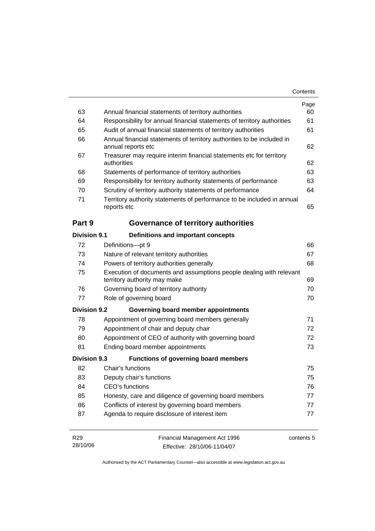|                     |                                                                                                     | Page       |
|---------------------|-----------------------------------------------------------------------------------------------------|------------|
| 63                  | Annual financial statements of territory authorities                                                | 60         |
| 64                  | Responsibility for annual financial statements of territory authorities                             | 61         |
| 65                  | Audit of annual financial statements of territory authorities                                       | 61         |
| 66                  | Annual financial statements of territory authorities to be included in<br>annual reports etc        | 62         |
| 67                  | Treasurer may require interim financial statements etc for territory<br>authorities                 | 62         |
| 68                  | Statements of performance of territory authorities                                                  | 63         |
| 69                  | Responsibility for territory authority statements of performance                                    | 63         |
| 70                  | Scrutiny of territory authority statements of performance                                           | 64         |
| 71                  | Territory authority statements of performance to be included in annual<br>reports etc               | 65         |
| Part 9              | <b>Governance of territory authorities</b>                                                          |            |
| <b>Division 9.1</b> | <b>Definitions and important concepts</b>                                                           |            |
| 72                  | Definitions-pt 9                                                                                    | 66         |
| 73                  | Nature of relevant territory authorities                                                            | 67         |
| 74                  | Powers of territory authorities generally                                                           | 68         |
| 75                  | Execution of documents and assumptions people dealing with relevant<br>territory authority may make | 69         |
| 76                  | Governing board of territory authority                                                              | 70         |
| 77                  | Role of governing board                                                                             | 70         |
| <b>Division 9.2</b> | Governing board member appointments                                                                 |            |
| 78                  | Appointment of governing board members generally                                                    | 71         |
| 79                  | Appointment of chair and deputy chair                                                               | 72         |
| 80                  | Appointment of CEO of authority with governing board                                                | 72         |
| 81                  | Ending board member appointments                                                                    | 73         |
| <b>Division 9.3</b> | <b>Functions of governing board members</b>                                                         |            |
| 82                  | Chair's functions                                                                                   | 75         |
| 83                  | Deputy chair's functions                                                                            | 75         |
| 84                  | <b>CEO's functions</b>                                                                              | 76         |
| 85                  | Honesty, care and diligence of governing board members                                              | 77         |
| 86                  | Conflicts of interest by governing board members                                                    | 77         |
| 87                  | Agenda to require disclosure of interest item                                                       | 77         |
| R <sub>29</sub>     | Financial Management Act 1996                                                                       | contents 5 |

| R <sub>29</sub> | Financial Management Act 1996 | contents |
|-----------------|-------------------------------|----------|
| 28/10/06        | Effective: 28/10/06-11/04/07  |          |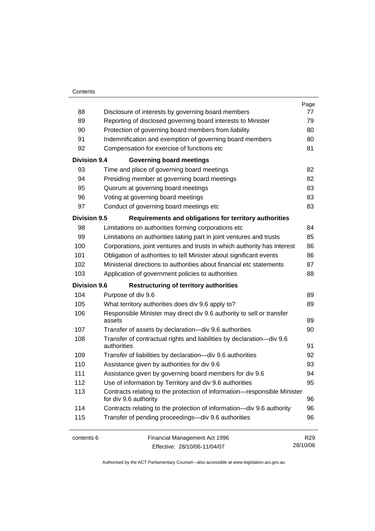#### **Contents**

|                     |                                                                                                   | Page            |
|---------------------|---------------------------------------------------------------------------------------------------|-----------------|
| 88                  | Disclosure of interests by governing board members                                                | 77              |
| 89                  | Reporting of disclosed governing board interests to Minister                                      | 79              |
| 90                  | Protection of governing board members from liability                                              | 80              |
| 91                  | Indemnification and exemption of governing board members                                          | 80              |
| 92                  | Compensation for exercise of functions etc                                                        | 81              |
| <b>Division 9.4</b> | <b>Governing board meetings</b>                                                                   |                 |
| 93                  | Time and place of governing board meetings                                                        | 82              |
| 94                  | Presiding member at governing board meetings                                                      | 82              |
| 95                  | Quorum at governing board meetings                                                                | 83              |
| 96                  | Voting at governing board meetings                                                                | 83              |
| 97                  | Conduct of governing board meetings etc                                                           | 83              |
| <b>Division 9.5</b> | Requirements and obligations for territory authorities                                            |                 |
| 98                  | Limitations on authorities forming corporations etc                                               | 84              |
| 99                  | Limitations on authorities taking part in joint ventures and trusts                               | 85              |
| 100                 | Corporations, joint ventures and trusts in which authority has interest                           | 86              |
| 101                 | Obligation of authorities to tell Minister about significant events                               | 86              |
| 102                 | Ministerial directions to authorities about financial etc statements                              | 87              |
| 103                 | Application of government policies to authorities                                                 | 88              |
| <b>Division 9.6</b> | <b>Restructuring of territory authorities</b>                                                     |                 |
| 104                 | Purpose of div 9.6                                                                                | 89              |
| 105                 | What territory authorities does div 9.6 apply to?                                                 | 89              |
| 106                 | Responsible Minister may direct div 9.6 authority to sell or transfer<br>assets                   | 89              |
| 107                 | Transfer of assets by declaration-div 9.6 authorities                                             | 90              |
| 108                 | Transfer of contractual rights and liabilities by declaration-div 9.6                             |                 |
|                     | authorities                                                                                       | 91              |
| 109                 | Transfer of liabilities by declaration-div 9.6 authorities                                        | 92              |
| 110                 | Assistance given by authorities for div 9.6                                                       | 93              |
| 111                 | Assistance given by governing board members for div 9.6                                           | 94              |
| 112                 | Use of information by Territory and div 9.6 authorities                                           | 95              |
| 113                 | Contracts relating to the protection of information-responsible Minister<br>for div 9.6 authority | 96              |
| 114                 | Contracts relating to the protection of information—div 9.6 authority                             | 96              |
| 115                 | Transfer of pending proceedings-div 9.6 authorities                                               | 96              |
| contents 6          | Financial Management Act 1996                                                                     | R <sub>29</sub> |
|                     | Effective: 28/10/06-11/04/07                                                                      | 28/10/06        |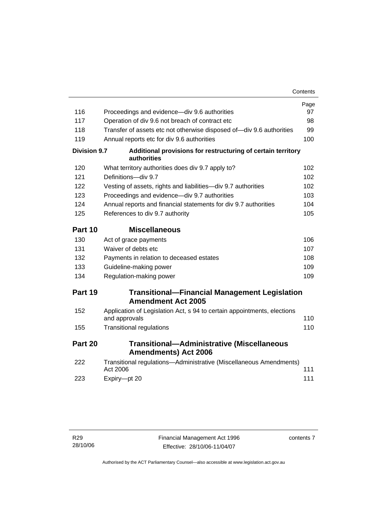|                     |                                                                                          | Contents |
|---------------------|------------------------------------------------------------------------------------------|----------|
|                     |                                                                                          | Page     |
| 116                 | Proceedings and evidence—div 9.6 authorities                                             | 97       |
| 117                 | Operation of div 9.6 not breach of contract etc                                          | 98       |
| 118                 | Transfer of assets etc not otherwise disposed of-div 9.6 authorities                     | 99       |
| 119                 | Annual reports etc for div 9.6 authorities                                               | 100      |
| <b>Division 9.7</b> | Additional provisions for restructuring of certain territory<br>authorities              |          |
| 120                 | What territory authorities does div 9.7 apply to?                                        | 102      |
| 121                 | Definitions-div 9.7                                                                      | 102      |
| 122                 | Vesting of assets, rights and liabilities-div 9.7 authorities                            | 102      |
| 123                 | Proceedings and evidence-div 9.7 authorities                                             | 103      |
| 124                 | Annual reports and financial statements for div 9.7 authorities                          | 104      |
| 125                 | References to div 9.7 authority                                                          | 105      |
| Part 10             | <b>Miscellaneous</b>                                                                     |          |
| 130                 | Act of grace payments                                                                    | 106      |
| 131                 | Waiver of debts etc                                                                      | 107      |
| 132                 | Payments in relation to deceased estates                                                 | 108      |
| 133                 | Guideline-making power                                                                   | 109      |
| 134                 | Regulation-making power                                                                  | 109      |
| Part 19             | <b>Transitional-Financial Management Legislation</b><br><b>Amendment Act 2005</b>        |          |
| 152                 | Application of Legislation Act, s 94 to certain appointments, elections<br>and approvals | 110      |
| 155                 | <b>Transitional regulations</b>                                                          | 110      |
| Part 20             | <b>Transitional-Administrative (Miscellaneous</b><br><b>Amendments) Act 2006</b>         |          |
| 222                 | Transitional regulations-Administrative (Miscellaneous Amendments)<br>Act 2006           | 111      |
| 223                 | Expiry-pt 20                                                                             | 111      |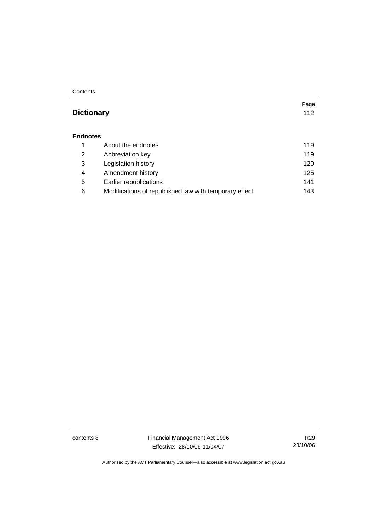**Contents** 

#### **Dictionary** 112

#### **Endnotes**

|   | About the endnotes                                     | 119  |
|---|--------------------------------------------------------|------|
| 2 | Abbreviation key                                       | 119  |
| 3 | Legislation history                                    | 120  |
| 4 | Amendment history                                      | 125  |
| 5 | Earlier republications                                 | 141  |
| 6 | Modifications of republished law with temporary effect | 143. |

contents 8 Financial Management Act 1996 Effective: 28/10/06-11/04/07

R29 28/10/06

Page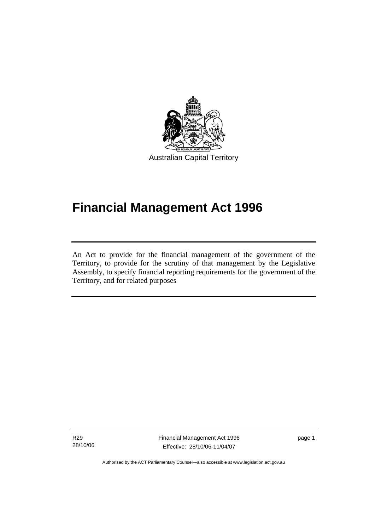

# **Financial Management Act 1996**

An Act to provide for the financial management of the government of the Territory, to provide for the scrutiny of that management by the Legislative Assembly, to specify financial reporting requirements for the government of the Territory, and for related purposes

R29 28/10/06

l

Financial Management Act 1996 Effective: 28/10/06-11/04/07

page 1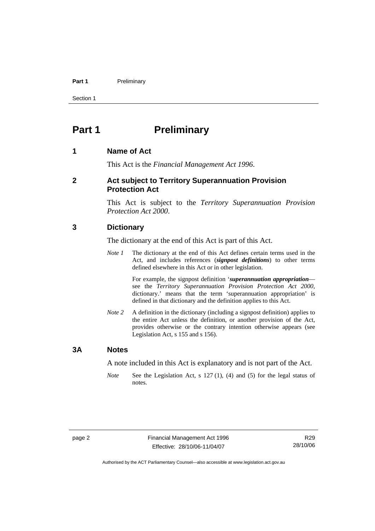#### Part 1 **Preliminary**

Section 1

### **Part 1** Preliminary

#### **1 Name of Act**

This Act is the *Financial Management Act 1996*.

#### **2 Act subject to Territory Superannuation Provision Protection Act**

This Act is subject to the *Territory Superannuation Provision Protection Act 2000*.

#### **3 Dictionary**

The dictionary at the end of this Act is part of this Act.

*Note 1* The dictionary at the end of this Act defines certain terms used in the Act, and includes references (*signpost definitions*) to other terms defined elsewhere in this Act or in other legislation.

> For example, the signpost definition '*superannuation appropriation* see the *Territory Superannuation Provision Protection Act 2000*, dictionary.' means that the term 'superannuation appropriation' is defined in that dictionary and the definition applies to this Act.

*Note 2* A definition in the dictionary (including a signpost definition) applies to the entire Act unless the definition, or another provision of the Act, provides otherwise or the contrary intention otherwise appears (see Legislation Act, s 155 and s 156).

#### **3A Notes**

A note included in this Act is explanatory and is not part of the Act.

*Note* See the Legislation Act, s 127 (1), (4) and (5) for the legal status of notes.

R29 28/10/06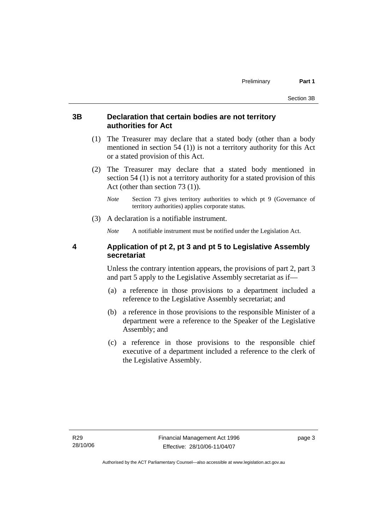#### **3B Declaration that certain bodies are not territory authorities for Act**

- (1) The Treasurer may declare that a stated body (other than a body mentioned in section 54 (1)) is not a territory authority for this Act or a stated provision of this Act.
- (2) The Treasurer may declare that a stated body mentioned in section 54 (1) is not a territory authority for a stated provision of this Act (other than section 73 (1)).
	- *Note* Section 73 gives territory authorities to which pt 9 (Governance of territory authorities) applies corporate status.
- (3) A declaration is a notifiable instrument.

*Note* A notifiable instrument must be notified under the Legislation Act.

#### **4 Application of pt 2, pt 3 and pt 5 to Legislative Assembly secretariat**

Unless the contrary intention appears, the provisions of part 2, part 3 and part 5 apply to the Legislative Assembly secretariat as if—

- (a) a reference in those provisions to a department included a reference to the Legislative Assembly secretariat; and
- (b) a reference in those provisions to the responsible Minister of a department were a reference to the Speaker of the Legislative Assembly; and
- (c) a reference in those provisions to the responsible chief executive of a department included a reference to the clerk of the Legislative Assembly.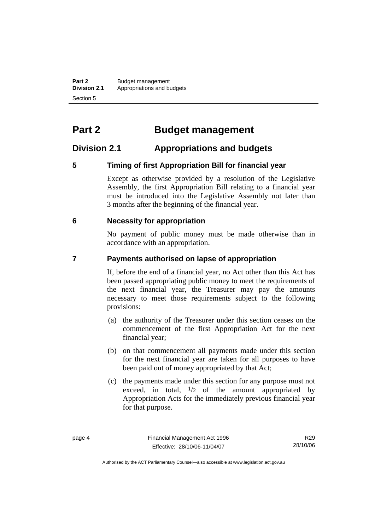**Part 2** Budget management<br>**Division 2.1** Appropriations and be **Division 2.1** Appropriations and budgets Section 5

# **Part 2 Budget management**

#### **Division 2.1 Appropriations and budgets**

#### **5 Timing of first Appropriation Bill for financial year**

Except as otherwise provided by a resolution of the Legislative Assembly, the first Appropriation Bill relating to a financial year must be introduced into the Legislative Assembly not later than 3 months after the beginning of the financial year.

#### **6 Necessity for appropriation**

No payment of public money must be made otherwise than in accordance with an appropriation.

#### **7 Payments authorised on lapse of appropriation**

If, before the end of a financial year, no Act other than this Act has been passed appropriating public money to meet the requirements of the next financial year, the Treasurer may pay the amounts necessary to meet those requirements subject to the following provisions:

- (a) the authority of the Treasurer under this section ceases on the commencement of the first Appropriation Act for the next financial year;
- (b) on that commencement all payments made under this section for the next financial year are taken for all purposes to have been paid out of money appropriated by that Act;
- (c) the payments made under this section for any purpose must not exceed, in total,  $\frac{1}{2}$  of the amount appropriated by Appropriation Acts for the immediately previous financial year for that purpose.

R29 28/10/06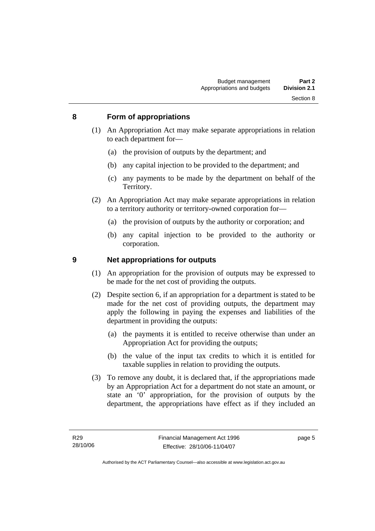#### **8 Form of appropriations**

- (1) An Appropriation Act may make separate appropriations in relation to each department for—
	- (a) the provision of outputs by the department; and
	- (b) any capital injection to be provided to the department; and
	- (c) any payments to be made by the department on behalf of the Territory.
- (2) An Appropriation Act may make separate appropriations in relation to a territory authority or territory-owned corporation for—
	- (a) the provision of outputs by the authority or corporation; and
	- (b) any capital injection to be provided to the authority or corporation.

#### **9 Net appropriations for outputs**

- (1) An appropriation for the provision of outputs may be expressed to be made for the net cost of providing the outputs.
- (2) Despite section 6, if an appropriation for a department is stated to be made for the net cost of providing outputs, the department may apply the following in paying the expenses and liabilities of the department in providing the outputs:
	- (a) the payments it is entitled to receive otherwise than under an Appropriation Act for providing the outputs;
	- (b) the value of the input tax credits to which it is entitled for taxable supplies in relation to providing the outputs.
- (3) To remove any doubt, it is declared that, if the appropriations made by an Appropriation Act for a department do not state an amount, or state an '0' appropriation, for the provision of outputs by the department, the appropriations have effect as if they included an

page 5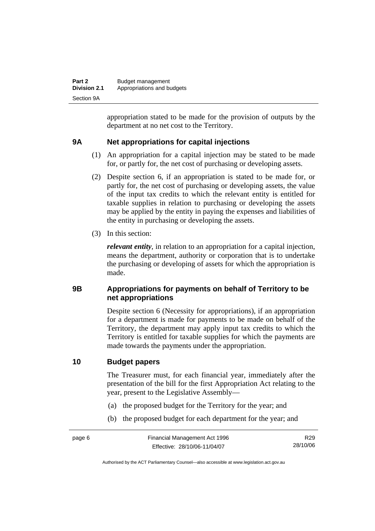| Part 2              | Budget management          |
|---------------------|----------------------------|
| <b>Division 2.1</b> | Appropriations and budgets |
| Section 9A          |                            |

appropriation stated to be made for the provision of outputs by the department at no net cost to the Territory.

#### **9A Net appropriations for capital injections**

- (1) An appropriation for a capital injection may be stated to be made for, or partly for, the net cost of purchasing or developing assets.
- (2) Despite section 6, if an appropriation is stated to be made for, or partly for, the net cost of purchasing or developing assets, the value of the input tax credits to which the relevant entity is entitled for taxable supplies in relation to purchasing or developing the assets may be applied by the entity in paying the expenses and liabilities of the entity in purchasing or developing the assets.
- (3) In this section:

*relevant entity*, in relation to an appropriation for a capital injection, means the department, authority or corporation that is to undertake the purchasing or developing of assets for which the appropriation is made.

#### **9B Appropriations for payments on behalf of Territory to be net appropriations**

Despite section 6 (Necessity for appropriations), if an appropriation for a department is made for payments to be made on behalf of the Territory, the department may apply input tax credits to which the Territory is entitled for taxable supplies for which the payments are made towards the payments under the appropriation.

#### **10 Budget papers**

The Treasurer must, for each financial year, immediately after the presentation of the bill for the first Appropriation Act relating to the year, present to the Legislative Assembly—

- (a) the proposed budget for the Territory for the year; and
- (b) the proposed budget for each department for the year; and

R29 28/10/06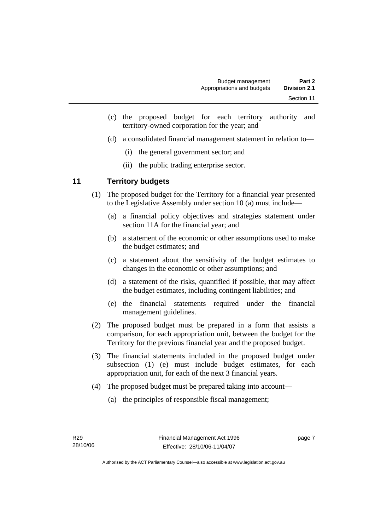- (c) the proposed budget for each territory authority and territory-owned corporation for the year; and
- (d) a consolidated financial management statement in relation to—
	- (i) the general government sector; and
	- (ii) the public trading enterprise sector.

#### **11 Territory budgets**

- (1) The proposed budget for the Territory for a financial year presented to the Legislative Assembly under section 10 (a) must include—
	- (a) a financial policy objectives and strategies statement under section 11A for the financial year; and
	- (b) a statement of the economic or other assumptions used to make the budget estimates; and
	- (c) a statement about the sensitivity of the budget estimates to changes in the economic or other assumptions; and
	- (d) a statement of the risks, quantified if possible, that may affect the budget estimates, including contingent liabilities; and
	- (e) the financial statements required under the financial management guidelines.
- (2) The proposed budget must be prepared in a form that assists a comparison, for each appropriation unit, between the budget for the Territory for the previous financial year and the proposed budget.
- (3) The financial statements included in the proposed budget under subsection (1) (e) must include budget estimates, for each appropriation unit, for each of the next 3 financial years.
- (4) The proposed budget must be prepared taking into account—
	- (a) the principles of responsible fiscal management;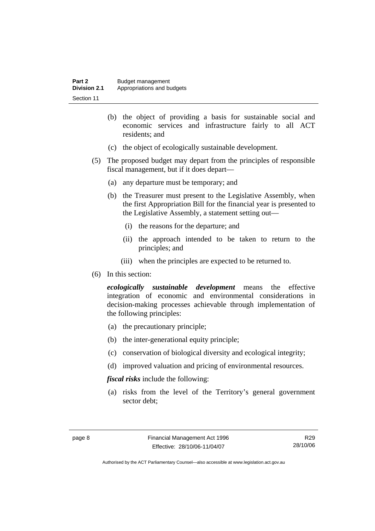| Part 2              | Budget management          |
|---------------------|----------------------------|
| <b>Division 2.1</b> | Appropriations and budgets |
| Section 11          |                            |

- (b) the object of providing a basis for sustainable social and economic services and infrastructure fairly to all ACT residents; and
- (c) the object of ecologically sustainable development.
- (5) The proposed budget may depart from the principles of responsible fiscal management, but if it does depart—
	- (a) any departure must be temporary; and
	- (b) the Treasurer must present to the Legislative Assembly, when the first Appropriation Bill for the financial year is presented to the Legislative Assembly, a statement setting out—
		- (i) the reasons for the departure; and
		- (ii) the approach intended to be taken to return to the principles; and
		- (iii) when the principles are expected to be returned to.
- (6) In this section:

*ecologically sustainable development* means the effective integration of economic and environmental considerations in decision-making processes achievable through implementation of the following principles:

- (a) the precautionary principle;
- (b) the inter-generational equity principle;
- (c) conservation of biological diversity and ecological integrity;
- (d) improved valuation and pricing of environmental resources.

*fiscal risks* include the following:

 (a) risks from the level of the Territory's general government sector debt;

R29 28/10/06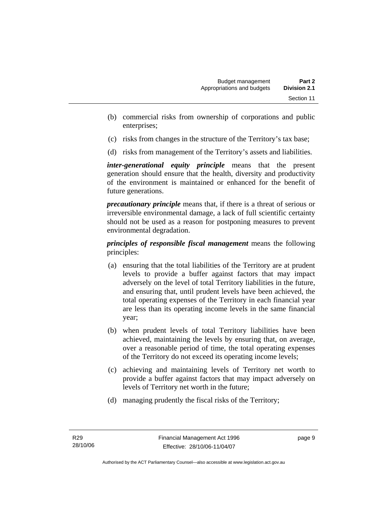- (b) commercial risks from ownership of corporations and public enterprises;
- (c) risks from changes in the structure of the Territory's tax base;
- (d) risks from management of the Territory's assets and liabilities.

*inter-generational equity principle* means that the present generation should ensure that the health, diversity and productivity of the environment is maintained or enhanced for the benefit of future generations.

*precautionary principle* means that, if there is a threat of serious or irreversible environmental damage, a lack of full scientific certainty should not be used as a reason for postponing measures to prevent environmental degradation.

*principles of responsible fiscal management* means the following principles:

- (a) ensuring that the total liabilities of the Territory are at prudent levels to provide a buffer against factors that may impact adversely on the level of total Territory liabilities in the future, and ensuring that, until prudent levels have been achieved, the total operating expenses of the Territory in each financial year are less than its operating income levels in the same financial year;
- (b) when prudent levels of total Territory liabilities have been achieved, maintaining the levels by ensuring that, on average, over a reasonable period of time, the total operating expenses of the Territory do not exceed its operating income levels;
- (c) achieving and maintaining levels of Territory net worth to provide a buffer against factors that may impact adversely on levels of Territory net worth in the future;
- (d) managing prudently the fiscal risks of the Territory;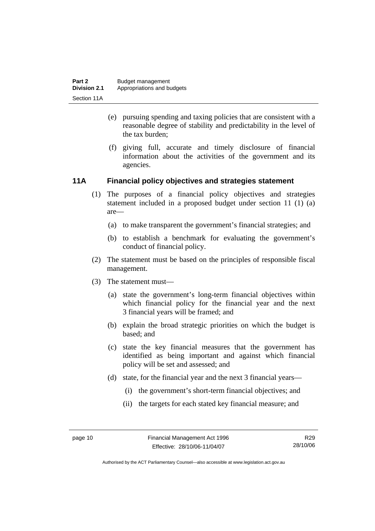- (e) pursuing spending and taxing policies that are consistent with a reasonable degree of stability and predictability in the level of the tax burden;
- (f) giving full, accurate and timely disclosure of financial information about the activities of the government and its agencies.

#### **11A Financial policy objectives and strategies statement**

- (1) The purposes of a financial policy objectives and strategies statement included in a proposed budget under section 11 (1) (a) are—
	- (a) to make transparent the government's financial strategies; and
	- (b) to establish a benchmark for evaluating the government's conduct of financial policy.
- (2) The statement must be based on the principles of responsible fiscal management.
- (3) The statement must—
	- (a) state the government's long-term financial objectives within which financial policy for the financial year and the next 3 financial years will be framed; and
	- (b) explain the broad strategic priorities on which the budget is based; and
	- (c) state the key financial measures that the government has identified as being important and against which financial policy will be set and assessed; and
	- (d) state, for the financial year and the next 3 financial years—
		- (i) the government's short-term financial objectives; and
		- (ii) the targets for each stated key financial measure; and

R29 28/10/06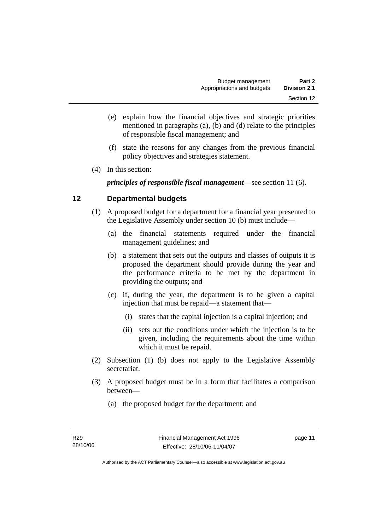- (e) explain how the financial objectives and strategic priorities mentioned in paragraphs (a), (b) and (d) relate to the principles of responsible fiscal management; and
- (f) state the reasons for any changes from the previous financial policy objectives and strategies statement.
- (4) In this section:

*principles of responsible fiscal management*—see section 11 (6).

#### **12 Departmental budgets**

- (1) A proposed budget for a department for a financial year presented to the Legislative Assembly under section 10 (b) must include—
	- (a) the financial statements required under the financial management guidelines; and
	- (b) a statement that sets out the outputs and classes of outputs it is proposed the department should provide during the year and the performance criteria to be met by the department in providing the outputs; and
	- (c) if, during the year, the department is to be given a capital injection that must be repaid—a statement that—
		- (i) states that the capital injection is a capital injection; and
		- (ii) sets out the conditions under which the injection is to be given, including the requirements about the time within which it must be repaid.
- (2) Subsection (1) (b) does not apply to the Legislative Assembly secretariat.
- (3) A proposed budget must be in a form that facilitates a comparison between—
	- (a) the proposed budget for the department; and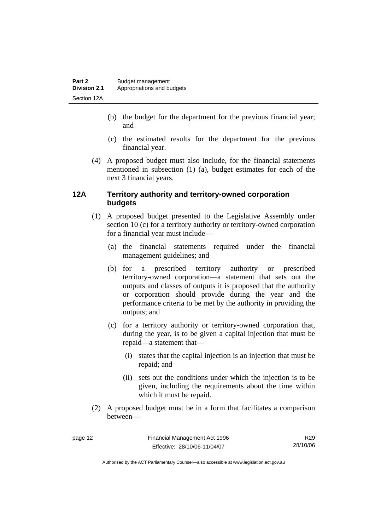- (b) the budget for the department for the previous financial year; and
- (c) the estimated results for the department for the previous financial year.
- (4) A proposed budget must also include, for the financial statements mentioned in subsection (1) (a), budget estimates for each of the next 3 financial years.

#### **12A Territory authority and territory-owned corporation budgets**

- (1) A proposed budget presented to the Legislative Assembly under section 10 (c) for a territory authority or territory-owned corporation for a financial year must include—
	- (a) the financial statements required under the financial management guidelines; and
	- (b) for a prescribed territory authority or prescribed territory-owned corporation—a statement that sets out the outputs and classes of outputs it is proposed that the authority or corporation should provide during the year and the performance criteria to be met by the authority in providing the outputs; and
	- (c) for a territory authority or territory-owned corporation that, during the year, is to be given a capital injection that must be repaid—a statement that—
		- (i) states that the capital injection is an injection that must be repaid; and
		- (ii) sets out the conditions under which the injection is to be given, including the requirements about the time within which it must be repaid.
- (2) A proposed budget must be in a form that facilitates a comparison between—

R29 28/10/06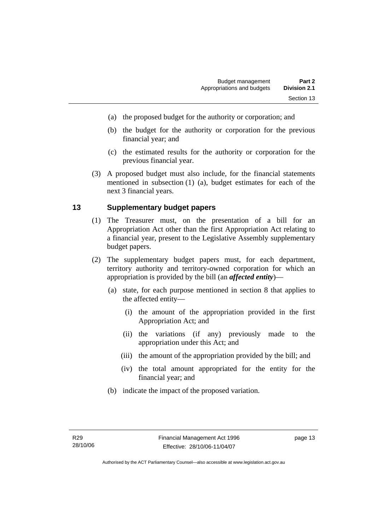- (a) the proposed budget for the authority or corporation; and
- (b) the budget for the authority or corporation for the previous financial year; and
- (c) the estimated results for the authority or corporation for the previous financial year.
- (3) A proposed budget must also include, for the financial statements mentioned in subsection (1) (a), budget estimates for each of the next 3 financial years.

#### **13 Supplementary budget papers**

- (1) The Treasurer must, on the presentation of a bill for an Appropriation Act other than the first Appropriation Act relating to a financial year, present to the Legislative Assembly supplementary budget papers.
- (2) The supplementary budget papers must, for each department, territory authority and territory-owned corporation for which an appropriation is provided by the bill (an *affected entity*)—
	- (a) state, for each purpose mentioned in section 8 that applies to the affected entity—
		- (i) the amount of the appropriation provided in the first Appropriation Act; and
		- (ii) the variations (if any) previously made to the appropriation under this Act; and
		- (iii) the amount of the appropriation provided by the bill; and
		- (iv) the total amount appropriated for the entity for the financial year; and
	- (b) indicate the impact of the proposed variation.

page 13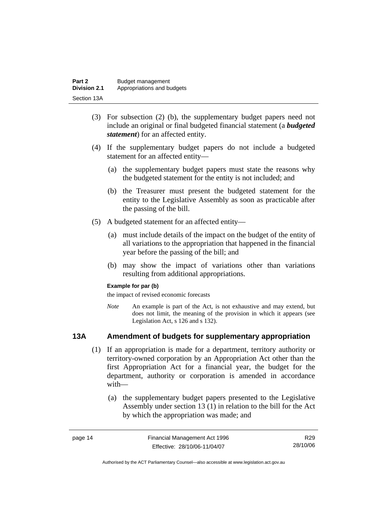| Part 2              | Budget management          |
|---------------------|----------------------------|
| <b>Division 2.1</b> | Appropriations and budgets |
| Section 13A         |                            |

- (3) For subsection (2) (b), the supplementary budget papers need not include an original or final budgeted financial statement (a *budgeted statement*) for an affected entity.
- (4) If the supplementary budget papers do not include a budgeted statement for an affected entity—
	- (a) the supplementary budget papers must state the reasons why the budgeted statement for the entity is not included; and
	- (b) the Treasurer must present the budgeted statement for the entity to the Legislative Assembly as soon as practicable after the passing of the bill.
- (5) A budgeted statement for an affected entity—
	- (a) must include details of the impact on the budget of the entity of all variations to the appropriation that happened in the financial year before the passing of the bill; and
	- (b) may show the impact of variations other than variations resulting from additional appropriations.

#### **Example for par (b)**

the impact of revised economic forecasts

*Note* An example is part of the Act, is not exhaustive and may extend, but does not limit, the meaning of the provision in which it appears (see Legislation Act, s 126 and s 132).

#### **13A Amendment of budgets for supplementary appropriation**

- (1) If an appropriation is made for a department, territory authority or territory-owned corporation by an Appropriation Act other than the first Appropriation Act for a financial year, the budget for the department, authority or corporation is amended in accordance with—
	- (a) the supplementary budget papers presented to the Legislative Assembly under section 13 (1) in relation to the bill for the Act by which the appropriation was made; and

| page 14 | Financial Management Act 1996 | R29      |
|---------|-------------------------------|----------|
|         | Effective: 28/10/06-11/04/07  | 28/10/06 |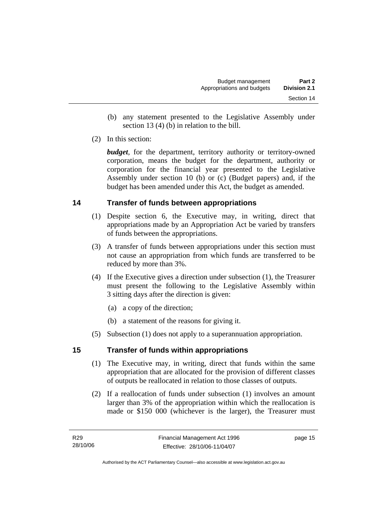- (b) any statement presented to the Legislative Assembly under section 13 (4) (b) in relation to the bill.
- (2) In this section:

*budget*, for the department, territory authority or territory-owned corporation, means the budget for the department, authority or corporation for the financial year presented to the Legislative Assembly under section 10 (b) or (c) (Budget papers) and, if the budget has been amended under this Act, the budget as amended.

#### **14 Transfer of funds between appropriations**

- (1) Despite section 6, the Executive may, in writing, direct that appropriations made by an Appropriation Act be varied by transfers of funds between the appropriations.
- (3) A transfer of funds between appropriations under this section must not cause an appropriation from which funds are transferred to be reduced by more than 3%.
- (4) If the Executive gives a direction under subsection (1), the Treasurer must present the following to the Legislative Assembly within 3 sitting days after the direction is given:
	- (a) a copy of the direction;
	- (b) a statement of the reasons for giving it.
- (5) Subsection (1) does not apply to a superannuation appropriation.

#### **15 Transfer of funds within appropriations**

- (1) The Executive may, in writing, direct that funds within the same appropriation that are allocated for the provision of different classes of outputs be reallocated in relation to those classes of outputs.
- (2) If a reallocation of funds under subsection (1) involves an amount larger than 3% of the appropriation within which the reallocation is made or \$150 000 (whichever is the larger), the Treasurer must

page 15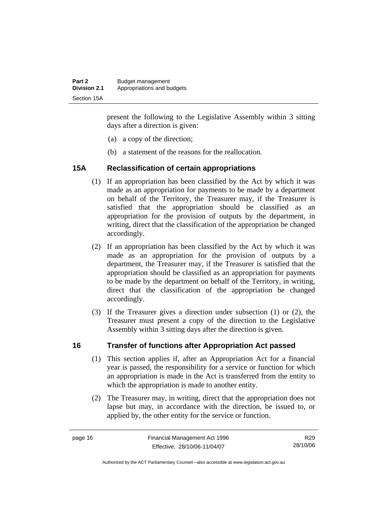| Part 2              | Budget management          |
|---------------------|----------------------------|
| <b>Division 2.1</b> | Appropriations and budgets |
| Section 15A         |                            |

present the following to the Legislative Assembly within 3 sitting days after a direction is given:

- (a) a copy of the direction;
- (b) a statement of the reasons for the reallocation.

#### **15A Reclassification of certain appropriations**

- (1) If an appropriation has been classified by the Act by which it was made as an appropriation for payments to be made by a department on behalf of the Territory, the Treasurer may, if the Treasurer is satisfied that the appropriation should be classified as an appropriation for the provision of outputs by the department, in writing, direct that the classification of the appropriation be changed accordingly.
- (2) If an appropriation has been classified by the Act by which it was made as an appropriation for the provision of outputs by a department, the Treasurer may, if the Treasurer is satisfied that the appropriation should be classified as an appropriation for payments to be made by the department on behalf of the Territory, in writing, direct that the classification of the appropriation be changed accordingly.
- (3) If the Treasurer gives a direction under subsection (1) or (2), the Treasurer must present a copy of the direction to the Legislative Assembly within 3 sitting days after the direction is given.

#### **16 Transfer of functions after Appropriation Act passed**

- (1) This section applies if, after an Appropriation Act for a financial year is passed, the responsibility for a service or function for which an appropriation is made in the Act is transferred from the entity to which the appropriation is made to another entity.
- (2) The Treasurer may, in writing, direct that the appropriation does not lapse but may, in accordance with the direction, be issued to, or applied by, the other entity for the service or function.

R29 28/10/06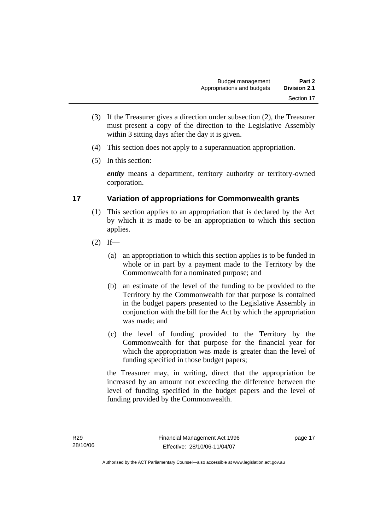- (3) If the Treasurer gives a direction under subsection (2), the Treasurer must present a copy of the direction to the Legislative Assembly within 3 sitting days after the day it is given.
- (4) This section does not apply to a superannuation appropriation.
- (5) In this section:

*entity* means a department, territory authority or territory-owned corporation.

#### **17 Variation of appropriations for Commonwealth grants**

- (1) This section applies to an appropriation that is declared by the Act by which it is made to be an appropriation to which this section applies.
- $(2)$  If—
	- (a) an appropriation to which this section applies is to be funded in whole or in part by a payment made to the Territory by the Commonwealth for a nominated purpose; and
	- (b) an estimate of the level of the funding to be provided to the Territory by the Commonwealth for that purpose is contained in the budget papers presented to the Legislative Assembly in conjunction with the bill for the Act by which the appropriation was made; and
	- (c) the level of funding provided to the Territory by the Commonwealth for that purpose for the financial year for which the appropriation was made is greater than the level of funding specified in those budget papers;

the Treasurer may, in writing, direct that the appropriation be increased by an amount not exceeding the difference between the level of funding specified in the budget papers and the level of funding provided by the Commonwealth.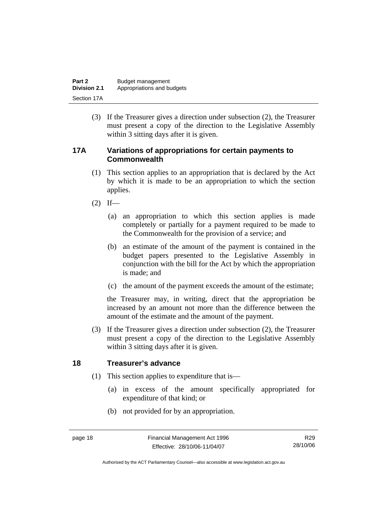| Part 2              | Budget management          |
|---------------------|----------------------------|
| <b>Division 2.1</b> | Appropriations and budgets |
| Section 17A         |                            |

 (3) If the Treasurer gives a direction under subsection (2), the Treasurer must present a copy of the direction to the Legislative Assembly within 3 sitting days after it is given.

#### **17A Variations of appropriations for certain payments to Commonwealth**

- (1) This section applies to an appropriation that is declared by the Act by which it is made to be an appropriation to which the section applies.
- $(2)$  If—
	- (a) an appropriation to which this section applies is made completely or partially for a payment required to be made to the Commonwealth for the provision of a service; and
	- (b) an estimate of the amount of the payment is contained in the budget papers presented to the Legislative Assembly in conjunction with the bill for the Act by which the appropriation is made; and
	- (c) the amount of the payment exceeds the amount of the estimate;

the Treasurer may, in writing, direct that the appropriation be increased by an amount not more than the difference between the amount of the estimate and the amount of the payment.

 (3) If the Treasurer gives a direction under subsection (2), the Treasurer must present a copy of the direction to the Legislative Assembly within 3 sitting days after it is given.

#### **18 Treasurer's advance**

- (1) This section applies to expenditure that is—
	- (a) in excess of the amount specifically appropriated for expenditure of that kind; or
	- (b) not provided for by an appropriation.

R29 28/10/06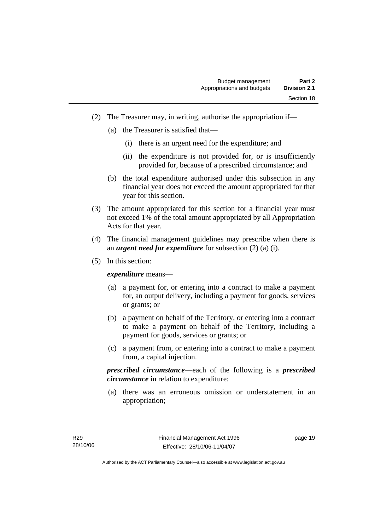- (2) The Treasurer may, in writing, authorise the appropriation if—
	- (a) the Treasurer is satisfied that—
		- (i) there is an urgent need for the expenditure; and
		- (ii) the expenditure is not provided for, or is insufficiently provided for, because of a prescribed circumstance; and
	- (b) the total expenditure authorised under this subsection in any financial year does not exceed the amount appropriated for that year for this section.
- (3) The amount appropriated for this section for a financial year must not exceed 1% of the total amount appropriated by all Appropriation Acts for that year.
- (4) The financial management guidelines may prescribe when there is an *urgent need for expenditure* for subsection (2) (a) (i).
- (5) In this section:

*expenditure* means—

- (a) a payment for, or entering into a contract to make a payment for, an output delivery, including a payment for goods, services or grants; or
- (b) a payment on behalf of the Territory, or entering into a contract to make a payment on behalf of the Territory, including a payment for goods, services or grants; or
- (c) a payment from, or entering into a contract to make a payment from, a capital injection.

*prescribed circumstance*—each of the following is a *prescribed circumstance* in relation to expenditure:

 (a) there was an erroneous omission or understatement in an appropriation;

page 19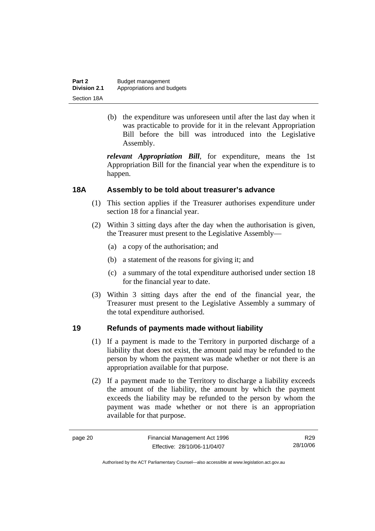| Part 2              | Budget management          |
|---------------------|----------------------------|
| <b>Division 2.1</b> | Appropriations and budgets |
| Section 18A         |                            |

 (b) the expenditure was unforeseen until after the last day when it was practicable to provide for it in the relevant Appropriation Bill before the bill was introduced into the Legislative Assembly.

*relevant Appropriation Bill*, for expenditure, means the 1st Appropriation Bill for the financial year when the expenditure is to happen.

#### **18A Assembly to be told about treasurer's advance**

- (1) This section applies if the Treasurer authorises expenditure under section 18 for a financial year.
- (2) Within 3 sitting days after the day when the authorisation is given, the Treasurer must present to the Legislative Assembly—
	- (a) a copy of the authorisation; and
	- (b) a statement of the reasons for giving it; and
	- (c) a summary of the total expenditure authorised under section 18 for the financial year to date.
- (3) Within 3 sitting days after the end of the financial year, the Treasurer must present to the Legislative Assembly a summary of the total expenditure authorised.

#### **19 Refunds of payments made without liability**

- (1) If a payment is made to the Territory in purported discharge of a liability that does not exist, the amount paid may be refunded to the person by whom the payment was made whether or not there is an appropriation available for that purpose.
- (2) If a payment made to the Territory to discharge a liability exceeds the amount of the liability, the amount by which the payment exceeds the liability may be refunded to the person by whom the payment was made whether or not there is an appropriation available for that purpose.

R29 28/10/06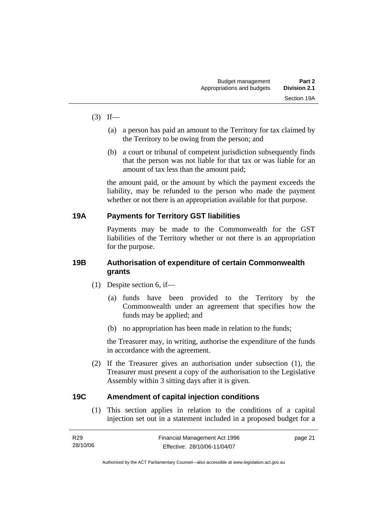- $(3)$  If—
	- (a) a person has paid an amount to the Territory for tax claimed by the Territory to be owing from the person; and
	- (b) a court or tribunal of competent jurisdiction subsequently finds that the person was not liable for that tax or was liable for an amount of tax less than the amount paid;

the amount paid, or the amount by which the payment exceeds the liability, may be refunded to the person who made the payment whether or not there is an appropriation available for that purpose.

#### **19A Payments for Territory GST liabilities**

Payments may be made to the Commonwealth for the GST liabilities of the Territory whether or not there is an appropriation for the purpose.

#### **19B Authorisation of expenditure of certain Commonwealth grants**

- (1) Despite section 6, if—
	- (a) funds have been provided to the Territory by the Commonwealth under an agreement that specifies how the funds may be applied; and
	- (b) no appropriation has been made in relation to the funds;

the Treasurer may, in writing, authorise the expenditure of the funds in accordance with the agreement.

 (2) If the Treasurer gives an authorisation under subsection (1), the Treasurer must present a copy of the authorisation to the Legislative Assembly within 3 sitting days after it is given.

#### **19C Amendment of capital injection conditions**

 (1) This section applies in relation to the conditions of a capital injection set out in a statement included in a proposed budget for a

| R29      | Financial Management Act 1996 | page 21 |
|----------|-------------------------------|---------|
| 28/10/06 | Effective: 28/10/06-11/04/07  |         |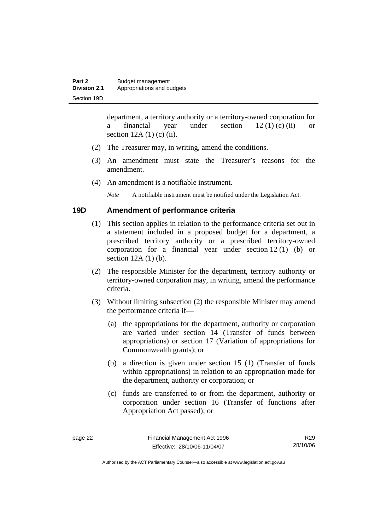department, a territory authority or a territory-owned corporation for a financial year under section  $12 (1) (c) (ii)$  or section  $12A(1)$  (c) (ii).

- (2) The Treasurer may, in writing, amend the conditions.
- (3) An amendment must state the Treasurer's reasons for the amendment.
- (4) An amendment is a notifiable instrument.

*Note* A notifiable instrument must be notified under the Legislation Act.

#### **19D Amendment of performance criteria**

- (1) This section applies in relation to the performance criteria set out in a statement included in a proposed budget for a department, a prescribed territory authority or a prescribed territory-owned corporation for a financial year under section 12 (1) (b) or section 12A (1) (b).
- (2) The responsible Minister for the department, territory authority or territory-owned corporation may, in writing, amend the performance criteria.
- (3) Without limiting subsection (2) the responsible Minister may amend the performance criteria if—
	- (a) the appropriations for the department, authority or corporation are varied under section 14 (Transfer of funds between appropriations) or section 17 (Variation of appropriations for Commonwealth grants); or
	- (b) a direction is given under section 15 (1) (Transfer of funds within appropriations) in relation to an appropriation made for the department, authority or corporation; or
	- (c) funds are transferred to or from the department, authority or corporation under section 16 (Transfer of functions after Appropriation Act passed); or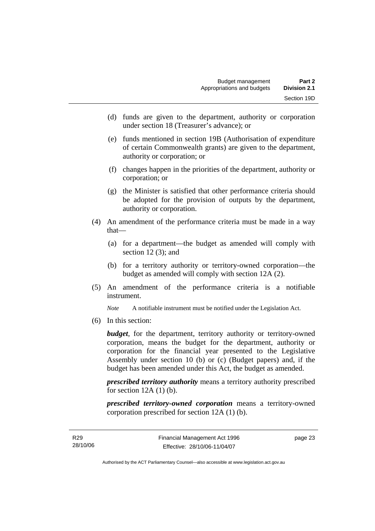- (d) funds are given to the department, authority or corporation under section 18 (Treasurer's advance); or
- (e) funds mentioned in section 19B (Authorisation of expenditure of certain Commonwealth grants) are given to the department, authority or corporation; or
- (f) changes happen in the priorities of the department, authority or corporation; or
- (g) the Minister is satisfied that other performance criteria should be adopted for the provision of outputs by the department, authority or corporation.
- (4) An amendment of the performance criteria must be made in a way that—
	- (a) for a department—the budget as amended will comply with section  $12(3)$ ; and
	- (b) for a territory authority or territory-owned corporation—the budget as amended will comply with section 12A (2).
- (5) An amendment of the performance criteria is a notifiable instrument.

*Note* A notifiable instrument must be notified under the Legislation Act.

(6) In this section:

*budget*, for the department, territory authority or territory-owned corporation, means the budget for the department, authority or corporation for the financial year presented to the Legislative Assembly under section 10 (b) or (c) (Budget papers) and, if the budget has been amended under this Act, the budget as amended.

*prescribed territory authority* means a territory authority prescribed for section  $12A(1)$  (b).

*prescribed territory-owned corporation* means a territory-owned corporation prescribed for section 12A (1) (b).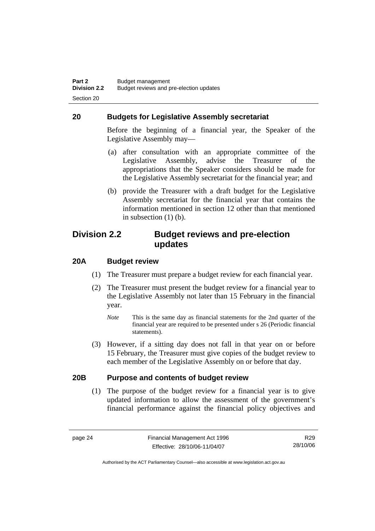#### **20 Budgets for Legislative Assembly secretariat**

Before the beginning of a financial year, the Speaker of the Legislative Assembly may—

- (a) after consultation with an appropriate committee of the Legislative Assembly, advise the Treasurer of the appropriations that the Speaker considers should be made for the Legislative Assembly secretariat for the financial year; and
- (b) provide the Treasurer with a draft budget for the Legislative Assembly secretariat for the financial year that contains the information mentioned in section 12 other than that mentioned in subsection (1) (b).

### **Division 2.2 Budget reviews and pre-election updates**

#### **20A Budget review**

- (1) The Treasurer must prepare a budget review for each financial year.
- (2) The Treasurer must present the budget review for a financial year to the Legislative Assembly not later than 15 February in the financial year.
	- *Note* This is the same day as financial statements for the 2nd quarter of the financial year are required to be presented under s 26 (Periodic financial statements).
- (3) However, if a sitting day does not fall in that year on or before 15 February, the Treasurer must give copies of the budget review to each member of the Legislative Assembly on or before that day.

#### **20B Purpose and contents of budget review**

 (1) The purpose of the budget review for a financial year is to give updated information to allow the assessment of the government's financial performance against the financial policy objectives and

R29 28/10/06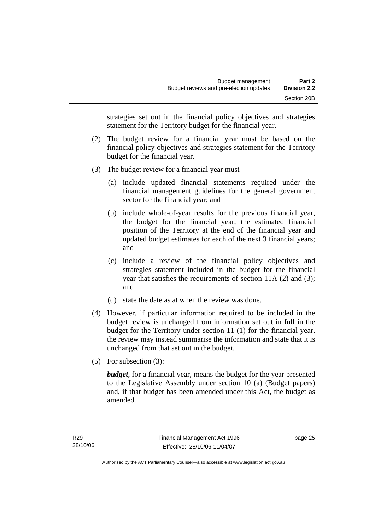strategies set out in the financial policy objectives and strategies statement for the Territory budget for the financial year.

- (2) The budget review for a financial year must be based on the financial policy objectives and strategies statement for the Territory budget for the financial year.
- (3) The budget review for a financial year must—
	- (a) include updated financial statements required under the financial management guidelines for the general government sector for the financial year; and
	- (b) include whole-of-year results for the previous financial year, the budget for the financial year, the estimated financial position of the Territory at the end of the financial year and updated budget estimates for each of the next 3 financial years; and
	- (c) include a review of the financial policy objectives and strategies statement included in the budget for the financial year that satisfies the requirements of section 11A (2) and (3); and
	- (d) state the date as at when the review was done.
- (4) However, if particular information required to be included in the budget review is unchanged from information set out in full in the budget for the Territory under section 11 (1) for the financial year, the review may instead summarise the information and state that it is unchanged from that set out in the budget.
- (5) For subsection (3):

*budget*, for a financial year, means the budget for the year presented to the Legislative Assembly under section 10 (a) (Budget papers) and, if that budget has been amended under this Act, the budget as amended.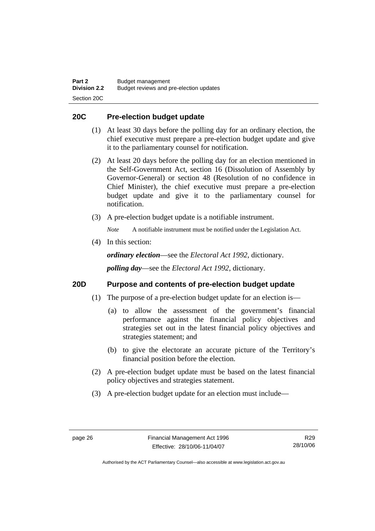#### **20C Pre-election budget update**

- (1) At least 30 days before the polling day for an ordinary election, the chief executive must prepare a pre-election budget update and give it to the parliamentary counsel for notification.
- (2) At least 20 days before the polling day for an election mentioned in the Self-Government Act, section 16 (Dissolution of Assembly by Governor-General) or section 48 (Resolution of no confidence in Chief Minister), the chief executive must prepare a pre-election budget update and give it to the parliamentary counsel for notification.
- (3) A pre-election budget update is a notifiable instrument.

*Note* A notifiable instrument must be notified under the Legislation Act.

(4) In this section:

*ordinary election*—see the *Electoral Act 1992*, dictionary.

*polling day*—see the *Electoral Act 1992*, dictionary.

#### **20D Purpose and contents of pre-election budget update**

- (1) The purpose of a pre-election budget update for an election is—
	- (a) to allow the assessment of the government's financial performance against the financial policy objectives and strategies set out in the latest financial policy objectives and strategies statement; and
	- (b) to give the electorate an accurate picture of the Territory's financial position before the election.
- (2) A pre-election budget update must be based on the latest financial policy objectives and strategies statement.
- (3) A pre-election budget update for an election must include—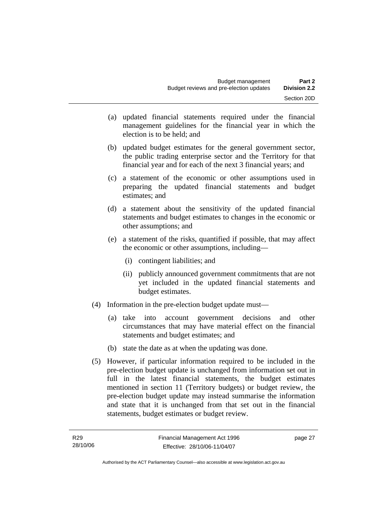- (a) updated financial statements required under the financial management guidelines for the financial year in which the election is to be held; and
- (b) updated budget estimates for the general government sector, the public trading enterprise sector and the Territory for that financial year and for each of the next 3 financial years; and
- (c) a statement of the economic or other assumptions used in preparing the updated financial statements and budget estimates; and
- (d) a statement about the sensitivity of the updated financial statements and budget estimates to changes in the economic or other assumptions; and
- (e) a statement of the risks, quantified if possible, that may affect the economic or other assumptions, including—
	- (i) contingent liabilities; and
	- (ii) publicly announced government commitments that are not yet included in the updated financial statements and budget estimates.
- (4) Information in the pre-election budget update must—
	- (a) take into account government decisions and other circumstances that may have material effect on the financial statements and budget estimates; and
	- (b) state the date as at when the updating was done.
- (5) However, if particular information required to be included in the pre-election budget update is unchanged from information set out in full in the latest financial statements, the budget estimates mentioned in section 11 (Territory budgets) or budget review, the pre-election budget update may instead summarise the information and state that it is unchanged from that set out in the financial statements, budget estimates or budget review.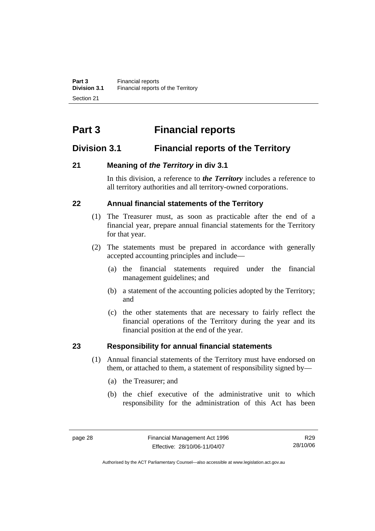# **Part 3 Financial reports**

# **Division 3.1 Financial reports of the Territory**

# **21 Meaning of** *the Territory* **in div 3.1**

In this division, a reference to *the Territory* includes a reference to all territory authorities and all territory-owned corporations.

## **22 Annual financial statements of the Territory**

- (1) The Treasurer must, as soon as practicable after the end of a financial year, prepare annual financial statements for the Territory for that year.
- (2) The statements must be prepared in accordance with generally accepted accounting principles and include—
	- (a) the financial statements required under the financial management guidelines; and
	- (b) a statement of the accounting policies adopted by the Territory; and
	- (c) the other statements that are necessary to fairly reflect the financial operations of the Territory during the year and its financial position at the end of the year.

# **23 Responsibility for annual financial statements**

- (1) Annual financial statements of the Territory must have endorsed on them, or attached to them, a statement of responsibility signed by—
	- (a) the Treasurer; and
	- (b) the chief executive of the administrative unit to which responsibility for the administration of this Act has been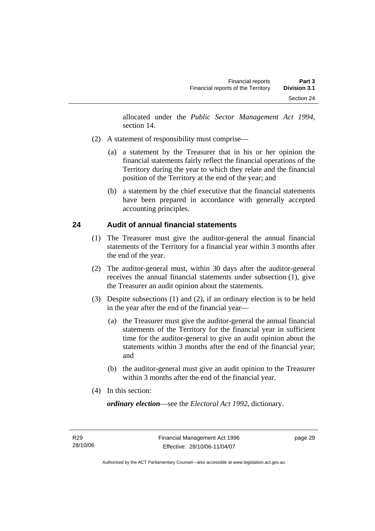allocated under the *Public Sector Management Act 1994*, section 14.

- (2) A statement of responsibility must comprise—
	- (a) a statement by the Treasurer that in his or her opinion the financial statements fairly reflect the financial operations of the Territory during the year to which they relate and the financial position of the Territory at the end of the year; and
	- (b) a statement by the chief executive that the financial statements have been prepared in accordance with generally accepted accounting principles.

#### **24 Audit of annual financial statements**

- (1) The Treasurer must give the auditor-general the annual financial statements of the Territory for a financial year within 3 months after the end of the year.
- (2) The auditor-general must, within 30 days after the auditor-general receives the annual financial statements under subsection (1), give the Treasurer an audit opinion about the statements.
- (3) Despite subsections (1) and (2), if an ordinary election is to be held in the year after the end of the financial year—
	- (a) the Treasurer must give the auditor-general the annual financial statements of the Territory for the financial year in sufficient time for the auditor-general to give an audit opinion about the statements within 3 months after the end of the financial year; and
	- (b) the auditor-general must give an audit opinion to the Treasurer within 3 months after the end of the financial year.
- (4) In this section:

*ordinary election*—see the *Electoral Act 1992*, dictionary.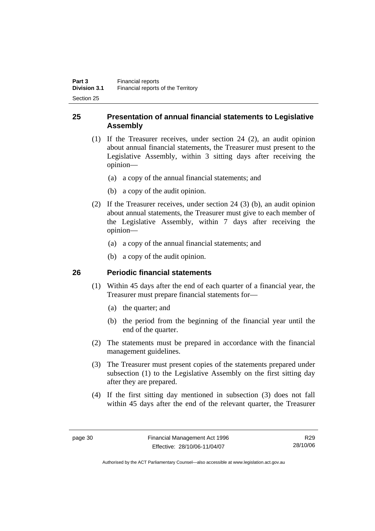### **25 Presentation of annual financial statements to Legislative Assembly**

- (1) If the Treasurer receives, under section 24 (2), an audit opinion about annual financial statements, the Treasurer must present to the Legislative Assembly, within 3 sitting days after receiving the opinion—
	- (a) a copy of the annual financial statements; and
	- (b) a copy of the audit opinion.
- (2) If the Treasurer receives, under section 24 (3) (b), an audit opinion about annual statements, the Treasurer must give to each member of the Legislative Assembly, within 7 days after receiving the opinion—
	- (a) a copy of the annual financial statements; and
	- (b) a copy of the audit opinion.

## **26 Periodic financial statements**

- (1) Within 45 days after the end of each quarter of a financial year, the Treasurer must prepare financial statements for—
	- (a) the quarter; and
	- (b) the period from the beginning of the financial year until the end of the quarter.
- (2) The statements must be prepared in accordance with the financial management guidelines.
- (3) The Treasurer must present copies of the statements prepared under subsection (1) to the Legislative Assembly on the first sitting day after they are prepared.
- (4) If the first sitting day mentioned in subsection (3) does not fall within 45 days after the end of the relevant quarter, the Treasurer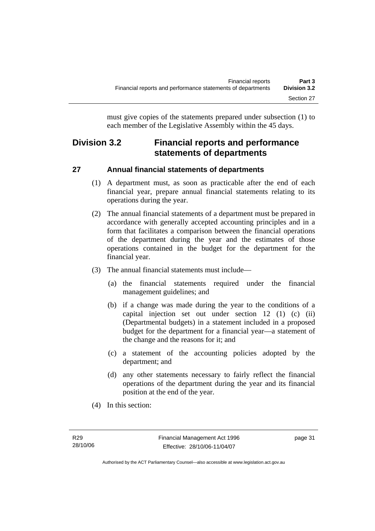must give copies of the statements prepared under subsection (1) to each member of the Legislative Assembly within the 45 days.

# **Division 3.2 Financial reports and performance statements of departments**

# **27 Annual financial statements of departments**

- (1) A department must, as soon as practicable after the end of each financial year, prepare annual financial statements relating to its operations during the year.
- (2) The annual financial statements of a department must be prepared in accordance with generally accepted accounting principles and in a form that facilitates a comparison between the financial operations of the department during the year and the estimates of those operations contained in the budget for the department for the financial year.
- (3) The annual financial statements must include—
	- (a) the financial statements required under the financial management guidelines; and
	- (b) if a change was made during the year to the conditions of a capital injection set out under section 12 (1) (c) (ii) (Departmental budgets) in a statement included in a proposed budget for the department for a financial year—a statement of the change and the reasons for it; and
	- (c) a statement of the accounting policies adopted by the department; and
	- (d) any other statements necessary to fairly reflect the financial operations of the department during the year and its financial position at the end of the year.
- (4) In this section: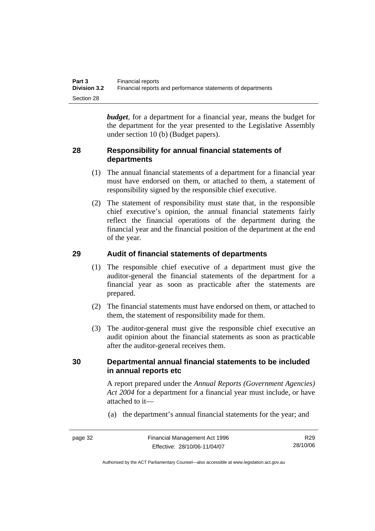| Part 3              | Financial reports                                           |
|---------------------|-------------------------------------------------------------|
| <b>Division 3.2</b> | Financial reports and performance statements of departments |
| Section 28          |                                                             |

*budget*, for a department for a financial year, means the budget for the department for the year presented to the Legislative Assembly under section 10 (b) (Budget papers).

#### **28 Responsibility for annual financial statements of departments**

- (1) The annual financial statements of a department for a financial year must have endorsed on them, or attached to them, a statement of responsibility signed by the responsible chief executive.
- (2) The statement of responsibility must state that, in the responsible chief executive's opinion, the annual financial statements fairly reflect the financial operations of the department during the financial year and the financial position of the department at the end of the year.

#### **29 Audit of financial statements of departments**

- (1) The responsible chief executive of a department must give the auditor-general the financial statements of the department for a financial year as soon as practicable after the statements are prepared.
- (2) The financial statements must have endorsed on them, or attached to them, the statement of responsibility made for them.
- (3) The auditor-general must give the responsible chief executive an audit opinion about the financial statements as soon as practicable after the auditor-general receives them.

#### **30 Departmental annual financial statements to be included in annual reports etc**

A report prepared under the *Annual Reports (Government Agencies) Act 2004* for a department for a financial year must include, or have attached to it—

(a) the department's annual financial statements for the year; and

page 32 Financial Management Act 1996 Effective: 28/10/06-11/04/07 R29 28/10/06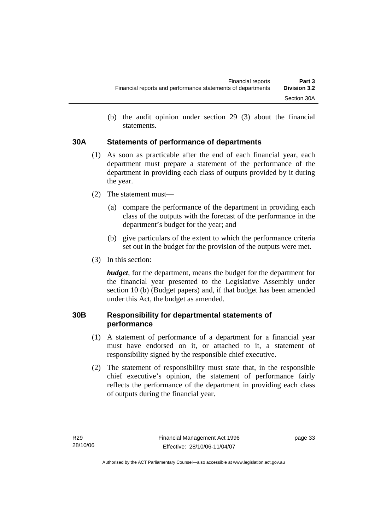(b) the audit opinion under section 29 (3) about the financial statements.

## **30A Statements of performance of departments**

- (1) As soon as practicable after the end of each financial year, each department must prepare a statement of the performance of the department in providing each class of outputs provided by it during the year.
- (2) The statement must—
	- (a) compare the performance of the department in providing each class of the outputs with the forecast of the performance in the department's budget for the year; and
	- (b) give particulars of the extent to which the performance criteria set out in the budget for the provision of the outputs were met.
- (3) In this section:

*budget*, for the department, means the budget for the department for the financial year presented to the Legislative Assembly under section 10 (b) (Budget papers) and, if that budget has been amended under this Act, the budget as amended.

## **30B Responsibility for departmental statements of performance**

- (1) A statement of performance of a department for a financial year must have endorsed on it, or attached to it, a statement of responsibility signed by the responsible chief executive.
- (2) The statement of responsibility must state that, in the responsible chief executive's opinion, the statement of performance fairly reflects the performance of the department in providing each class of outputs during the financial year.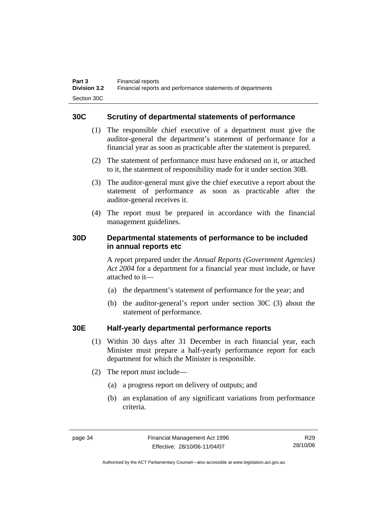#### **30C Scrutiny of departmental statements of performance**

- (1) The responsible chief executive of a department must give the auditor-general the department's statement of performance for a financial year as soon as practicable after the statement is prepared.
- (2) The statement of performance must have endorsed on it, or attached to it, the statement of responsibility made for it under section 30B.
- (3) The auditor-general must give the chief executive a report about the statement of performance as soon as practicable after the auditor-general receives it.
- (4) The report must be prepared in accordance with the financial management guidelines.

#### **30D Departmental statements of performance to be included in annual reports etc**

A report prepared under the *Annual Reports (Government Agencies) Act 2004* for a department for a financial year must include, or have attached to it—

- (a) the department's statement of performance for the year; and
- (b) the auditor-general's report under section 30C (3) about the statement of performance.

#### **30E Half-yearly departmental performance reports**

- (1) Within 30 days after 31 December in each financial year, each Minister must prepare a half-yearly performance report for each department for which the Minister is responsible.
- (2) The report must include—
	- (a) a progress report on delivery of outputs; and
	- (b) an explanation of any significant variations from performance criteria.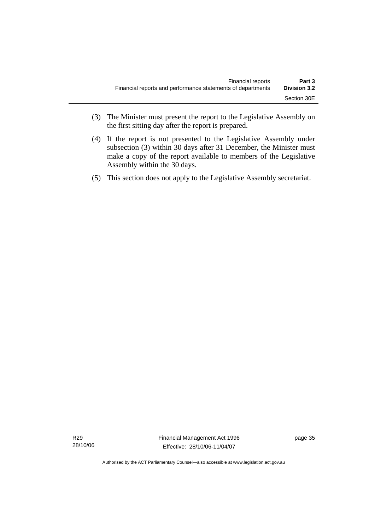- (3) The Minister must present the report to the Legislative Assembly on the first sitting day after the report is prepared.
- (4) If the report is not presented to the Legislative Assembly under subsection (3) within 30 days after 31 December, the Minister must make a copy of the report available to members of the Legislative Assembly within the 30 days.
- (5) This section does not apply to the Legislative Assembly secretariat.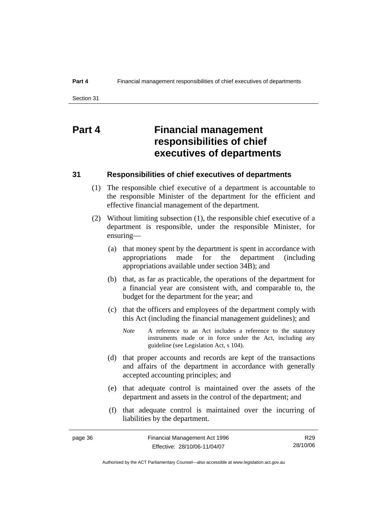# **Part 4 Financial management responsibilities of chief executives of departments**

#### **31 Responsibilities of chief executives of departments**

- (1) The responsible chief executive of a department is accountable to the responsible Minister of the department for the efficient and effective financial management of the department.
- (2) Without limiting subsection (1), the responsible chief executive of a department is responsible, under the responsible Minister, for ensuring—
	- (a) that money spent by the department is spent in accordance with appropriations made for the department (including appropriations available under section 34B); and
	- (b) that, as far as practicable, the operations of the department for a financial year are consistent with, and comparable to, the budget for the department for the year; and
	- (c) that the officers and employees of the department comply with this Act (including the financial management guidelines); and
		- *Note* A reference to an Act includes a reference to the statutory instruments made or in force under the Act, including any guideline (see Legislation Act, s 104).
	- (d) that proper accounts and records are kept of the transactions and affairs of the department in accordance with generally accepted accounting principles; and
	- (e) that adequate control is maintained over the assets of the department and assets in the control of the department; and
	- (f) that adequate control is maintained over the incurring of liabilities by the department.

| page 36 | Financial Management Act 1996 | R29      |
|---------|-------------------------------|----------|
|         | Effective: 28/10/06-11/04/07  | 28/10/06 |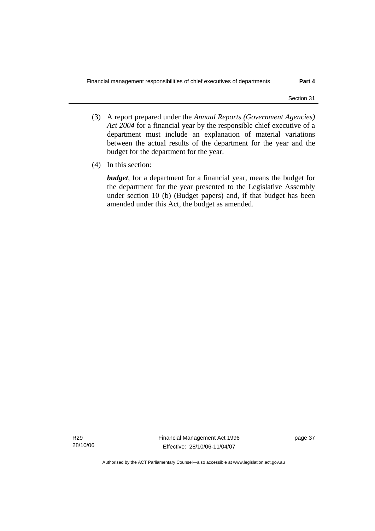- (3) A report prepared under the *Annual Reports (Government Agencies) Act 2004* for a financial year by the responsible chief executive of a department must include an explanation of material variations between the actual results of the department for the year and the budget for the department for the year.
- (4) In this section:

*budget*, for a department for a financial year, means the budget for the department for the year presented to the Legislative Assembly under section 10 (b) (Budget papers) and, if that budget has been amended under this Act, the budget as amended.

R29 28/10/06 Financial Management Act 1996 Effective: 28/10/06-11/04/07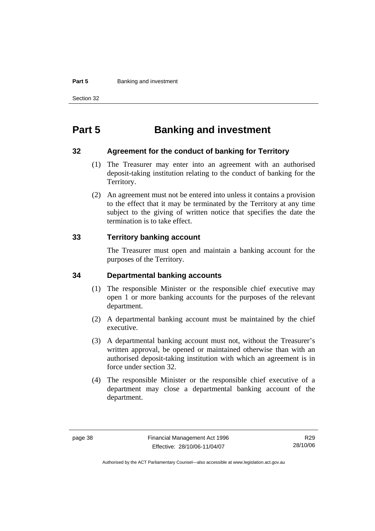#### **Part 5 Banking and investment**

Section 32

# **Part 5 Banking and investment**

#### **32 Agreement for the conduct of banking for Territory**

- (1) The Treasurer may enter into an agreement with an authorised deposit-taking institution relating to the conduct of banking for the Territory.
- (2) An agreement must not be entered into unless it contains a provision to the effect that it may be terminated by the Territory at any time subject to the giving of written notice that specifies the date the termination is to take effect.

#### **33 Territory banking account**

The Treasurer must open and maintain a banking account for the purposes of the Territory.

#### **34 Departmental banking accounts**

- (1) The responsible Minister or the responsible chief executive may open 1 or more banking accounts for the purposes of the relevant department.
- (2) A departmental banking account must be maintained by the chief executive.
- (3) A departmental banking account must not, without the Treasurer's written approval, be opened or maintained otherwise than with an authorised deposit-taking institution with which an agreement is in force under section 32.
- (4) The responsible Minister or the responsible chief executive of a department may close a departmental banking account of the department.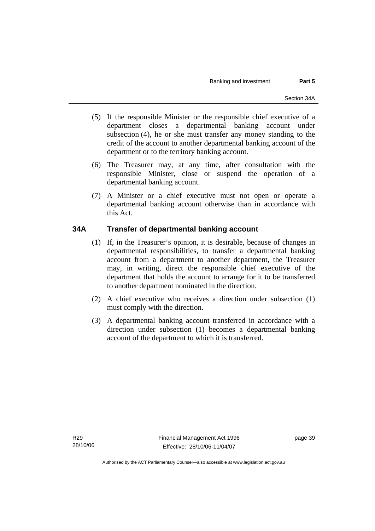- (5) If the responsible Minister or the responsible chief executive of a department closes a departmental banking account under subsection (4), he or she must transfer any money standing to the credit of the account to another departmental banking account of the department or to the territory banking account.
- (6) The Treasurer may, at any time, after consultation with the responsible Minister, close or suspend the operation of a departmental banking account.
- (7) A Minister or a chief executive must not open or operate a departmental banking account otherwise than in accordance with this Act.

## **34A Transfer of departmental banking account**

- (1) If, in the Treasurer's opinion, it is desirable, because of changes in departmental responsibilities, to transfer a departmental banking account from a department to another department, the Treasurer may, in writing, direct the responsible chief executive of the department that holds the account to arrange for it to be transferred to another department nominated in the direction.
- (2) A chief executive who receives a direction under subsection (1) must comply with the direction.
- (3) A departmental banking account transferred in accordance with a direction under subsection (1) becomes a departmental banking account of the department to which it is transferred.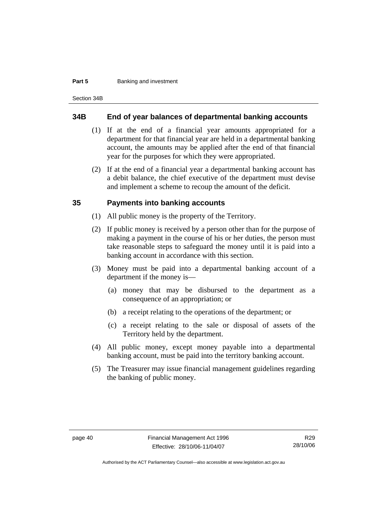#### **Part 5 Banking and investment**

Section 34B

#### **34B End of year balances of departmental banking accounts**

- (1) If at the end of a financial year amounts appropriated for a department for that financial year are held in a departmental banking account, the amounts may be applied after the end of that financial year for the purposes for which they were appropriated.
- (2) If at the end of a financial year a departmental banking account has a debit balance, the chief executive of the department must devise and implement a scheme to recoup the amount of the deficit.

#### **35 Payments into banking accounts**

- (1) All public money is the property of the Territory.
- (2) If public money is received by a person other than for the purpose of making a payment in the course of his or her duties, the person must take reasonable steps to safeguard the money until it is paid into a banking account in accordance with this section.
- (3) Money must be paid into a departmental banking account of a department if the money is—
	- (a) money that may be disbursed to the department as a consequence of an appropriation; or
	- (b) a receipt relating to the operations of the department; or
	- (c) a receipt relating to the sale or disposal of assets of the Territory held by the department.
- (4) All public money, except money payable into a departmental banking account, must be paid into the territory banking account.
- (5) The Treasurer may issue financial management guidelines regarding the banking of public money.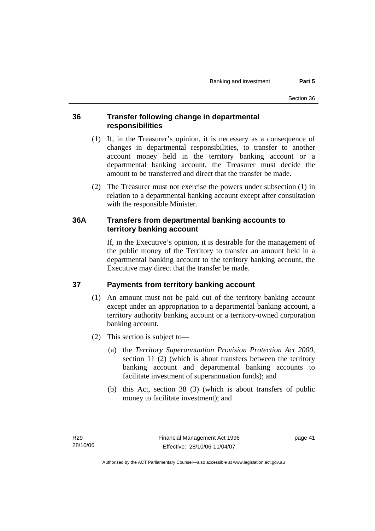#### **36 Transfer following change in departmental responsibilities**

- (1) If, in the Treasurer's opinion, it is necessary as a consequence of changes in departmental responsibilities, to transfer to another account money held in the territory banking account or a departmental banking account, the Treasurer must decide the amount to be transferred and direct that the transfer be made.
- (2) The Treasurer must not exercise the powers under subsection (1) in relation to a departmental banking account except after consultation with the responsible Minister.

#### **36A Transfers from departmental banking accounts to territory banking account**

If, in the Executive's opinion, it is desirable for the management of the public money of the Territory to transfer an amount held in a departmental banking account to the territory banking account, the Executive may direct that the transfer be made.

## **37 Payments from territory banking account**

- (1) An amount must not be paid out of the territory banking account except under an appropriation to a departmental banking account, a territory authority banking account or a territory-owned corporation banking account.
- (2) This section is subject to—
	- (a) the *Territory Superannuation Provision Protection Act 2000*, section 11 (2) (which is about transfers between the territory banking account and departmental banking accounts to facilitate investment of superannuation funds); and
	- (b) this Act, section 38 (3) (which is about transfers of public money to facilitate investment); and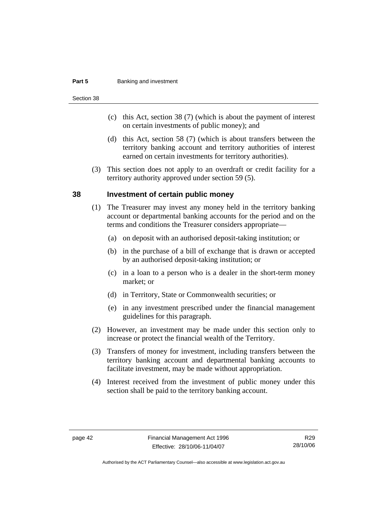#### **Part 5 Banking and investment**

Section 38

- (c) this Act, section 38 (7) (which is about the payment of interest on certain investments of public money); and
- (d) this Act, section 58 (7) (which is about transfers between the territory banking account and territory authorities of interest earned on certain investments for territory authorities).
- (3) This section does not apply to an overdraft or credit facility for a territory authority approved under section 59 (5).

#### **38 Investment of certain public money**

- (1) The Treasurer may invest any money held in the territory banking account or departmental banking accounts for the period and on the terms and conditions the Treasurer considers appropriate—
	- (a) on deposit with an authorised deposit-taking institution; or
	- (b) in the purchase of a bill of exchange that is drawn or accepted by an authorised deposit-taking institution; or
	- (c) in a loan to a person who is a dealer in the short-term money market; or
	- (d) in Territory, State or Commonwealth securities; or
	- (e) in any investment prescribed under the financial management guidelines for this paragraph.
- (2) However, an investment may be made under this section only to increase or protect the financial wealth of the Territory.
- (3) Transfers of money for investment, including transfers between the territory banking account and departmental banking accounts to facilitate investment, may be made without appropriation.
- (4) Interest received from the investment of public money under this section shall be paid to the territory banking account.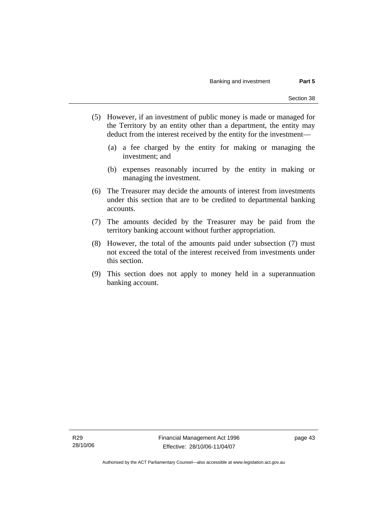- (5) However, if an investment of public money is made or managed for the Territory by an entity other than a department, the entity may deduct from the interest received by the entity for the investment—
	- (a) a fee charged by the entity for making or managing the investment; and
	- (b) expenses reasonably incurred by the entity in making or managing the investment.
- (6) The Treasurer may decide the amounts of interest from investments under this section that are to be credited to departmental banking accounts.
- (7) The amounts decided by the Treasurer may be paid from the territory banking account without further appropriation.
- (8) However, the total of the amounts paid under subsection (7) must not exceed the total of the interest received from investments under this section.
- (9) This section does not apply to money held in a superannuation banking account.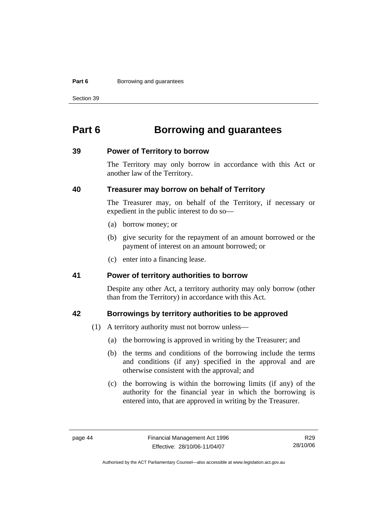#### **Part 6 Borrowing and guarantees**

Section 39

# **Part 6 Borrowing and guarantees**

#### **39 Power of Territory to borrow**

The Territory may only borrow in accordance with this Act or another law of the Territory.

#### **40 Treasurer may borrow on behalf of Territory**

The Treasurer may, on behalf of the Territory, if necessary or expedient in the public interest to do so—

- (a) borrow money; or
- (b) give security for the repayment of an amount borrowed or the payment of interest on an amount borrowed; or
- (c) enter into a financing lease.

#### **41 Power of territory authorities to borrow**

Despite any other Act, a territory authority may only borrow (other than from the Territory) in accordance with this Act.

#### **42 Borrowings by territory authorities to be approved**

- (1) A territory authority must not borrow unless—
	- (a) the borrowing is approved in writing by the Treasurer; and
	- (b) the terms and conditions of the borrowing include the terms and conditions (if any) specified in the approval and are otherwise consistent with the approval; and
	- (c) the borrowing is within the borrowing limits (if any) of the authority for the financial year in which the borrowing is entered into, that are approved in writing by the Treasurer.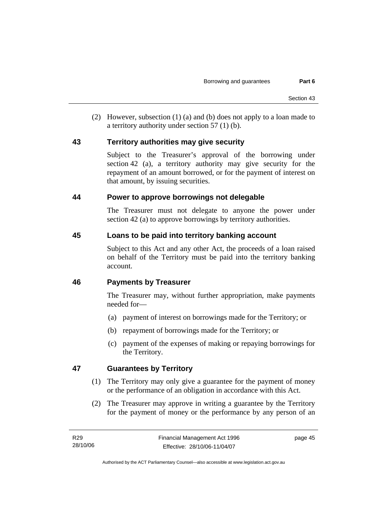(2) However, subsection (1) (a) and (b) does not apply to a loan made to a territory authority under section 57 (1) (b).

#### **43 Territory authorities may give security**

Subject to the Treasurer's approval of the borrowing under section 42 (a), a territory authority may give security for the repayment of an amount borrowed, or for the payment of interest on that amount, by issuing securities.

#### **44 Power to approve borrowings not delegable**

The Treasurer must not delegate to anyone the power under section 42 (a) to approve borrowings by territory authorities.

#### **45 Loans to be paid into territory banking account**

Subject to this Act and any other Act, the proceeds of a loan raised on behalf of the Territory must be paid into the territory banking account.

## **46 Payments by Treasurer**

The Treasurer may, without further appropriation, make payments needed for—

- (a) payment of interest on borrowings made for the Territory; or
- (b) repayment of borrowings made for the Territory; or
- (c) payment of the expenses of making or repaying borrowings for the Territory.

## **47 Guarantees by Territory**

- (1) The Territory may only give a guarantee for the payment of money or the performance of an obligation in accordance with this Act.
- (2) The Treasurer may approve in writing a guarantee by the Territory for the payment of money or the performance by any person of an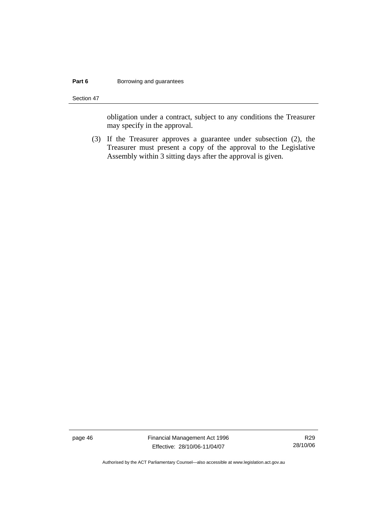#### **Part 6 Borrowing and guarantees**

Section 47

obligation under a contract, subject to any conditions the Treasurer may specify in the approval.

 (3) If the Treasurer approves a guarantee under subsection (2), the Treasurer must present a copy of the approval to the Legislative Assembly within 3 sitting days after the approval is given.

page 46 Financial Management Act 1996 Effective: 28/10/06-11/04/07

R29 28/10/06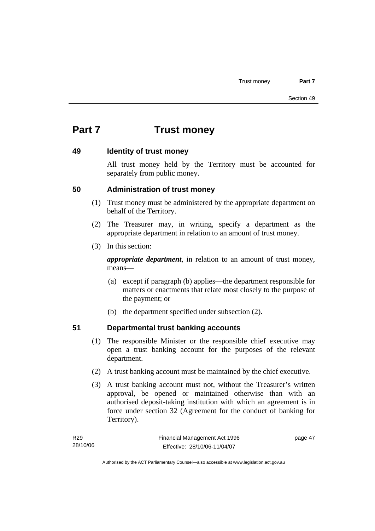# **Part 7 Trust money**

#### **49 Identity of trust money**

All trust money held by the Territory must be accounted for separately from public money.

#### **50 Administration of trust money**

- (1) Trust money must be administered by the appropriate department on behalf of the Territory.
- (2) The Treasurer may, in writing, specify a department as the appropriate department in relation to an amount of trust money.
- (3) In this section:

*appropriate department*, in relation to an amount of trust money, means—

- (a) except if paragraph (b) applies—the department responsible for matters or enactments that relate most closely to the purpose of the payment; or
- (b) the department specified under subsection (2).

## **51 Departmental trust banking accounts**

- (1) The responsible Minister or the responsible chief executive may open a trust banking account for the purposes of the relevant department.
- (2) A trust banking account must be maintained by the chief executive.
- (3) A trust banking account must not, without the Treasurer's written approval, be opened or maintained otherwise than with an authorised deposit-taking institution with which an agreement is in force under section 32 (Agreement for the conduct of banking for Territory).

| R29      | Financial Management Act 1996 | page 47 |
|----------|-------------------------------|---------|
| 28/10/06 | Effective: 28/10/06-11/04/07  |         |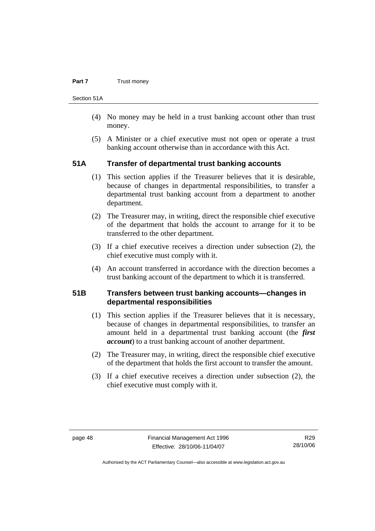#### **Part 7 Trust money**

Section 51A

- (4) No money may be held in a trust banking account other than trust money.
- (5) A Minister or a chief executive must not open or operate a trust banking account otherwise than in accordance with this Act.

#### **51A Transfer of departmental trust banking accounts**

- (1) This section applies if the Treasurer believes that it is desirable, because of changes in departmental responsibilities, to transfer a departmental trust banking account from a department to another department.
- (2) The Treasurer may, in writing, direct the responsible chief executive of the department that holds the account to arrange for it to be transferred to the other department.
- (3) If a chief executive receives a direction under subsection (2), the chief executive must comply with it.
- (4) An account transferred in accordance with the direction becomes a trust banking account of the department to which it is transferred.

#### **51B Transfers between trust banking accounts—changes in departmental responsibilities**

- (1) This section applies if the Treasurer believes that it is necessary, because of changes in departmental responsibilities, to transfer an amount held in a departmental trust banking account (the *first account*) to a trust banking account of another department.
- (2) The Treasurer may, in writing, direct the responsible chief executive of the department that holds the first account to transfer the amount.
- (3) If a chief executive receives a direction under subsection (2), the chief executive must comply with it.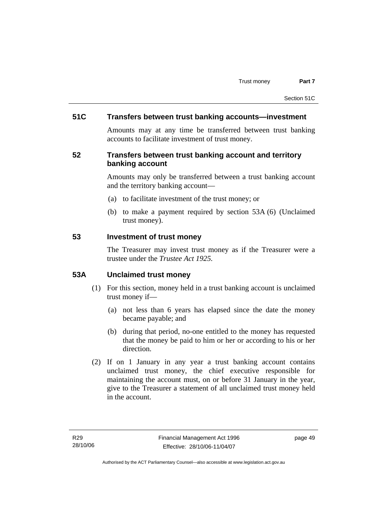#### **51C Transfers between trust banking accounts—investment**

Amounts may at any time be transferred between trust banking accounts to facilitate investment of trust money.

#### **52 Transfers between trust banking account and territory banking account**

Amounts may only be transferred between a trust banking account and the territory banking account—

- (a) to facilitate investment of the trust money; or
- (b) to make a payment required by section 53A (6) (Unclaimed trust money).

#### **53 Investment of trust money**

The Treasurer may invest trust money as if the Treasurer were a trustee under the *Trustee Act 1925.*

#### **53A Unclaimed trust money**

- (1) For this section, money held in a trust banking account is unclaimed trust money if—
	- (a) not less than 6 years has elapsed since the date the money became payable; and
	- (b) during that period, no-one entitled to the money has requested that the money be paid to him or her or according to his or her direction.
- (2) If on 1 January in any year a trust banking account contains unclaimed trust money, the chief executive responsible for maintaining the account must, on or before 31 January in the year, give to the Treasurer a statement of all unclaimed trust money held in the account.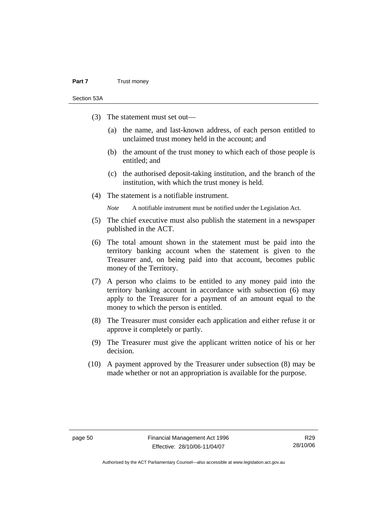#### **Part 7** Trust money

Section 53A

- (3) The statement must set out—
	- (a) the name, and last-known address, of each person entitled to unclaimed trust money held in the account; and
	- (b) the amount of the trust money to which each of those people is entitled; and
	- (c) the authorised deposit-taking institution, and the branch of the institution, with which the trust money is held.
- (4) The statement is a notifiable instrument.

*Note* A notifiable instrument must be notified under the Legislation Act.

- (5) The chief executive must also publish the statement in a newspaper published in the ACT.
- (6) The total amount shown in the statement must be paid into the territory banking account when the statement is given to the Treasurer and, on being paid into that account, becomes public money of the Territory.
- (7) A person who claims to be entitled to any money paid into the territory banking account in accordance with subsection (6) may apply to the Treasurer for a payment of an amount equal to the money to which the person is entitled.
- (8) The Treasurer must consider each application and either refuse it or approve it completely or partly.
- (9) The Treasurer must give the applicant written notice of his or her decision.
- (10) A payment approved by the Treasurer under subsection (8) may be made whether or not an appropriation is available for the purpose.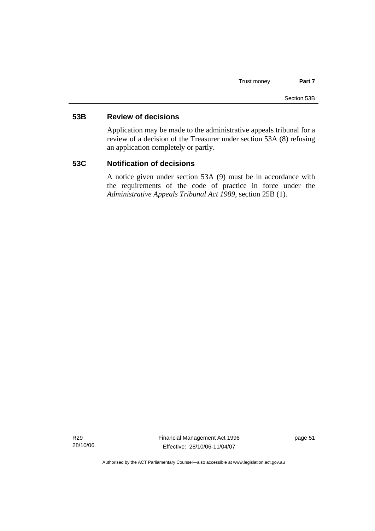#### **53B Review of decisions**

Application may be made to the administrative appeals tribunal for a review of a decision of the Treasurer under section 53A (8) refusing an application completely or partly.

#### **53C Notification of decisions**

A notice given under section 53A (9) must be in accordance with the requirements of the code of practice in force under the *Administrative Appeals Tribunal Act 1989*, section 25B (1).

R29 28/10/06 Financial Management Act 1996 Effective: 28/10/06-11/04/07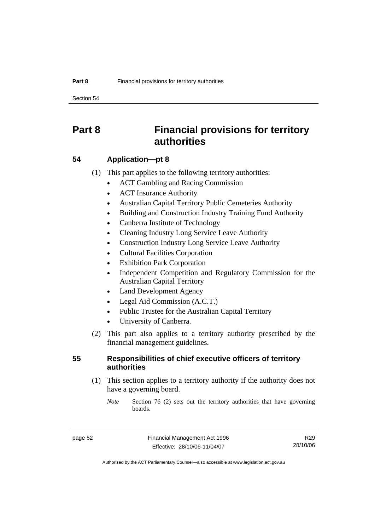Section 54

# **Part 8 Financial provisions for territory authorities**

#### **54 Application—pt 8**

(1) This part applies to the following territory authorities:

- ACT Gambling and Racing Commission
- ACT Insurance Authority
- Australian Capital Territory Public Cemeteries Authority
- Building and Construction Industry Training Fund Authority
- Canberra Institute of Technology
- Cleaning Industry Long Service Leave Authority
- Construction Industry Long Service Leave Authority
- Cultural Facilities Corporation
- **Exhibition Park Corporation**
- Independent Competition and Regulatory Commission for the Australian Capital Territory
- Land Development Agency
- Legal Aid Commission (A.C.T.)
- Public Trustee for the Australian Capital Territory
- University of Canberra.
- (2) This part also applies to a territory authority prescribed by the financial management guidelines.

#### **55 Responsibilities of chief executive officers of territory authorities**

 (1) This section applies to a territory authority if the authority does not have a governing board.

*Note* Section 76 (2) sets out the territory authorities that have governing boards.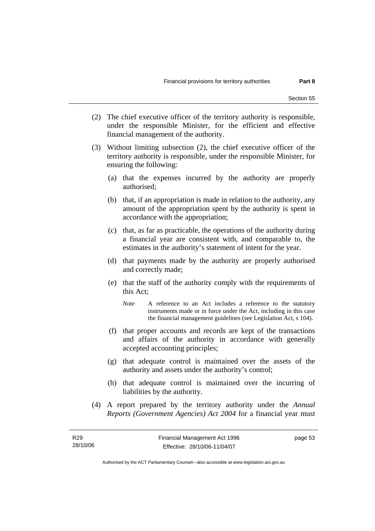- (2) The chief executive officer of the territory authority is responsible, under the responsible Minister, for the efficient and effective financial management of the authority.
- (3) Without limiting subsection (2), the chief executive officer of the territory authority is responsible, under the responsible Minister, for ensuring the following:
	- (a) that the expenses incurred by the authority are properly authorised;
	- (b) that, if an appropriation is made in relation to the authority, any amount of the appropriation spent by the authority is spent in accordance with the appropriation;
	- (c) that, as far as practicable, the operations of the authority during a financial year are consistent with, and comparable to, the estimates in the authority's statement of intent for the year.
	- (d) that payments made by the authority are properly authorised and correctly made;
	- (e) that the staff of the authority comply with the requirements of this Act;
		- *Note* A reference to an Act includes a reference to the statutory instruments made or in force under the Act, including in this case the financial management guidelines (see Legislation Act, s 104).
	- (f) that proper accounts and records are kept of the transactions and affairs of the authority in accordance with generally accepted accounting principles;
	- (g) that adequate control is maintained over the assets of the authority and assets under the authority's control;
	- (h) that adequate control is maintained over the incurring of liabilities by the authority.
- (4) A report prepared by the territory authority under the *Annual Reports (Government Agencies) Act 2004* for a financial year must

Authorised by the ACT Parliamentary Counsel—also accessible at www.legislation.act.gov.au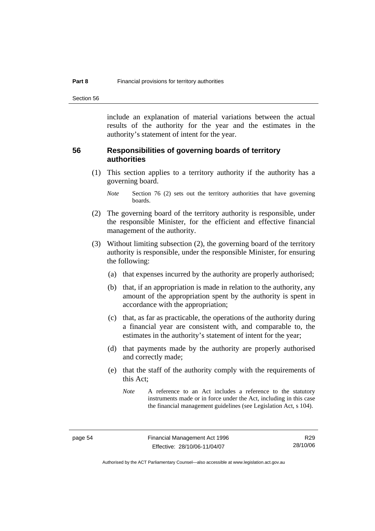Section 56

include an explanation of material variations between the actual results of the authority for the year and the estimates in the authority's statement of intent for the year.

#### **56 Responsibilities of governing boards of territory authorities**

 (1) This section applies to a territory authority if the authority has a governing board.

- (2) The governing board of the territory authority is responsible, under the responsible Minister, for the efficient and effective financial management of the authority.
- (3) Without limiting subsection (2), the governing board of the territory authority is responsible, under the responsible Minister, for ensuring the following:
	- (a) that expenses incurred by the authority are properly authorised;
	- (b) that, if an appropriation is made in relation to the authority, any amount of the appropriation spent by the authority is spent in accordance with the appropriation;
	- (c) that, as far as practicable, the operations of the authority during a financial year are consistent with, and comparable to, the estimates in the authority's statement of intent for the year;
	- (d) that payments made by the authority are properly authorised and correctly made;
	- (e) that the staff of the authority comply with the requirements of this Act;

*Note* Section 76 (2) sets out the territory authorities that have governing boards.

*Note* A reference to an Act includes a reference to the statutory instruments made or in force under the Act, including in this case the financial management guidelines (see Legislation Act, s 104).

Authorised by the ACT Parliamentary Counsel—also accessible at www.legislation.act.gov.au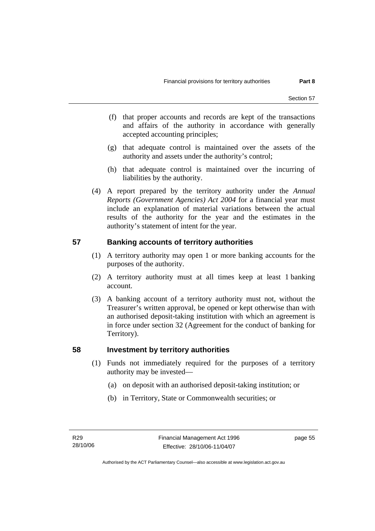- (f) that proper accounts and records are kept of the transactions and affairs of the authority in accordance with generally accepted accounting principles;
- (g) that adequate control is maintained over the assets of the authority and assets under the authority's control;
- (h) that adequate control is maintained over the incurring of liabilities by the authority.
- (4) A report prepared by the territory authority under the *Annual Reports (Government Agencies) Act 2004* for a financial year must include an explanation of material variations between the actual results of the authority for the year and the estimates in the authority's statement of intent for the year.

## **57 Banking accounts of territory authorities**

- (1) A territory authority may open 1 or more banking accounts for the purposes of the authority.
- (2) A territory authority must at all times keep at least 1 banking account.
- (3) A banking account of a territory authority must not, without the Treasurer's written approval, be opened or kept otherwise than with an authorised deposit-taking institution with which an agreement is in force under section 32 (Agreement for the conduct of banking for Territory).

## **58 Investment by territory authorities**

- (1) Funds not immediately required for the purposes of a territory authority may be invested—
	- (a) on deposit with an authorised deposit-taking institution; or
	- (b) in Territory, State or Commonwealth securities; or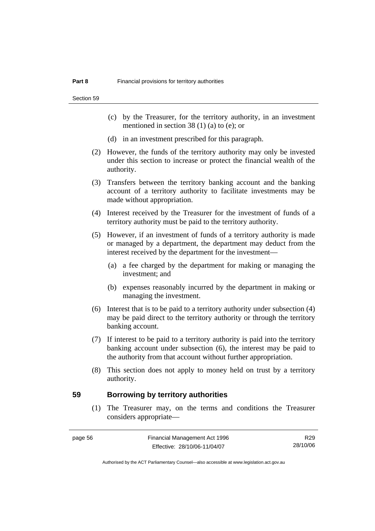Section 59

- (c) by the Treasurer, for the territory authority, in an investment mentioned in section 38 (1) (a) to (e); or
- (d) in an investment prescribed for this paragraph.
- (2) However, the funds of the territory authority may only be invested under this section to increase or protect the financial wealth of the authority.
- (3) Transfers between the territory banking account and the banking account of a territory authority to facilitate investments may be made without appropriation.
- (4) Interest received by the Treasurer for the investment of funds of a territory authority must be paid to the territory authority.
- (5) However, if an investment of funds of a territory authority is made or managed by a department, the department may deduct from the interest received by the department for the investment—
	- (a) a fee charged by the department for making or managing the investment; and
	- (b) expenses reasonably incurred by the department in making or managing the investment.
- (6) Interest that is to be paid to a territory authority under subsection (4) may be paid direct to the territory authority or through the territory banking account.
- (7) If interest to be paid to a territory authority is paid into the territory banking account under subsection (6), the interest may be paid to the authority from that account without further appropriation.
- (8) This section does not apply to money held on trust by a territory authority.

#### **59 Borrowing by territory authorities**

 (1) The Treasurer may, on the terms and conditions the Treasurer considers appropriate—

| e ca |  |
|------|--|
|------|--|

R29 28/10/06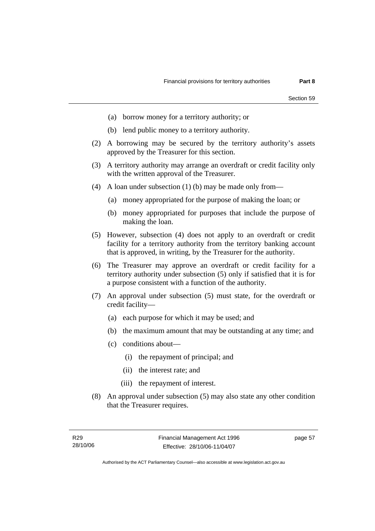- (a) borrow money for a territory authority; or
- (b) lend public money to a territory authority.
- (2) A borrowing may be secured by the territory authority's assets approved by the Treasurer for this section.
- (3) A territory authority may arrange an overdraft or credit facility only with the written approval of the Treasurer.
- (4) A loan under subsection (1) (b) may be made only from—
	- (a) money appropriated for the purpose of making the loan; or
	- (b) money appropriated for purposes that include the purpose of making the loan.
- (5) However, subsection (4) does not apply to an overdraft or credit facility for a territory authority from the territory banking account that is approved, in writing, by the Treasurer for the authority.
- (6) The Treasurer may approve an overdraft or credit facility for a territory authority under subsection (5) only if satisfied that it is for a purpose consistent with a function of the authority.
- (7) An approval under subsection (5) must state, for the overdraft or credit facility—
	- (a) each purpose for which it may be used; and
	- (b) the maximum amount that may be outstanding at any time; and
	- (c) conditions about—
		- (i) the repayment of principal; and
		- (ii) the interest rate; and
		- (iii) the repayment of interest.
- (8) An approval under subsection (5) may also state any other condition that the Treasurer requires.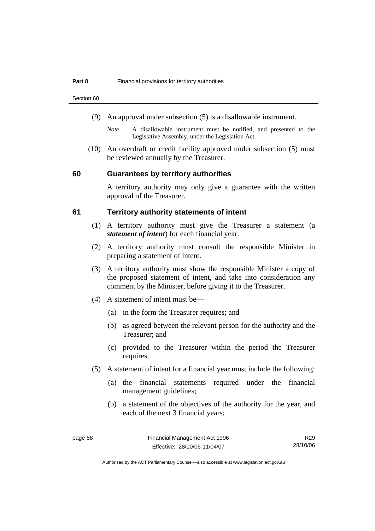Section 60

- (9) An approval under subsection (5) is a disallowable instrument.
	- *Note* A disallowable instrument must be notified, and presented to the Legislative Assembly, under the Legislation Act.
- (10) An overdraft or credit facility approved under subsection (5) must be reviewed annually by the Treasurer.

#### **60 Guarantees by territory authorities**

A territory authority may only give a guarantee with the written approval of the Treasurer.

#### **61 Territory authority statements of intent**

- (1) A territory authority must give the Treasurer a statement (a *statement of intent*) for each financial year.
- (2) A territory authority must consult the responsible Minister in preparing a statement of intent.
- (3) A territory authority must show the responsible Minister a copy of the proposed statement of intent, and take into consideration any comment by the Minister, before giving it to the Treasurer.
- (4) A statement of intent must be—
	- (a) in the form the Treasurer requires; and
	- (b) as agreed between the relevant person for the authority and the Treasurer; and
	- (c) provided to the Treasurer within the period the Treasurer requires.
- (5) A statement of intent for a financial year must include the following:
	- (a) the financial statements required under the financial management guidelines;
	- (b) a statement of the objectives of the authority for the year, and each of the next 3 financial years;

R29 28/10/06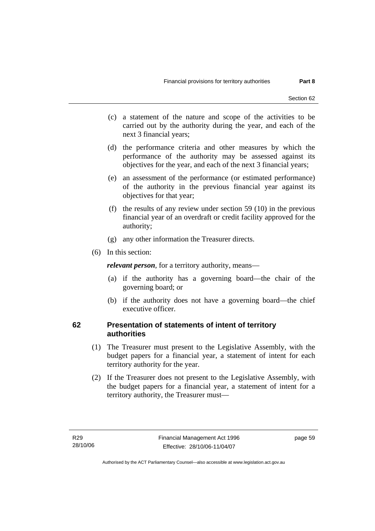- (c) a statement of the nature and scope of the activities to be carried out by the authority during the year, and each of the next 3 financial years;
- (d) the performance criteria and other measures by which the performance of the authority may be assessed against its objectives for the year, and each of the next 3 financial years;
- (e) an assessment of the performance (or estimated performance) of the authority in the previous financial year against its objectives for that year;
- (f) the results of any review under section 59 (10) in the previous financial year of an overdraft or credit facility approved for the authority;
- (g) any other information the Treasurer directs.
- (6) In this section:

*relevant person*, for a territory authority, means—

- (a) if the authority has a governing board—the chair of the governing board; or
- (b) if the authority does not have a governing board—the chief executive officer.

#### **62 Presentation of statements of intent of territory authorities**

- (1) The Treasurer must present to the Legislative Assembly, with the budget papers for a financial year, a statement of intent for each territory authority for the year.
- (2) If the Treasurer does not present to the Legislative Assembly, with the budget papers for a financial year, a statement of intent for a territory authority, the Treasurer must—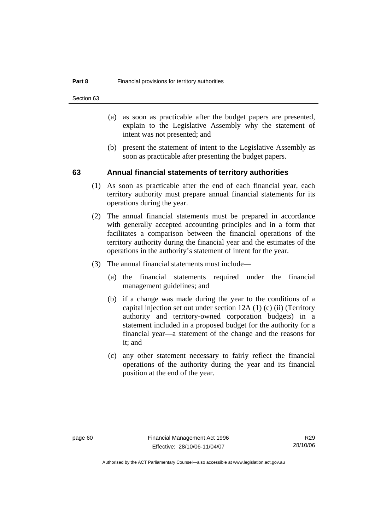Section 63

- (a) as soon as practicable after the budget papers are presented, explain to the Legislative Assembly why the statement of intent was not presented; and
- (b) present the statement of intent to the Legislative Assembly as soon as practicable after presenting the budget papers.

#### **63 Annual financial statements of territory authorities**

- (1) As soon as practicable after the end of each financial year, each territory authority must prepare annual financial statements for its operations during the year.
- (2) The annual financial statements must be prepared in accordance with generally accepted accounting principles and in a form that facilitates a comparison between the financial operations of the territory authority during the financial year and the estimates of the operations in the authority's statement of intent for the year.
- (3) The annual financial statements must include—
	- (a) the financial statements required under the financial management guidelines; and
	- (b) if a change was made during the year to the conditions of a capital injection set out under section 12A (1) (c) (ii) (Territory authority and territory-owned corporation budgets) in a statement included in a proposed budget for the authority for a financial year—a statement of the change and the reasons for it; and
	- (c) any other statement necessary to fairly reflect the financial operations of the authority during the year and its financial position at the end of the year.

R29 28/10/06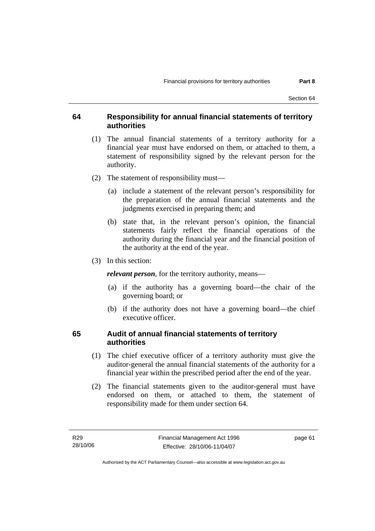#### **64 Responsibility for annual financial statements of territory authorities**

- (1) The annual financial statements of a territory authority for a financial year must have endorsed on them, or attached to them, a statement of responsibility signed by the relevant person for the authority.
- (2) The statement of responsibility must—
	- (a) include a statement of the relevant person's responsibility for the preparation of the annual financial statements and the judgments exercised in preparing them; and
	- (b) state that, in the relevant person's opinion, the financial statements fairly reflect the financial operations of the authority during the financial year and the financial position of the authority at the end of the year.
- (3) In this section:

*relevant person*, for the territory authority, means—

- (a) if the authority has a governing board—the chair of the governing board; or
- (b) if the authority does not have a governing board—the chief executive officer.

#### **65 Audit of annual financial statements of territory authorities**

- (1) The chief executive officer of a territory authority must give the auditor-general the annual financial statements of the authority for a financial year within the prescribed period after the end of the year.
- (2) The financial statements given to the auditor-general must have endorsed on them, or attached to them, the statement of responsibility made for them under section 64.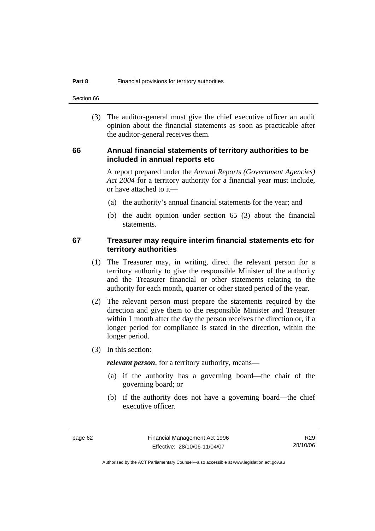Section 66

 (3) The auditor-general must give the chief executive officer an audit opinion about the financial statements as soon as practicable after the auditor-general receives them.

#### **66 Annual financial statements of territory authorities to be included in annual reports etc**

A report prepared under the *Annual Reports (Government Agencies) Act 2004* for a territory authority for a financial year must include, or have attached to it—

- (a) the authority's annual financial statements for the year; and
- (b) the audit opinion under section 65 (3) about the financial statements.

#### **67 Treasurer may require interim financial statements etc for territory authorities**

- (1) The Treasurer may, in writing, direct the relevant person for a territory authority to give the responsible Minister of the authority and the Treasurer financial or other statements relating to the authority for each month, quarter or other stated period of the year.
- (2) The relevant person must prepare the statements required by the direction and give them to the responsible Minister and Treasurer within 1 month after the day the person receives the direction or, if a longer period for compliance is stated in the direction, within the longer period.
- (3) In this section:

*relevant person*, for a territory authority, means—

- (a) if the authority has a governing board—the chair of the governing board; or
- (b) if the authority does not have a governing board—the chief executive officer.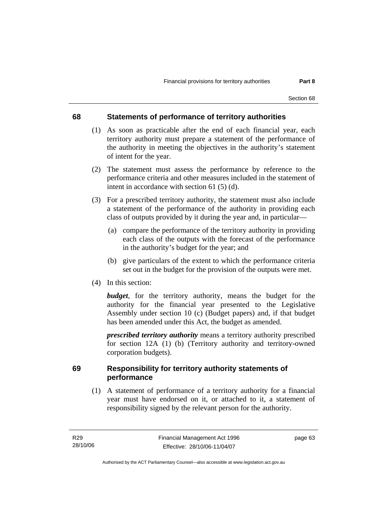### **68 Statements of performance of territory authorities**

- (1) As soon as practicable after the end of each financial year, each territory authority must prepare a statement of the performance of the authority in meeting the objectives in the authority's statement of intent for the year.
- (2) The statement must assess the performance by reference to the performance criteria and other measures included in the statement of intent in accordance with section 61 (5) (d).
- (3) For a prescribed territory authority, the statement must also include a statement of the performance of the authority in providing each class of outputs provided by it during the year and, in particular—
	- (a) compare the performance of the territory authority in providing each class of the outputs with the forecast of the performance in the authority's budget for the year; and
	- (b) give particulars of the extent to which the performance criteria set out in the budget for the provision of the outputs were met.
- (4) In this section:

*budget*, for the territory authority, means the budget for the authority for the financial year presented to the Legislative Assembly under section 10 (c) (Budget papers) and, if that budget has been amended under this Act, the budget as amended.

*prescribed territory authority* means a territory authority prescribed for section 12A (1) (b) (Territory authority and territory-owned corporation budgets).

### **69 Responsibility for territory authority statements of performance**

 (1) A statement of performance of a territory authority for a financial year must have endorsed on it, or attached to it, a statement of responsibility signed by the relevant person for the authority.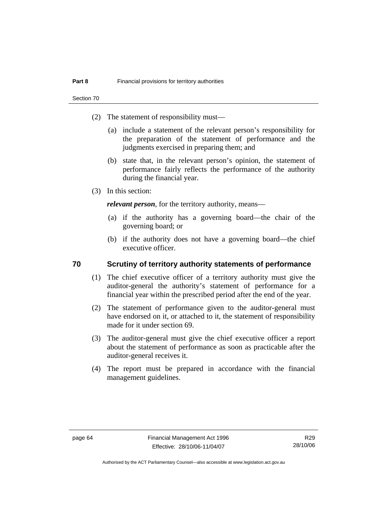Section 70

- (2) The statement of responsibility must—
	- (a) include a statement of the relevant person's responsibility for the preparation of the statement of performance and the judgments exercised in preparing them; and
	- (b) state that, in the relevant person's opinion, the statement of performance fairly reflects the performance of the authority during the financial year.
- (3) In this section:

*relevant person*, for the territory authority, means—

- (a) if the authority has a governing board—the chair of the governing board; or
- (b) if the authority does not have a governing board—the chief executive officer.

### **70 Scrutiny of territory authority statements of performance**

- (1) The chief executive officer of a territory authority must give the auditor-general the authority's statement of performance for a financial year within the prescribed period after the end of the year.
- (2) The statement of performance given to the auditor-general must have endorsed on it, or attached to it, the statement of responsibility made for it under section 69.
- (3) The auditor-general must give the chief executive officer a report about the statement of performance as soon as practicable after the auditor-general receives it.
- (4) The report must be prepared in accordance with the financial management guidelines.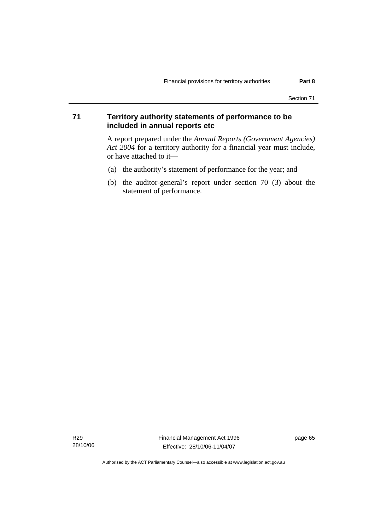### **71 Territory authority statements of performance to be included in annual reports etc**

A report prepared under the *Annual Reports (Government Agencies) Act 2004* for a territory authority for a financial year must include, or have attached to it—

- (a) the authority's statement of performance for the year; and
- (b) the auditor-general's report under section 70 (3) about the statement of performance.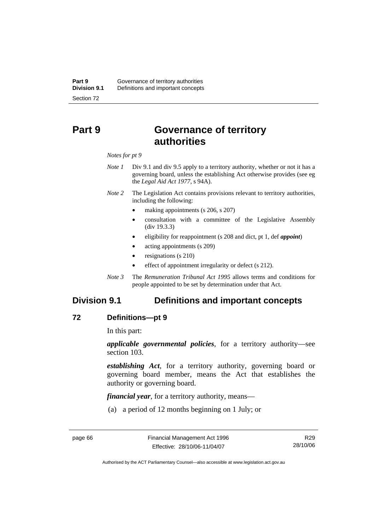# **Part 9 Governance of territory authorities**

#### *Notes for pt 9*

- *Note 1* Div 9.1 and div 9.5 apply to a territory authority, whether or not it has a governing board, unless the establishing Act otherwise provides (see eg the *Legal Aid Act 1977*, s 94A).
- *Note 2* The Legislation Act contains provisions relevant to territory authorities, including the following:
	- making appointments (s 206, s 207)
	- consultation with a committee of the Legislative Assembly (div 19.3.3)
	- eligibility for reappointment (s 208 and dict, pt 1, def *appoint*)
	- acting appointments (s 209)
	- resignations (s 210)
	- effect of appointment irregularity or defect (s 212).
- *Note 3* The *Remuneration Tribunal Act 1995* allows terms and conditions for people appointed to be set by determination under that Act.

# **Division 9.1 Definitions and important concepts**

### **72 Definitions—pt 9**

In this part:

*applicable governmental policies*, for a territory authority—see section 103.

*establishing Act*, for a territory authority, governing board or governing board member, means the Act that establishes the authority or governing board.

*financial year*, for a territory authority, means—

(a) a period of 12 months beginning on 1 July; or

R29 28/10/06

Authorised by the ACT Parliamentary Counsel—also accessible at www.legislation.act.gov.au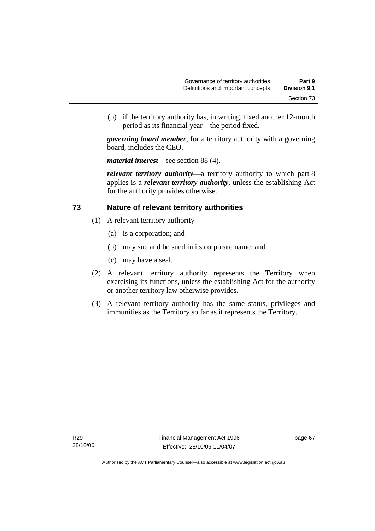(b) if the territory authority has, in writing, fixed another 12-month period as its financial year—the period fixed.

*governing board member*, for a territory authority with a governing board, includes the CEO.

*material interest*—see section 88 (4).

*relevant territory authority*—a territory authority to which part 8 applies is a *relevant territory authority*, unless the establishing Act for the authority provides otherwise.

### **73 Nature of relevant territory authorities**

- (1) A relevant territory authority—
	- (a) is a corporation; and
	- (b) may sue and be sued in its corporate name; and
	- (c) may have a seal.
- (2) A relevant territory authority represents the Territory when exercising its functions, unless the establishing Act for the authority or another territory law otherwise provides.
- (3) A relevant territory authority has the same status, privileges and immunities as the Territory so far as it represents the Territory.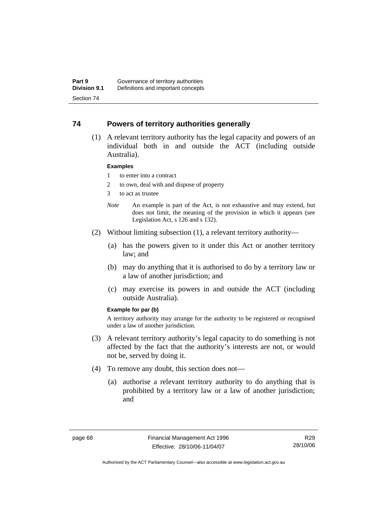### **74 Powers of territory authorities generally**

 (1) A relevant territory authority has the legal capacity and powers of an individual both in and outside the ACT (including outside Australia).

#### **Examples**

- 1 to enter into a contract
- 2 to own, deal with and dispose of property
- 3 to act as trustee
- *Note* An example is part of the Act, is not exhaustive and may extend, but does not limit, the meaning of the provision in which it appears (see Legislation Act, s 126 and s 132).
- (2) Without limiting subsection (1), a relevant territory authority—
	- (a) has the powers given to it under this Act or another territory law; and
	- (b) may do anything that it is authorised to do by a territory law or a law of another jurisdiction; and
	- (c) may exercise its powers in and outside the ACT (including outside Australia).

#### **Example for par (b)**

A territory authority may arrange for the authority to be registered or recognised under a law of another jurisdiction.

- (3) A relevant territory authority's legal capacity to do something is not affected by the fact that the authority's interests are not, or would not be, served by doing it.
- (4) To remove any doubt, this section does not—
	- (a) authorise a relevant territory authority to do anything that is prohibited by a territory law or a law of another jurisdiction; and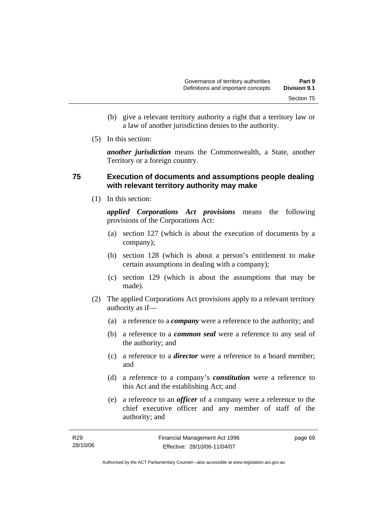- (b) give a relevant territory authority a right that a territory law or a law of another jurisdiction denies to the authority.
- (5) In this section:

*another jurisdiction* means the Commonwealth, a State, another Territory or a foreign country.

### **75 Execution of documents and assumptions people dealing with relevant territory authority may make**

(1) In this section:

*applied Corporations Act provisions* means the following provisions of the Corporations Act:

- (a) section 127 (which is about the execution of documents by a company);
- (b) section 128 (which is about a person's entitlement to make certain assumptions in dealing with a company);
- (c) section 129 (which is about the assumptions that may be made).
- (2) The applied Corporations Act provisions apply to a relevant territory authority as if—
	- (a) a reference to a *company* were a reference to the authority; and
	- (b) a reference to a *common seal* were a reference to any seal of the authority; and
	- (c) a reference to a *director* were a reference to a board member; and
	- (d) a reference to a company's *constitution* were a reference to this Act and the establishing Act; and
	- (e) a reference to an *officer* of a company were a reference to the chief executive officer and any member of staff of the authority; and

| R29      | Financial Management Act 1996 | page 69 |
|----------|-------------------------------|---------|
| 28/10/06 | Effective: 28/10/06-11/04/07  |         |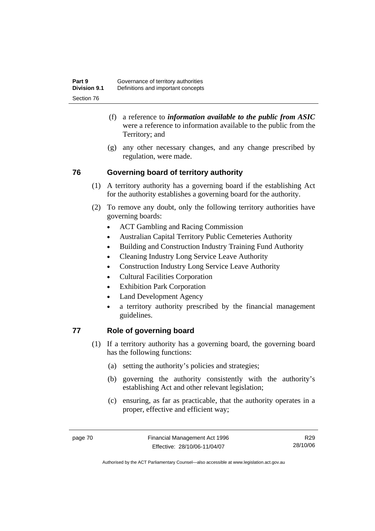- (f) a reference to *information available to the public from ASIC*  were a reference to information available to the public from the Territory; and
- (g) any other necessary changes, and any change prescribed by regulation, were made.

# **76 Governing board of territory authority**

- (1) A territory authority has a governing board if the establishing Act for the authority establishes a governing board for the authority.
- (2) To remove any doubt, only the following territory authorities have governing boards:
	- ACT Gambling and Racing Commission
	- Australian Capital Territory Public Cemeteries Authority
	- Building and Construction Industry Training Fund Authority
	- Cleaning Industry Long Service Leave Authority
	- Construction Industry Long Service Leave Authority
	- Cultural Facilities Corporation
	- Exhibition Park Corporation
	- Land Development Agency
	- a territory authority prescribed by the financial management guidelines.

# **77 Role of governing board**

- (1) If a territory authority has a governing board, the governing board has the following functions:
	- (a) setting the authority's policies and strategies;
	- (b) governing the authority consistently with the authority's establishing Act and other relevant legislation;
	- (c) ensuring, as far as practicable, that the authority operates in a proper, effective and efficient way;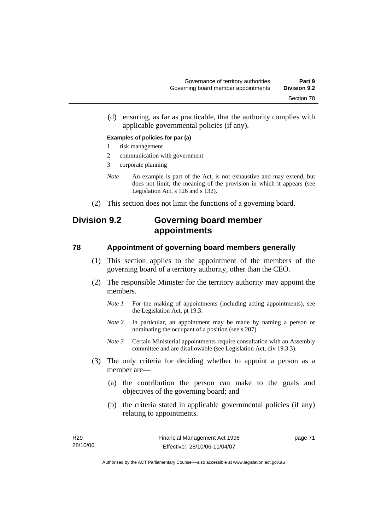(d) ensuring, as far as practicable, that the authority complies with applicable governmental policies (if any).

#### **Examples of policies for par (a)**

- 1 risk management
- 2 communication with government
- 3 corporate planning
- *Note* An example is part of the Act, is not exhaustive and may extend, but does not limit, the meaning of the provision in which it appears (see Legislation Act, s 126 and s 132).
- (2) This section does not limit the functions of a governing board.

# **Division 9.2 Governing board member appointments**

### **78 Appointment of governing board members generally**

- (1) This section applies to the appointment of the members of the governing board of a territory authority, other than the CEO.
- (2) The responsible Minister for the territory authority may appoint the members.
	- *Note 1* For the making of appointments (including acting appointments), see the Legislation Act, pt 19.3.
	- *Note 2* In particular, an appointment may be made by naming a person or nominating the occupant of a position (see s 207).
	- *Note 3* Certain Ministerial appointments require consultation with an Assembly committee and are disallowable (see Legislation Act, div 19.3.3).
- (3) The only criteria for deciding whether to appoint a person as a member are—
	- (a) the contribution the person can make to the goals and objectives of the governing board; and
	- (b) the criteria stated in applicable governmental policies (if any) relating to appointments.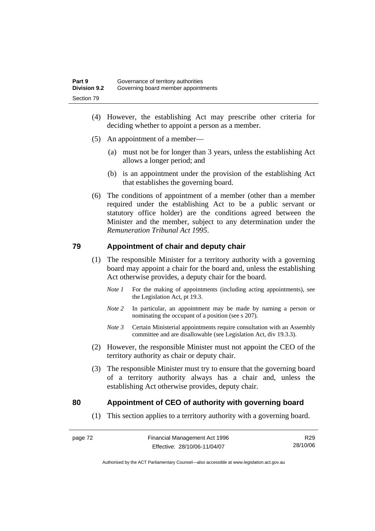- (4) However, the establishing Act may prescribe other criteria for deciding whether to appoint a person as a member.
- (5) An appointment of a member—
	- (a) must not be for longer than 3 years, unless the establishing Act allows a longer period; and
	- (b) is an appointment under the provision of the establishing Act that establishes the governing board.
- (6) The conditions of appointment of a member (other than a member required under the establishing Act to be a public servant or statutory office holder) are the conditions agreed between the Minister and the member, subject to any determination under the *Remuneration Tribunal Act 1995*.

### **79 Appointment of chair and deputy chair**

- (1) The responsible Minister for a territory authority with a governing board may appoint a chair for the board and, unless the establishing Act otherwise provides, a deputy chair for the board.
	- *Note 1* For the making of appointments (including acting appointments), see the Legislation Act, pt 19.3.
	- *Note 2* In particular, an appointment may be made by naming a person or nominating the occupant of a position (see s 207).
	- *Note 3* Certain Ministerial appointments require consultation with an Assembly committee and are disallowable (see Legislation Act, div 19.3.3).
- (2) However, the responsible Minister must not appoint the CEO of the territory authority as chair or deputy chair.
- (3) The responsible Minister must try to ensure that the governing board of a territory authority always has a chair and, unless the establishing Act otherwise provides, deputy chair.

### **80 Appointment of CEO of authority with governing board**

(1) This section applies to a territory authority with a governing board.

R29 28/10/06

Authorised by the ACT Parliamentary Counsel—also accessible at www.legislation.act.gov.au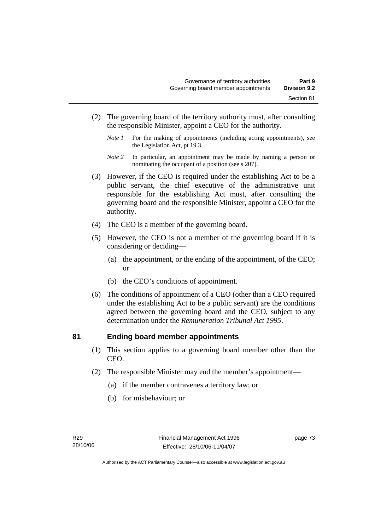- (2) The governing board of the territory authority must, after consulting the responsible Minister, appoint a CEO for the authority.
	- *Note 1* For the making of appointments (including acting appointments), see the Legislation Act, pt 19.3.
	- *Note 2* In particular, an appointment may be made by naming a person or nominating the occupant of a position (see s 207).
- (3) However, if the CEO is required under the establishing Act to be a public servant, the chief executive of the administrative unit responsible for the establishing Act must, after consulting the governing board and the responsible Minister, appoint a CEO for the authority.
- (4) The CEO is a member of the governing board.
- (5) However, the CEO is not a member of the governing board if it is considering or deciding—
	- (a) the appointment, or the ending of the appointment, of the CEO; or
	- (b) the CEO's conditions of appointment.
- (6) The conditions of appointment of a CEO (other than a CEO required under the establishing Act to be a public servant) are the conditions agreed between the governing board and the CEO, subject to any determination under the *Remuneration Tribunal Act 1995*.

### **81 Ending board member appointments**

- (1) This section applies to a governing board member other than the CEO.
- (2) The responsible Minister may end the member's appointment—
	- (a) if the member contravenes a territory law; or
	- (b) for misbehaviour; or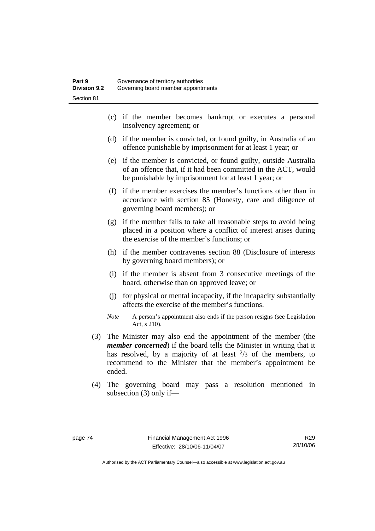- (c) if the member becomes bankrupt or executes a personal insolvency agreement; or
- (d) if the member is convicted, or found guilty, in Australia of an offence punishable by imprisonment for at least 1 year; or
- (e) if the member is convicted, or found guilty, outside Australia of an offence that, if it had been committed in the ACT, would be punishable by imprisonment for at least 1 year; or
- (f) if the member exercises the member's functions other than in accordance with section 85 (Honesty, care and diligence of governing board members); or
- (g) if the member fails to take all reasonable steps to avoid being placed in a position where a conflict of interest arises during the exercise of the member's functions; or
- (h) if the member contravenes section 88 (Disclosure of interests by governing board members); or
- (i) if the member is absent from 3 consecutive meetings of the board, otherwise than on approved leave; or
- (j) for physical or mental incapacity, if the incapacity substantially affects the exercise of the member's functions.
- *Note* A person's appointment also ends if the person resigns (see Legislation Act, s 210).
- (3) The Minister may also end the appointment of the member (the *member concerned*) if the board tells the Minister in writing that it has resolved, by a majority of at least  $\frac{2}{3}$  of the members, to recommend to the Minister that the member's appointment be ended.
- (4) The governing board may pass a resolution mentioned in subsection (3) only if—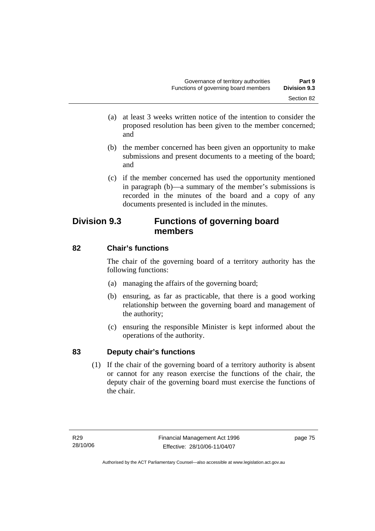- (a) at least 3 weeks written notice of the intention to consider the proposed resolution has been given to the member concerned; and
- (b) the member concerned has been given an opportunity to make submissions and present documents to a meeting of the board; and
- (c) if the member concerned has used the opportunity mentioned in paragraph (b)—a summary of the member's submissions is recorded in the minutes of the board and a copy of any documents presented is included in the minutes.

# **Division 9.3 Functions of governing board members**

# **82 Chair's functions**

The chair of the governing board of a territory authority has the following functions:

- (a) managing the affairs of the governing board;
- (b) ensuring, as far as practicable, that there is a good working relationship between the governing board and management of the authority;
- (c) ensuring the responsible Minister is kept informed about the operations of the authority.

# **83 Deputy chair's functions**

 (1) If the chair of the governing board of a territory authority is absent or cannot for any reason exercise the functions of the chair, the deputy chair of the governing board must exercise the functions of the chair.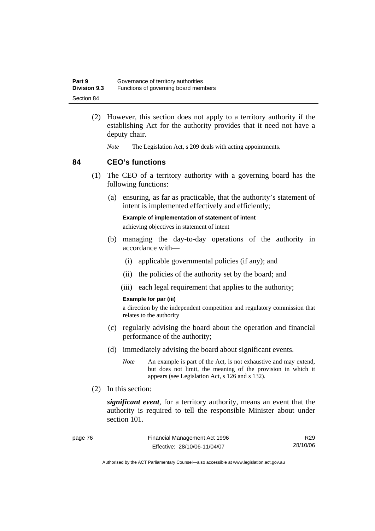| Part 9              | Governance of territory authorities  |
|---------------------|--------------------------------------|
| <b>Division 9.3</b> | Functions of governing board members |
| Section 84          |                                      |

- (2) However, this section does not apply to a territory authority if the establishing Act for the authority provides that it need not have a deputy chair.
	- *Note* The Legislation Act, s 209 deals with acting appointments.

### **84 CEO's functions**

- (1) The CEO of a territory authority with a governing board has the following functions:
	- (a) ensuring, as far as practicable, that the authority's statement of intent is implemented effectively and efficiently;

**Example of implementation of statement of intent** 

achieving objectives in statement of intent

- (b) managing the day-to-day operations of the authority in accordance with—
	- (i) applicable governmental policies (if any); and
	- (ii) the policies of the authority set by the board; and
	- (iii) each legal requirement that applies to the authority;

#### **Example for par (iii)**

a direction by the independent competition and regulatory commission that relates to the authority

- (c) regularly advising the board about the operation and financial performance of the authority;
- (d) immediately advising the board about significant events.
	- *Note* An example is part of the Act, is not exhaustive and may extend, but does not limit, the meaning of the provision in which it appears (see Legislation Act, s 126 and s 132).
- (2) In this section:

*significant event*, for a territory authority, means an event that the authority is required to tell the responsible Minister about under section 101.

| page 76 | Financial Management Act 1996 | R <sub>29</sub> |
|---------|-------------------------------|-----------------|
|         | Effective: 28/10/06-11/04/07  | 28/10/06        |

Authorised by the ACT Parliamentary Counsel—also accessible at www.legislation.act.gov.au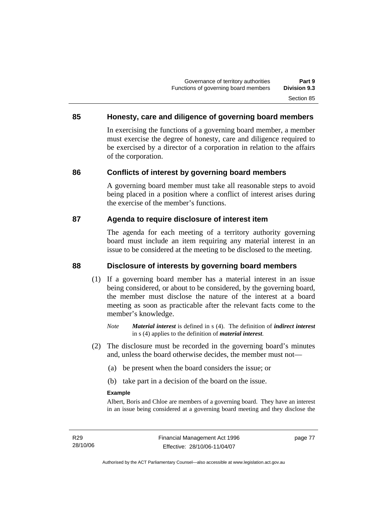### **85 Honesty, care and diligence of governing board members**

In exercising the functions of a governing board member, a member must exercise the degree of honesty, care and diligence required to be exercised by a director of a corporation in relation to the affairs of the corporation.

### **86 Conflicts of interest by governing board members**

A governing board member must take all reasonable steps to avoid being placed in a position where a conflict of interest arises during the exercise of the member's functions.

### **87 Agenda to require disclosure of interest item**

The agenda for each meeting of a territory authority governing board must include an item requiring any material interest in an issue to be considered at the meeting to be disclosed to the meeting.

### **88 Disclosure of interests by governing board members**

- (1) If a governing board member has a material interest in an issue being considered, or about to be considered, by the governing board, the member must disclose the nature of the interest at a board meeting as soon as practicable after the relevant facts come to the member's knowledge.
	- *Note Material interest* is defined in s (4). The definition of *indirect interest* in s (4) applies to the definition of *material interest*.
- (2) The disclosure must be recorded in the governing board's minutes and, unless the board otherwise decides, the member must not—
	- (a) be present when the board considers the issue; or
	- (b) take part in a decision of the board on the issue.

#### **Example**

Albert, Boris and Chloe are members of a governing board. They have an interest in an issue being considered at a governing board meeting and they disclose the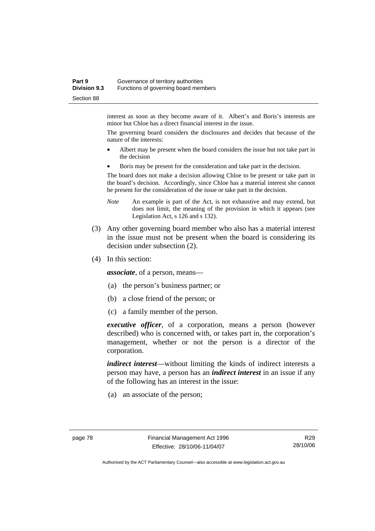#### **Part 9 Governance of territory authorities Division 9.3** Functions of governing board members Section 88

interest as soon as they become aware of it. Albert's and Boris's interests are minor but Chloe has a direct financial interest in the issue.

The governing board considers the disclosures and decides that because of the nature of the interests:

- Albert may be present when the board considers the issue but not take part in the decision
- Boris may be present for the consideration and take part in the decision.

The board does not make a decision allowing Chloe to be present or take part in the board's decision. Accordingly, since Chloe has a material interest she cannot be present for the consideration of the issue or take part in the decision.

- *Note* An example is part of the Act, is not exhaustive and may extend, but does not limit, the meaning of the provision in which it appears (see Legislation Act, s 126 and s 132).
- (3) Any other governing board member who also has a material interest in the issue must not be present when the board is considering its decision under subsection (2).
- (4) In this section:

*associate*, of a person, means—

- (a) the person's business partner; or
- (b) a close friend of the person; or
- (c) a family member of the person.

*executive officer*, of a corporation, means a person (however described) who is concerned with, or takes part in, the corporation's management, whether or not the person is a director of the corporation.

*indirect interest*—without limiting the kinds of indirect interests a person may have, a person has an *indirect interest* in an issue if any of the following has an interest in the issue:

(a) an associate of the person;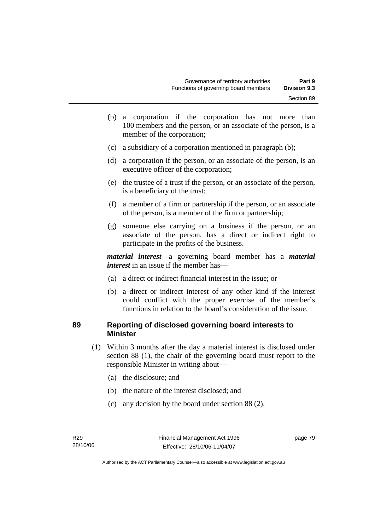- (b) a corporation if the corporation has not more than 100 members and the person, or an associate of the person, is a member of the corporation;
- (c) a subsidiary of a corporation mentioned in paragraph (b);
- (d) a corporation if the person, or an associate of the person, is an executive officer of the corporation;
- (e) the trustee of a trust if the person, or an associate of the person, is a beneficiary of the trust;
- (f) a member of a firm or partnership if the person, or an associate of the person, is a member of the firm or partnership;
- (g) someone else carrying on a business if the person, or an associate of the person, has a direct or indirect right to participate in the profits of the business.

*material interest*—a governing board member has a *material interest* in an issue if the member has—

- (a) a direct or indirect financial interest in the issue; or
- (b) a direct or indirect interest of any other kind if the interest could conflict with the proper exercise of the member's functions in relation to the board's consideration of the issue.

### **89 Reporting of disclosed governing board interests to Minister**

- (1) Within 3 months after the day a material interest is disclosed under section 88 (1), the chair of the governing board must report to the responsible Minister in writing about—
	- (a) the disclosure; and
	- (b) the nature of the interest disclosed; and
	- (c) any decision by the board under section 88 (2).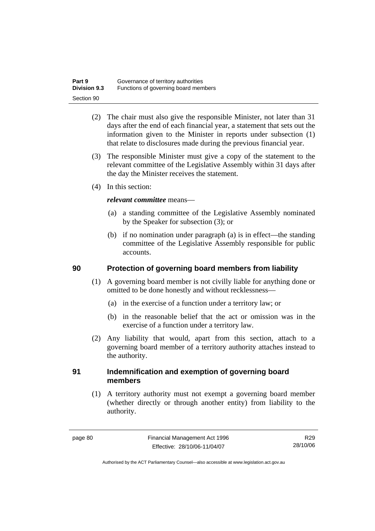| Part 9              | Governance of territory authorities  |
|---------------------|--------------------------------------|
| <b>Division 9.3</b> | Functions of governing board members |
| Section 90          |                                      |

- (2) The chair must also give the responsible Minister, not later than 31 days after the end of each financial year, a statement that sets out the information given to the Minister in reports under subsection (1) that relate to disclosures made during the previous financial year.
- (3) The responsible Minister must give a copy of the statement to the relevant committee of the Legislative Assembly within 31 days after the day the Minister receives the statement.
- (4) In this section:

### *relevant committee* means—

- (a) a standing committee of the Legislative Assembly nominated by the Speaker for subsection (3); or
- (b) if no nomination under paragraph (a) is in effect—the standing committee of the Legislative Assembly responsible for public accounts.

### **90 Protection of governing board members from liability**

- (1) A governing board member is not civilly liable for anything done or omitted to be done honestly and without recklessness—
	- (a) in the exercise of a function under a territory law; or
	- (b) in the reasonable belief that the act or omission was in the exercise of a function under a territory law.
- (2) Any liability that would, apart from this section, attach to a governing board member of a territory authority attaches instead to the authority.

### **91 Indemnification and exemption of governing board members**

 (1) A territory authority must not exempt a governing board member (whether directly or through another entity) from liability to the authority.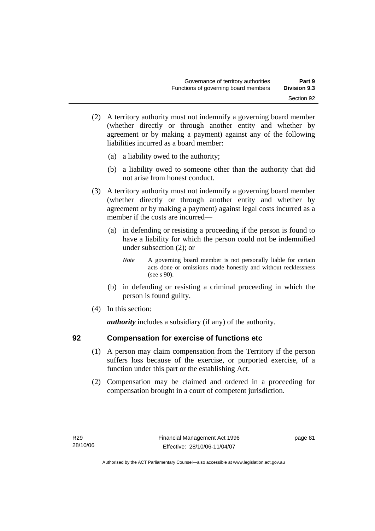- (2) A territory authority must not indemnify a governing board member (whether directly or through another entity and whether by agreement or by making a payment) against any of the following liabilities incurred as a board member:
	- (a) a liability owed to the authority;
	- (b) a liability owed to someone other than the authority that did not arise from honest conduct.
- (3) A territory authority must not indemnify a governing board member (whether directly or through another entity and whether by agreement or by making a payment) against legal costs incurred as a member if the costs are incurred—
	- (a) in defending or resisting a proceeding if the person is found to have a liability for which the person could not be indemnified under subsection (2); or
		- *Note* A governing board member is not personally liable for certain acts done or omissions made honestly and without recklessness (see s 90).
	- (b) in defending or resisting a criminal proceeding in which the person is found guilty.
- (4) In this section:

*authority* includes a subsidiary (if any) of the authority.

### **92 Compensation for exercise of functions etc**

- (1) A person may claim compensation from the Territory if the person suffers loss because of the exercise, or purported exercise, of a function under this part or the establishing Act.
- (2) Compensation may be claimed and ordered in a proceeding for compensation brought in a court of competent jurisdiction.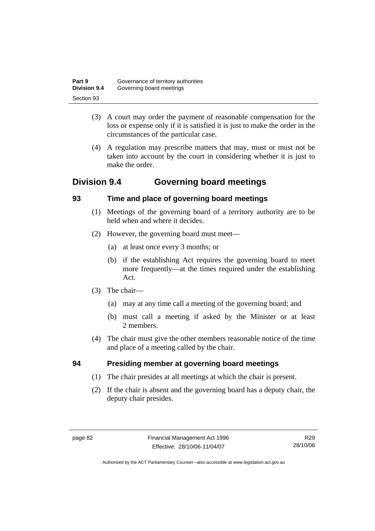| Part 9              | Governance of territory authorities |
|---------------------|-------------------------------------|
| <b>Division 9.4</b> | Governing board meetings            |
| Section 93          |                                     |

- (3) A court may order the payment of reasonable compensation for the loss or expense only if it is satisfied it is just to make the order in the circumstances of the particular case.
- (4) A regulation may prescribe matters that may, must or must not be taken into account by the court in considering whether it is just to make the order.

# **Division 9.4 Governing board meetings**

# **93 Time and place of governing board meetings**

- (1) Meetings of the governing board of a territory authority are to be held when and where it decides.
- (2) However, the governing board must meet—
	- (a) at least once every 3 months; or
	- (b) if the establishing Act requires the governing board to meet more frequently—at the times required under the establishing Act.
- (3) The chair—
	- (a) may at any time call a meeting of the governing board; and
	- (b) must call a meeting if asked by the Minister or at least 2 members.
- (4) The chair must give the other members reasonable notice of the time and place of a meeting called by the chair.

# **94 Presiding member at governing board meetings**

- (1) The chair presides at all meetings at which the chair is present.
- (2) If the chair is absent and the governing board has a deputy chair, the deputy chair presides.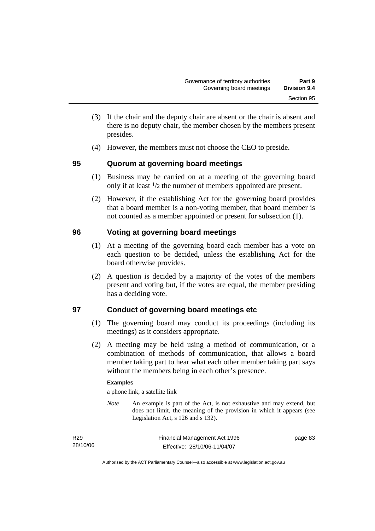- (3) If the chair and the deputy chair are absent or the chair is absent and there is no deputy chair, the member chosen by the members present presides.
- (4) However, the members must not choose the CEO to preside.

### **95 Quorum at governing board meetings**

- (1) Business may be carried on at a meeting of the governing board only if at least 1/2 the number of members appointed are present.
- (2) However, if the establishing Act for the governing board provides that a board member is a non-voting member, that board member is not counted as a member appointed or present for subsection (1).

# **96 Voting at governing board meetings**

- (1) At a meeting of the governing board each member has a vote on each question to be decided, unless the establishing Act for the board otherwise provides.
- (2) A question is decided by a majority of the votes of the members present and voting but, if the votes are equal, the member presiding has a deciding vote.

### **97 Conduct of governing board meetings etc**

- (1) The governing board may conduct its proceedings (including its meetings) as it considers appropriate.
- (2) A meeting may be held using a method of communication, or a combination of methods of communication, that allows a board member taking part to hear what each other member taking part says without the members being in each other's presence.

### **Examples**

a phone link, a satellite link

*Note* An example is part of the Act, is not exhaustive and may extend, but does not limit, the meaning of the provision in which it appears (see Legislation Act, s 126 and s 132).

| R <sub>29</sub> | Financial Management Act 1996 | page 83 |
|-----------------|-------------------------------|---------|
| 28/10/06        | Effective: 28/10/06-11/04/07  |         |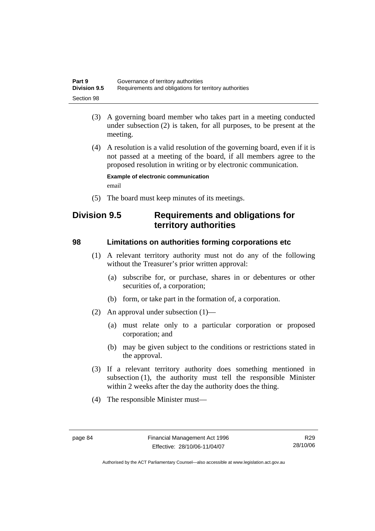| Part 9              | Governance of territory authorities                    |
|---------------------|--------------------------------------------------------|
| <b>Division 9.5</b> | Requirements and obligations for territory authorities |
| Section 98          |                                                        |

- (3) A governing board member who takes part in a meeting conducted under subsection (2) is taken, for all purposes, to be present at the meeting.
- (4) A resolution is a valid resolution of the governing board, even if it is not passed at a meeting of the board, if all members agree to the proposed resolution in writing or by electronic communication.

**Example of electronic communication**  email

(5) The board must keep minutes of its meetings.

# **Division 9.5 Requirements and obligations for territory authorities**

### **98 Limitations on authorities forming corporations etc**

- (1) A relevant territory authority must not do any of the following without the Treasurer's prior written approval:
	- (a) subscribe for, or purchase, shares in or debentures or other securities of, a corporation;
	- (b) form, or take part in the formation of, a corporation.
- (2) An approval under subsection (1)—
	- (a) must relate only to a particular corporation or proposed corporation; and
	- (b) may be given subject to the conditions or restrictions stated in the approval.
- (3) If a relevant territory authority does something mentioned in subsection (1), the authority must tell the responsible Minister within 2 weeks after the day the authority does the thing.
- (4) The responsible Minister must—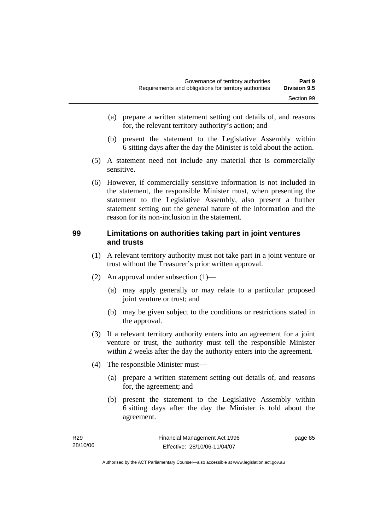- (a) prepare a written statement setting out details of, and reasons for, the relevant territory authority's action; and
- (b) present the statement to the Legislative Assembly within 6 sitting days after the day the Minister is told about the action.
- (5) A statement need not include any material that is commercially sensitive.
- (6) However, if commercially sensitive information is not included in the statement, the responsible Minister must, when presenting the statement to the Legislative Assembly, also present a further statement setting out the general nature of the information and the reason for its non-inclusion in the statement.

### **99 Limitations on authorities taking part in joint ventures and trusts**

- (1) A relevant territory authority must not take part in a joint venture or trust without the Treasurer's prior written approval.
- (2) An approval under subsection (1)—
	- (a) may apply generally or may relate to a particular proposed joint venture or trust; and
	- (b) may be given subject to the conditions or restrictions stated in the approval.
- (3) If a relevant territory authority enters into an agreement for a joint venture or trust, the authority must tell the responsible Minister within 2 weeks after the day the authority enters into the agreement.
- (4) The responsible Minister must—
	- (a) prepare a written statement setting out details of, and reasons for, the agreement; and
	- (b) present the statement to the Legislative Assembly within 6 sitting days after the day the Minister is told about the agreement.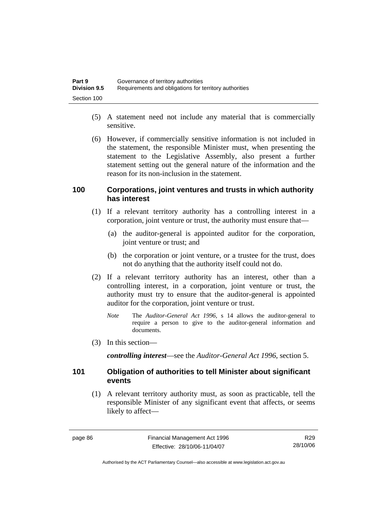| Part 9              | Governance of territory authorities                    |
|---------------------|--------------------------------------------------------|
| <b>Division 9.5</b> | Requirements and obligations for territory authorities |
| Section 100         |                                                        |

- (5) A statement need not include any material that is commercially sensitive.
- (6) However, if commercially sensitive information is not included in the statement, the responsible Minister must, when presenting the statement to the Legislative Assembly, also present a further statement setting out the general nature of the information and the reason for its non-inclusion in the statement.

### **100 Corporations, joint ventures and trusts in which authority has interest**

- (1) If a relevant territory authority has a controlling interest in a corporation, joint venture or trust, the authority must ensure that—
	- (a) the auditor-general is appointed auditor for the corporation, joint venture or trust; and
	- (b) the corporation or joint venture, or a trustee for the trust, does not do anything that the authority itself could not do.
- (2) If a relevant territory authority has an interest, other than a controlling interest, in a corporation, joint venture or trust, the authority must try to ensure that the auditor-general is appointed auditor for the corporation, joint venture or trust.
	- *Note* The *Auditor-General Act 1996*, s 14 allows the auditor-general to require a person to give to the auditor-general information and documents.
- (3) In this section—

*controlling interest*—see the *Auditor-General Act 1996*, section 5.

### **101 Obligation of authorities to tell Minister about significant events**

 (1) A relevant territory authority must, as soon as practicable, tell the responsible Minister of any significant event that affects, or seems likely to affect—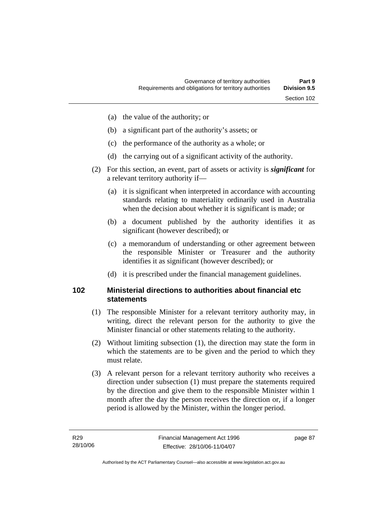- (a) the value of the authority; or
- (b) a significant part of the authority's assets; or
- (c) the performance of the authority as a whole; or
- (d) the carrying out of a significant activity of the authority.
- (2) For this section, an event, part of assets or activity is *significant* for a relevant territory authority if—
	- (a) it is significant when interpreted in accordance with accounting standards relating to materiality ordinarily used in Australia when the decision about whether it is significant is made; or
	- (b) a document published by the authority identifies it as significant (however described); or
	- (c) a memorandum of understanding or other agreement between the responsible Minister or Treasurer and the authority identifies it as significant (however described); or
	- (d) it is prescribed under the financial management guidelines.

### **102 Ministerial directions to authorities about financial etc statements**

- (1) The responsible Minister for a relevant territory authority may, in writing, direct the relevant person for the authority to give the Minister financial or other statements relating to the authority.
- (2) Without limiting subsection (1), the direction may state the form in which the statements are to be given and the period to which they must relate.
- (3) A relevant person for a relevant territory authority who receives a direction under subsection (1) must prepare the statements required by the direction and give them to the responsible Minister within 1 month after the day the person receives the direction or, if a longer period is allowed by the Minister, within the longer period.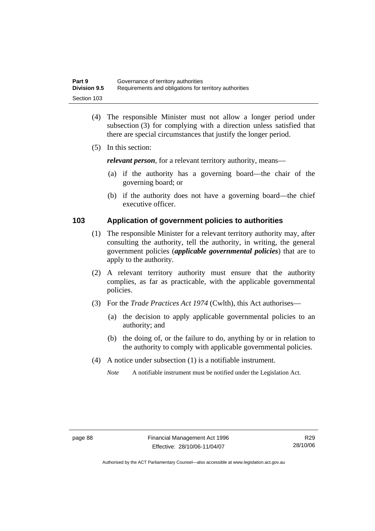| Part 9              | Governance of territory authorities                    |
|---------------------|--------------------------------------------------------|
| <b>Division 9.5</b> | Requirements and obligations for territory authorities |
| Section 103         |                                                        |

- (4) The responsible Minister must not allow a longer period under subsection (3) for complying with a direction unless satisfied that there are special circumstances that justify the longer period.
- (5) In this section:

*relevant person*, for a relevant territory authority, means—

- (a) if the authority has a governing board—the chair of the governing board; or
- (b) if the authority does not have a governing board—the chief executive officer.

### **103 Application of government policies to authorities**

- (1) The responsible Minister for a relevant territory authority may, after consulting the authority, tell the authority, in writing, the general government policies (*applicable governmental policies*) that are to apply to the authority.
- (2) A relevant territory authority must ensure that the authority complies, as far as practicable, with the applicable governmental policies.
- (3) For the *Trade Practices Act 1974* (Cwlth), this Act authorises—
	- (a) the decision to apply applicable governmental policies to an authority; and
	- (b) the doing of, or the failure to do, anything by or in relation to the authority to comply with applicable governmental policies.
- (4) A notice under subsection (1) is a notifiable instrument.

*Note* A notifiable instrument must be notified under the Legislation Act.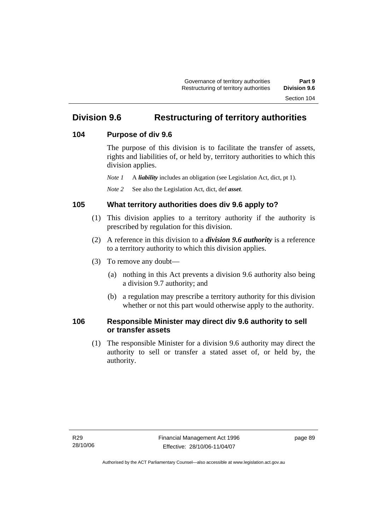# **Division 9.6 Restructuring of territory authorities**

### **104 Purpose of div 9.6**

The purpose of this division is to facilitate the transfer of assets, rights and liabilities of, or held by, territory authorities to which this division applies.

*Note 1* A *liability* includes an obligation (see Legislation Act, dict, pt 1).

*Note 2* See also the Legislation Act, dict, def *asset*.

# **105 What territory authorities does div 9.6 apply to?**

- (1) This division applies to a territory authority if the authority is prescribed by regulation for this division.
- (2) A reference in this division to a *division 9.6 authority* is a reference to a territory authority to which this division applies.
- (3) To remove any doubt—
	- (a) nothing in this Act prevents a division 9.6 authority also being a division 9.7 authority; and
	- (b) a regulation may prescribe a territory authority for this division whether or not this part would otherwise apply to the authority.

### **106 Responsible Minister may direct div 9.6 authority to sell or transfer assets**

 (1) The responsible Minister for a division 9.6 authority may direct the authority to sell or transfer a stated asset of, or held by, the authority.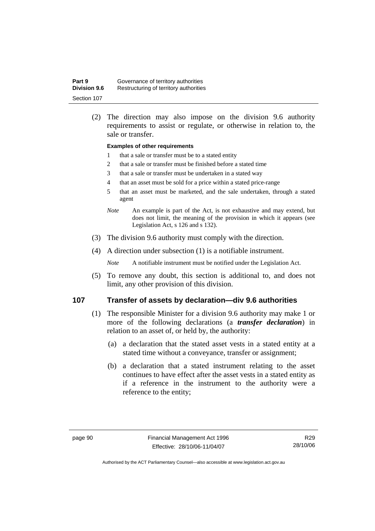| Part 9              | Governance of territory authorities    |
|---------------------|----------------------------------------|
| <b>Division 9.6</b> | Restructuring of territory authorities |
| Section 107         |                                        |

 (2) The direction may also impose on the division 9.6 authority requirements to assist or regulate, or otherwise in relation to, the sale or transfer.

#### **Examples of other requirements**

- 1 that a sale or transfer must be to a stated entity
- 2 that a sale or transfer must be finished before a stated time
- 3 that a sale or transfer must be undertaken in a stated way
- 4 that an asset must be sold for a price within a stated price-range
- 5 that an asset must be marketed, and the sale undertaken, through a stated agent
- *Note* An example is part of the Act, is not exhaustive and may extend, but does not limit, the meaning of the provision in which it appears (see Legislation Act, s 126 and s 132).
- (3) The division 9.6 authority must comply with the direction.
- (4) A direction under subsection (1) is a notifiable instrument.

*Note* A notifiable instrument must be notified under the Legislation Act.

 (5) To remove any doubt, this section is additional to, and does not limit, any other provision of this division.

### **107 Transfer of assets by declaration—div 9.6 authorities**

- (1) The responsible Minister for a division 9.6 authority may make 1 or more of the following declarations (a *transfer declaration*) in relation to an asset of, or held by, the authority:
	- (a) a declaration that the stated asset vests in a stated entity at a stated time without a conveyance, transfer or assignment;
	- (b) a declaration that a stated instrument relating to the asset continues to have effect after the asset vests in a stated entity as if a reference in the instrument to the authority were a reference to the entity;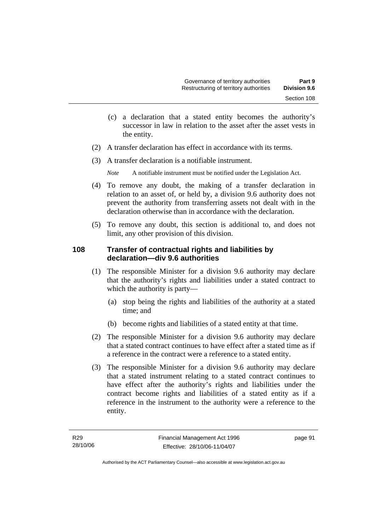- (c) a declaration that a stated entity becomes the authority's successor in law in relation to the asset after the asset vests in the entity.
- (2) A transfer declaration has effect in accordance with its terms.
- (3) A transfer declaration is a notifiable instrument.

*Note* A notifiable instrument must be notified under the Legislation Act.

- (4) To remove any doubt, the making of a transfer declaration in relation to an asset of, or held by, a division 9.6 authority does not prevent the authority from transferring assets not dealt with in the declaration otherwise than in accordance with the declaration.
- (5) To remove any doubt, this section is additional to, and does not limit, any other provision of this division.

### **108 Transfer of contractual rights and liabilities by declaration—div 9.6 authorities**

- (1) The responsible Minister for a division 9.6 authority may declare that the authority's rights and liabilities under a stated contract to which the authority is party—
	- (a) stop being the rights and liabilities of the authority at a stated time; and
	- (b) become rights and liabilities of a stated entity at that time.
- (2) The responsible Minister for a division 9.6 authority may declare that a stated contract continues to have effect after a stated time as if a reference in the contract were a reference to a stated entity.
- (3) The responsible Minister for a division 9.6 authority may declare that a stated instrument relating to a stated contract continues to have effect after the authority's rights and liabilities under the contract become rights and liabilities of a stated entity as if a reference in the instrument to the authority were a reference to the entity.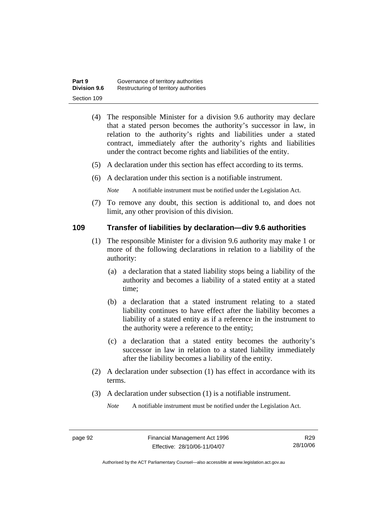| Part 9              | Governance of territory authorities    |  |
|---------------------|----------------------------------------|--|
| <b>Division 9.6</b> | Restructuring of territory authorities |  |
| Section 109         |                                        |  |

- (4) The responsible Minister for a division 9.6 authority may declare that a stated person becomes the authority's successor in law, in relation to the authority's rights and liabilities under a stated contract, immediately after the authority's rights and liabilities under the contract become rights and liabilities of the entity.
- (5) A declaration under this section has effect according to its terms.
- (6) A declaration under this section is a notifiable instrument.

*Note* A notifiable instrument must be notified under the Legislation Act.

 (7) To remove any doubt, this section is additional to, and does not limit, any other provision of this division.

### **109 Transfer of liabilities by declaration—div 9.6 authorities**

- (1) The responsible Minister for a division 9.6 authority may make 1 or more of the following declarations in relation to a liability of the authority:
	- (a) a declaration that a stated liability stops being a liability of the authority and becomes a liability of a stated entity at a stated time;
	- (b) a declaration that a stated instrument relating to a stated liability continues to have effect after the liability becomes a liability of a stated entity as if a reference in the instrument to the authority were a reference to the entity;
	- (c) a declaration that a stated entity becomes the authority's successor in law in relation to a stated liability immediately after the liability becomes a liability of the entity.
- (2) A declaration under subsection (1) has effect in accordance with its terms.
- (3) A declaration under subsection (1) is a notifiable instrument.

*Note* A notifiable instrument must be notified under the Legislation Act.

Authorised by the ACT Parliamentary Counsel—also accessible at www.legislation.act.gov.au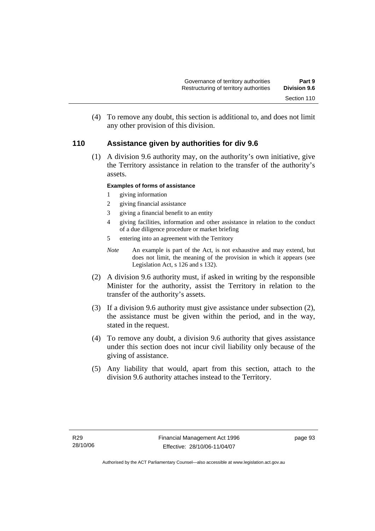(4) To remove any doubt, this section is additional to, and does not limit any other provision of this division.

### **110 Assistance given by authorities for div 9.6**

 (1) A division 9.6 authority may, on the authority's own initiative, give the Territory assistance in relation to the transfer of the authority's assets.

### **Examples of forms of assistance**

- 1 giving information
- 2 giving financial assistance
- 3 giving a financial benefit to an entity
- 4 giving facilities, information and other assistance in relation to the conduct of a due diligence procedure or market briefing
- 5 entering into an agreement with the Territory
- *Note* An example is part of the Act, is not exhaustive and may extend, but does not limit, the meaning of the provision in which it appears (see Legislation Act, s 126 and s 132).
- (2) A division 9.6 authority must, if asked in writing by the responsible Minister for the authority, assist the Territory in relation to the transfer of the authority's assets.
- (3) If a division 9.6 authority must give assistance under subsection (2), the assistance must be given within the period, and in the way, stated in the request.
- (4) To remove any doubt, a division 9.6 authority that gives assistance under this section does not incur civil liability only because of the giving of assistance.
- (5) Any liability that would, apart from this section, attach to the division 9.6 authority attaches instead to the Territory.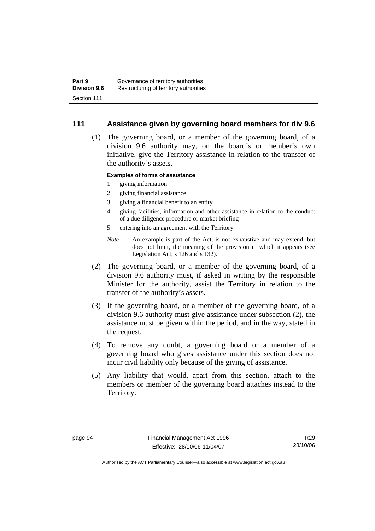### **111 Assistance given by governing board members for div 9.6**

 (1) The governing board, or a member of the governing board, of a division 9.6 authority may, on the board's or member's own initiative, give the Territory assistance in relation to the transfer of the authority's assets.

### **Examples of forms of assistance**

- 1 giving information
- 2 giving financial assistance
- 3 giving a financial benefit to an entity
- 4 giving facilities, information and other assistance in relation to the conduct of a due diligence procedure or market briefing
- 5 entering into an agreement with the Territory
- *Note* An example is part of the Act, is not exhaustive and may extend, but does not limit, the meaning of the provision in which it appears (see Legislation Act, s 126 and s 132).
- (2) The governing board, or a member of the governing board, of a division 9.6 authority must, if asked in writing by the responsible Minister for the authority, assist the Territory in relation to the transfer of the authority's assets.
- (3) If the governing board, or a member of the governing board, of a division 9.6 authority must give assistance under subsection (2), the assistance must be given within the period, and in the way, stated in the request.
- (4) To remove any doubt, a governing board or a member of a governing board who gives assistance under this section does not incur civil liability only because of the giving of assistance.
- (5) Any liability that would, apart from this section, attach to the members or member of the governing board attaches instead to the Territory.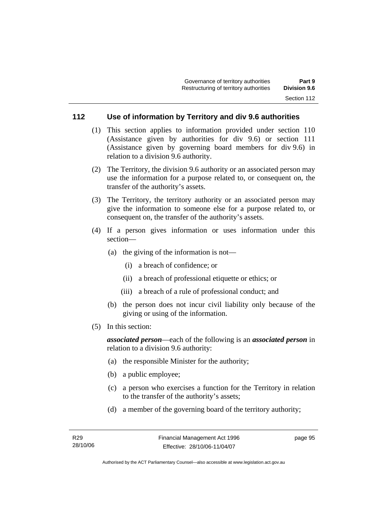### **112 Use of information by Territory and div 9.6 authorities**

- (1) This section applies to information provided under section 110 (Assistance given by authorities for div 9.6) or section 111 (Assistance given by governing board members for div 9.6) in relation to a division 9.6 authority.
- (2) The Territory, the division 9.6 authority or an associated person may use the information for a purpose related to, or consequent on, the transfer of the authority's assets.
- (3) The Territory, the territory authority or an associated person may give the information to someone else for a purpose related to, or consequent on, the transfer of the authority's assets.
- (4) If a person gives information or uses information under this section—
	- (a) the giving of the information is not—
		- (i) a breach of confidence; or
		- (ii) a breach of professional etiquette or ethics; or
		- (iii) a breach of a rule of professional conduct; and
	- (b) the person does not incur civil liability only because of the giving or using of the information.
- (5) In this section:

*associated person*—each of the following is an *associated person* in relation to a division 9.6 authority:

- (a) the responsible Minister for the authority;
- (b) a public employee;
- (c) a person who exercises a function for the Territory in relation to the transfer of the authority's assets;
- (d) a member of the governing board of the territory authority;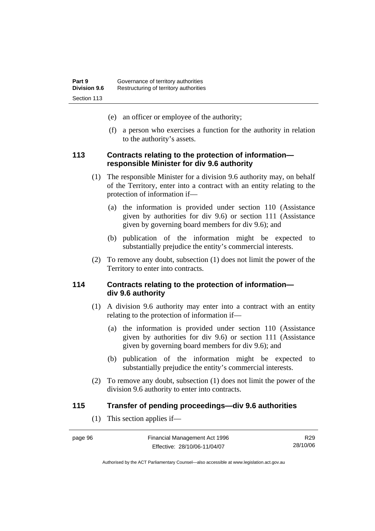- (e) an officer or employee of the authority;
- (f) a person who exercises a function for the authority in relation to the authority's assets.

### **113 Contracts relating to the protection of information responsible Minister for div 9.6 authority**

- (1) The responsible Minister for a division 9.6 authority may, on behalf of the Territory, enter into a contract with an entity relating to the protection of information if—
	- (a) the information is provided under section 110 (Assistance given by authorities for div 9.6) or section 111 (Assistance given by governing board members for div 9.6); and
	- (b) publication of the information might be expected to substantially prejudice the entity's commercial interests.
- (2) To remove any doubt, subsection (1) does not limit the power of the Territory to enter into contracts.

### **114 Contracts relating to the protection of information div 9.6 authority**

- (1) A division 9.6 authority may enter into a contract with an entity relating to the protection of information if—
	- (a) the information is provided under section 110 (Assistance given by authorities for div 9.6) or section 111 (Assistance given by governing board members for div 9.6); and
	- (b) publication of the information might be expected to substantially prejudice the entity's commercial interests.
- (2) To remove any doubt, subsection (1) does not limit the power of the division 9.6 authority to enter into contracts.

### **115 Transfer of pending proceedings—div 9.6 authorities**

(1) This section applies if—

| page 96 | Financial Management Act 1996 | R29      |
|---------|-------------------------------|----------|
|         | Effective: 28/10/06-11/04/07  | 28/10/06 |

Authorised by the ACT Parliamentary Counsel—also accessible at www.legislation.act.gov.au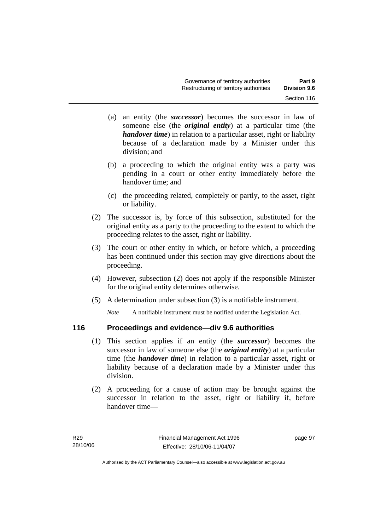- (a) an entity (the *successor*) becomes the successor in law of someone else (the *original entity*) at a particular time (the *handover time*) in relation to a particular asset, right or liability because of a declaration made by a Minister under this division; and
- (b) a proceeding to which the original entity was a party was pending in a court or other entity immediately before the handover time; and
- (c) the proceeding related, completely or partly, to the asset, right or liability.
- (2) The successor is, by force of this subsection, substituted for the original entity as a party to the proceeding to the extent to which the proceeding relates to the asset, right or liability.
- (3) The court or other entity in which, or before which, a proceeding has been continued under this section may give directions about the proceeding.
- (4) However, subsection (2) does not apply if the responsible Minister for the original entity determines otherwise.
- (5) A determination under subsection (3) is a notifiable instrument.

*Note* A notifiable instrument must be notified under the Legislation Act.

### **116 Proceedings and evidence—div 9.6 authorities**

- (1) This section applies if an entity (the *successor*) becomes the successor in law of someone else (the *original entity*) at a particular time (the *handover time*) in relation to a particular asset, right or liability because of a declaration made by a Minister under this division.
- (2) A proceeding for a cause of action may be brought against the successor in relation to the asset, right or liability if, before handover time—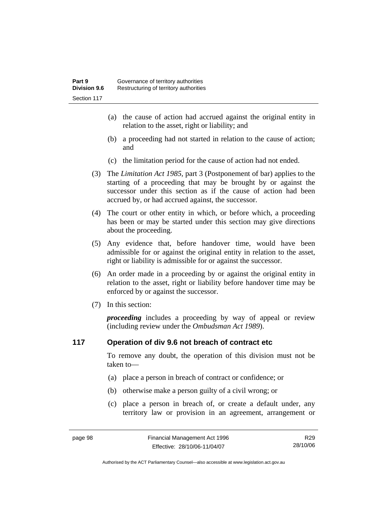- (a) the cause of action had accrued against the original entity in relation to the asset, right or liability; and
- (b) a proceeding had not started in relation to the cause of action; and
- (c) the limitation period for the cause of action had not ended.
- (3) The *Limitation Act 1985,* part 3 (Postponement of bar) applies to the starting of a proceeding that may be brought by or against the successor under this section as if the cause of action had been accrued by, or had accrued against, the successor.
- (4) The court or other entity in which, or before which, a proceeding has been or may be started under this section may give directions about the proceeding.
- (5) Any evidence that, before handover time, would have been admissible for or against the original entity in relation to the asset, right or liability is admissible for or against the successor.
- (6) An order made in a proceeding by or against the original entity in relation to the asset, right or liability before handover time may be enforced by or against the successor.
- (7) In this section:

*proceeding* includes a proceeding by way of appeal or review (including review under the *Ombudsman Act 1989*).

### **117 Operation of div 9.6 not breach of contract etc**

To remove any doubt, the operation of this division must not be taken to—

- (a) place a person in breach of contract or confidence; or
- (b) otherwise make a person guilty of a civil wrong; or
- (c) place a person in breach of, or create a default under, any territory law or provision in an agreement, arrangement or

R29 28/10/06

Authorised by the ACT Parliamentary Counsel—also accessible at www.legislation.act.gov.au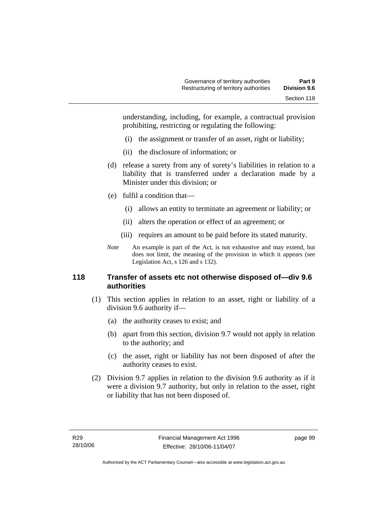understanding, including, for example, a contractual provision prohibiting, restricting or regulating the following:

- (i) the assignment or transfer of an asset, right or liability;
- (ii) the disclosure of information; or
- (d) release a surety from any of surety's liabilities in relation to a liability that is transferred under a declaration made by a Minister under this division; or
- (e) fulfil a condition that—
	- (i) allows an entity to terminate an agreement or liability; or
	- (ii) alters the operation or effect of an agreement; or
	- (iii) requires an amount to be paid before its stated maturity.
- *Note* An example is part of the Act, is not exhaustive and may extend, but does not limit, the meaning of the provision in which it appears (see Legislation Act, s 126 and s 132).

## **118 Transfer of assets etc not otherwise disposed of—div 9.6 authorities**

- (1) This section applies in relation to an asset, right or liability of a division 9.6 authority if—
	- (a) the authority ceases to exist; and
	- (b) apart from this section, division 9.7 would not apply in relation to the authority; and
	- (c) the asset, right or liability has not been disposed of after the authority ceases to exist.
- (2) Division 9.7 applies in relation to the division 9.6 authority as if it were a division 9.7 authority, but only in relation to the asset, right or liability that has not been disposed of.

page 99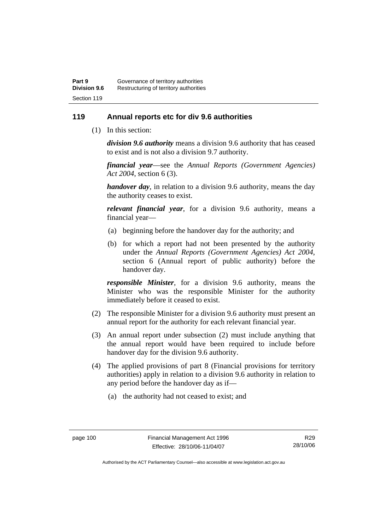## **119 Annual reports etc for div 9.6 authorities**

(1) In this section:

*division 9.6 authority* means a division 9.6 authority that has ceased to exist and is not also a division 9.7 authority.

*financial year*––see the *Annual Reports (Government Agencies) Act 2004*, section 6 (3).

*handover day*, in relation to a division 9.6 authority, means the day the authority ceases to exist.

*relevant financial year*, for a division 9.6 authority, means a financial year—

- (a) beginning before the handover day for the authority; and
- (b) for which a report had not been presented by the authority under the *Annual Reports (Government Agencies) Act 2004*, section 6 (Annual report of public authority) before the handover day.

*responsible Minister*, for a division 9.6 authority, means the Minister who was the responsible Minister for the authority immediately before it ceased to exist.

- (2) The responsible Minister for a division 9.6 authority must present an annual report for the authority for each relevant financial year.
- (3) An annual report under subsection (2) must include anything that the annual report would have been required to include before handover day for the division 9.6 authority.
- (4) The applied provisions of part 8 (Financial provisions for territory authorities) apply in relation to a division 9.6 authority in relation to any period before the handover day as if—
	- (a) the authority had not ceased to exist; and

Authorised by the ACT Parliamentary Counsel—also accessible at www.legislation.act.gov.au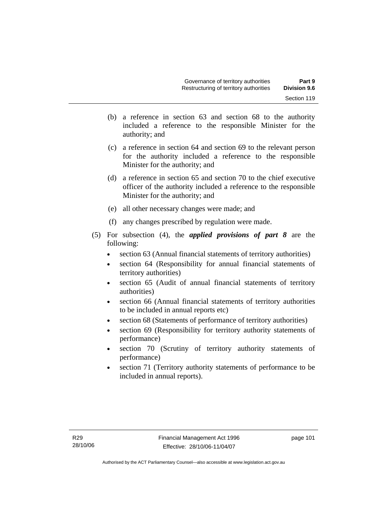- (b) a reference in section 63 and section 68 to the authority included a reference to the responsible Minister for the authority; and
- (c) a reference in section 64 and section 69 to the relevant person for the authority included a reference to the responsible Minister for the authority; and
- (d) a reference in section 65 and section 70 to the chief executive officer of the authority included a reference to the responsible Minister for the authority; and
- (e) all other necessary changes were made; and
- (f) any changes prescribed by regulation were made.
- (5) For subsection (4), the *applied provisions of part 8* are the following:
	- section 63 (Annual financial statements of territory authorities)
	- section 64 (Responsibility for annual financial statements of territory authorities)
	- section 65 (Audit of annual financial statements of territory authorities)
	- section 66 (Annual financial statements of territory authorities to be included in annual reports etc)
	- section 68 (Statements of performance of territory authorities)
	- section 69 (Responsibility for territory authority statements of performance)
	- section 70 (Scrutiny of territory authority statements of performance)
	- section 71 (Territory authority statements of performance to be included in annual reports).

page 101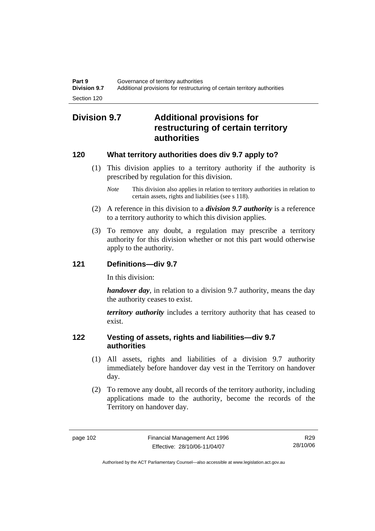## **Division 9.7 Additional provisions for restructuring of certain territory authorities**

## **120 What territory authorities does div 9.7 apply to?**

- (1) This division applies to a territory authority if the authority is prescribed by regulation for this division.
	- *Note* This division also applies in relation to territory authorities in relation to certain assets, rights and liabilities (see s 118).
- (2) A reference in this division to a *division 9.7 authority* is a reference to a territory authority to which this division applies.
- (3) To remove any doubt, a regulation may prescribe a territory authority for this division whether or not this part would otherwise apply to the authority.

## **121 Definitions—div 9.7**

In this division:

*handover day*, in relation to a division 9.7 authority, means the day the authority ceases to exist.

*territory authority* includes a territory authority that has ceased to exist.

## **122 Vesting of assets, rights and liabilities—div 9.7 authorities**

- (1) All assets, rights and liabilities of a division 9.7 authority immediately before handover day vest in the Territory on handover day.
- (2) To remove any doubt, all records of the territory authority, including applications made to the authority, become the records of the Territory on handover day.

R29 28/10/06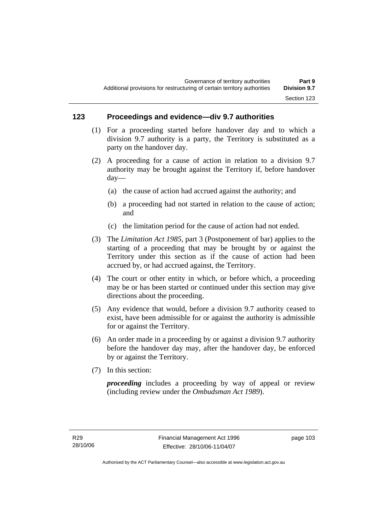## **123 Proceedings and evidence—div 9.7 authorities**

- (1) For a proceeding started before handover day and to which a division 9.7 authority is a party, the Territory is substituted as a party on the handover day.
- (2) A proceeding for a cause of action in relation to a division 9.7 authority may be brought against the Territory if, before handover day—
	- (a) the cause of action had accrued against the authority; and
	- (b) a proceeding had not started in relation to the cause of action; and
	- (c) the limitation period for the cause of action had not ended.
- (3) The *Limitation Act 1985,* part 3 (Postponement of bar) applies to the starting of a proceeding that may be brought by or against the Territory under this section as if the cause of action had been accrued by, or had accrued against, the Territory.
- (4) The court or other entity in which, or before which, a proceeding may be or has been started or continued under this section may give directions about the proceeding.
- (5) Any evidence that would, before a division 9.7 authority ceased to exist, have been admissible for or against the authority is admissible for or against the Territory.
- (6) An order made in a proceeding by or against a division 9.7 authority before the handover day may, after the handover day, be enforced by or against the Territory.
- (7) In this section:

*proceeding* includes a proceeding by way of appeal or review (including review under the *Ombudsman Act 1989*).

page 103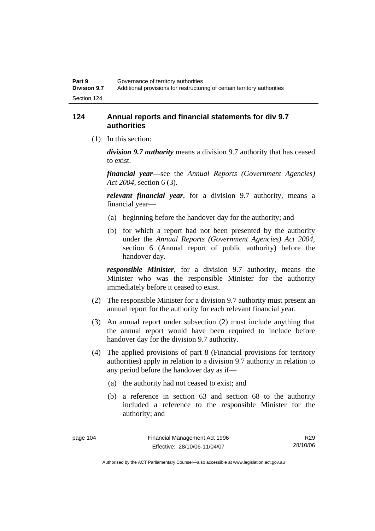## **124 Annual reports and financial statements for div 9.7 authorities**

(1) In this section:

*division 9.7 authority* means a division 9.7 authority that has ceased to exist.

*financial year*––see the *Annual Reports (Government Agencies) Act 2004*, section 6 (3).

*relevant financial year*, for a division 9.7 authority, means a financial year—

- (a) beginning before the handover day for the authority; and
- (b) for which a report had not been presented by the authority under the *Annual Reports (Government Agencies) Act 2004*, section 6 (Annual report of public authority) before the handover day.

*responsible Minister*, for a division 9.7 authority, means the Minister who was the responsible Minister for the authority immediately before it ceased to exist.

- (2) The responsible Minister for a division 9.7 authority must present an annual report for the authority for each relevant financial year.
- (3) An annual report under subsection (2) must include anything that the annual report would have been required to include before handover day for the division 9.7 authority.
- (4) The applied provisions of part 8 (Financial provisions for territory authorities) apply in relation to a division 9.7 authority in relation to any period before the handover day as if—
	- (a) the authority had not ceased to exist; and
	- (b) a reference in section 63 and section 68 to the authority included a reference to the responsible Minister for the authority; and

R29 28/10/06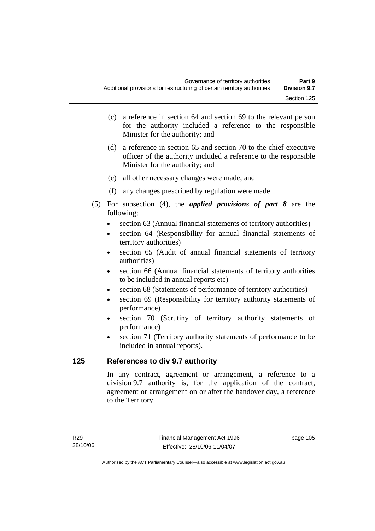- (c) a reference in section 64 and section 69 to the relevant person for the authority included a reference to the responsible Minister for the authority; and
- (d) a reference in section 65 and section 70 to the chief executive officer of the authority included a reference to the responsible Minister for the authority; and
- (e) all other necessary changes were made; and
- (f) any changes prescribed by regulation were made.
- (5) For subsection (4), the *applied provisions of part 8* are the following:
	- section 63 (Annual financial statements of territory authorities)
	- section 64 (Responsibility for annual financial statements of territory authorities)
	- section 65 (Audit of annual financial statements of territory authorities)
	- section 66 (Annual financial statements of territory authorities to be included in annual reports etc)
	- section 68 (Statements of performance of territory authorities)
	- section 69 (Responsibility for territory authority statements of performance)
	- section 70 (Scrutiny of territory authority statements of performance)
	- section 71 (Territory authority statements of performance to be included in annual reports).

## **125 References to div 9.7 authority**

In any contract, agreement or arrangement, a reference to a division 9.7 authority is, for the application of the contract, agreement or arrangement on or after the handover day, a reference to the Territory.

page 105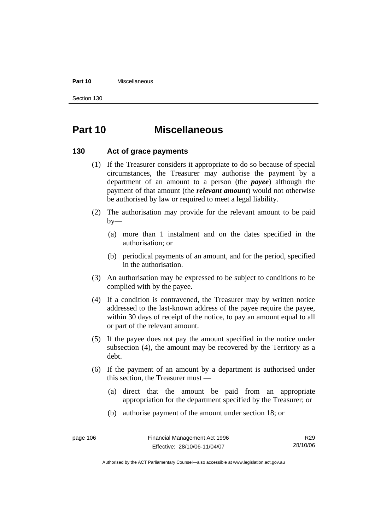#### **Part 10** Miscellaneous

Section 130

# **Part 10 Miscellaneous**

## **130 Act of grace payments**

- (1) If the Treasurer considers it appropriate to do so because of special circumstances, the Treasurer may authorise the payment by a department of an amount to a person (the *payee*) although the payment of that amount (the *relevant amount*) would not otherwise be authorised by law or required to meet a legal liability.
- (2) The authorisation may provide for the relevant amount to be paid  $by-$ 
	- (a) more than 1 instalment and on the dates specified in the authorisation; or
	- (b) periodical payments of an amount, and for the period, specified in the authorisation.
- (3) An authorisation may be expressed to be subject to conditions to be complied with by the payee.
- (4) If a condition is contravened, the Treasurer may by written notice addressed to the last-known address of the payee require the payee, within 30 days of receipt of the notice, to pay an amount equal to all or part of the relevant amount.
- (5) If the payee does not pay the amount specified in the notice under subsection (4), the amount may be recovered by the Territory as a debt.
- (6) If the payment of an amount by a department is authorised under this section, the Treasurer must —
	- (a) direct that the amount be paid from an appropriate appropriation for the department specified by the Treasurer; or
	- (b) authorise payment of the amount under section 18; or

R29 28/10/06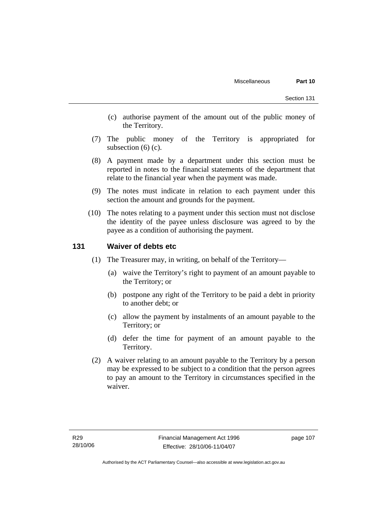- (c) authorise payment of the amount out of the public money of the Territory.
- (7) The public money of the Territory is appropriated for subsection  $(6)$  (c).
- (8) A payment made by a department under this section must be reported in notes to the financial statements of the department that relate to the financial year when the payment was made.
- (9) The notes must indicate in relation to each payment under this section the amount and grounds for the payment.
- (10) The notes relating to a payment under this section must not disclose the identity of the payee unless disclosure was agreed to by the payee as a condition of authorising the payment.

## **131 Waiver of debts etc**

- (1) The Treasurer may, in writing, on behalf of the Territory—
	- (a) waive the Territory's right to payment of an amount payable to the Territory; or
	- (b) postpone any right of the Territory to be paid a debt in priority to another debt; or
	- (c) allow the payment by instalments of an amount payable to the Territory; or
	- (d) defer the time for payment of an amount payable to the Territory.
- (2) A waiver relating to an amount payable to the Territory by a person may be expressed to be subject to a condition that the person agrees to pay an amount to the Territory in circumstances specified in the waiver.

page 107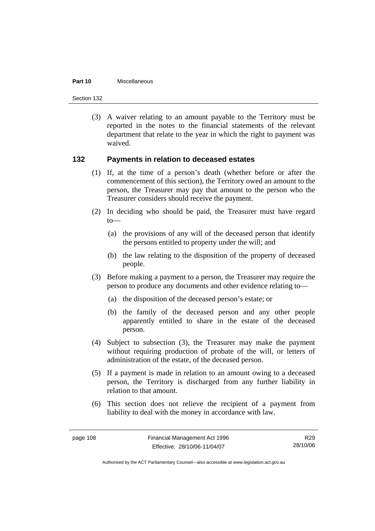#### **Part 10** Miscellaneous

Section 132

 (3) A waiver relating to an amount payable to the Territory must be reported in the notes to the financial statements of the relevant department that relate to the year in which the right to payment was waived.

## **132 Payments in relation to deceased estates**

- (1) If, at the time of a person's death (whether before or after the commencement of this section), the Territory owed an amount to the person, the Treasurer may pay that amount to the person who the Treasurer considers should receive the payment.
- (2) In deciding who should be paid, the Treasurer must have regard  $to$ —
	- (a) the provisions of any will of the deceased person that identify the persons entitled to property under the will; and
	- (b) the law relating to the disposition of the property of deceased people.
- (3) Before making a payment to a person, the Treasurer may require the person to produce any documents and other evidence relating to—
	- (a) the disposition of the deceased person's estate; or
	- (b) the family of the deceased person and any other people apparently entitled to share in the estate of the deceased person.
- (4) Subject to subsection (3), the Treasurer may make the payment without requiring production of probate of the will, or letters of administration of the estate, of the deceased person.
- (5) If a payment is made in relation to an amount owing to a deceased person, the Territory is discharged from any further liability in relation to that amount.
- (6) This section does not relieve the recipient of a payment from liability to deal with the money in accordance with law.

R29 28/10/06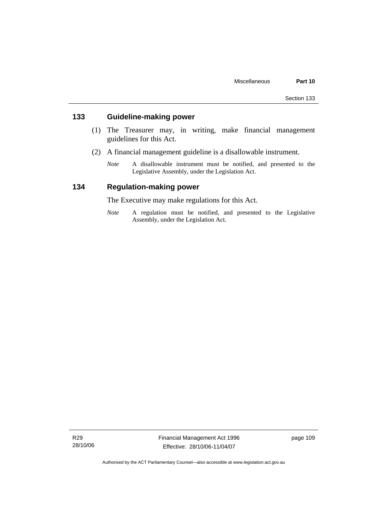## **133 Guideline-making power**

- (1) The Treasurer may, in writing, make financial management guidelines for this Act.
- (2) A financial management guideline is a disallowable instrument.
	- *Note* A disallowable instrument must be notified, and presented to the Legislative Assembly, under the Legislation Act.

## **134 Regulation-making power**

The Executive may make regulations for this Act.

*Note* A regulation must be notified, and presented to the Legislative Assembly, under the Legislation Act.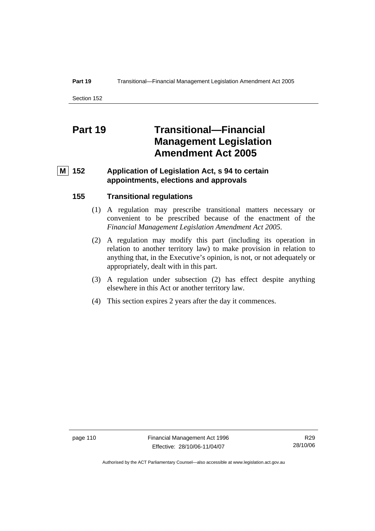#### **Part 19 Transitional—Financial Management Legislation Amendment Act 2005**

Section 152

# **Part 19 Transitional—Financial Management Legislation Amendment Act 2005**

## **M** 152 Application of Legislation Act, s 94 to certain **appointments, elections and approvals**

## **155 Transitional regulations**

- (1) A regulation may prescribe transitional matters necessary or convenient to be prescribed because of the enactment of the *Financial Management Legislation Amendment Act 2005*.
- (2) A regulation may modify this part (including its operation in relation to another territory law) to make provision in relation to anything that, in the Executive's opinion, is not, or not adequately or appropriately, dealt with in this part.
- (3) A regulation under subsection (2) has effect despite anything elsewhere in this Act or another territory law.
- (4) This section expires 2 years after the day it commences.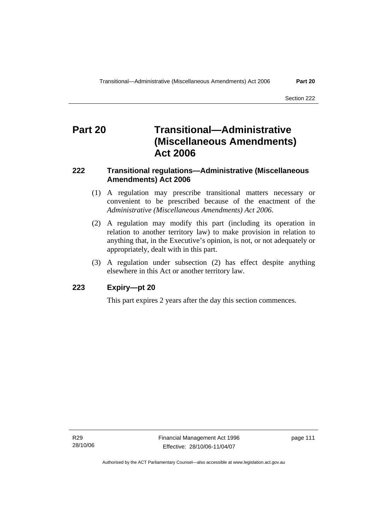# **Part 20 Transitional—Administrative (Miscellaneous Amendments) Act 2006**

## **222 Transitional regulations—Administrative (Miscellaneous Amendments) Act 2006**

- (1) A regulation may prescribe transitional matters necessary or convenient to be prescribed because of the enactment of the *Administrative (Miscellaneous Amendments) Act 2006*.
- (2) A regulation may modify this part (including its operation in relation to another territory law) to make provision in relation to anything that, in the Executive's opinion, is not, or not adequately or appropriately, dealt with in this part.
- (3) A regulation under subsection (2) has effect despite anything elsewhere in this Act or another territory law.

## **223 Expiry—pt 20**

This part expires 2 years after the day this section commences.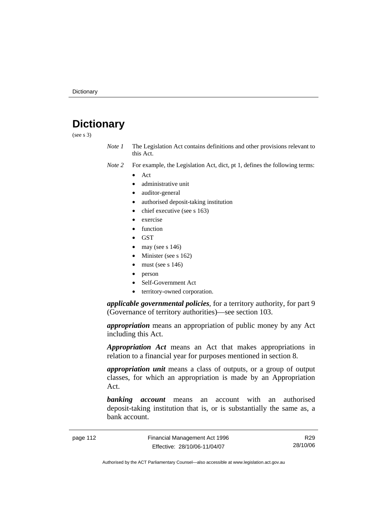# **Dictionary**

(see s 3)

*Note 1* The Legislation Act contains definitions and other provisions relevant to this Act.

*Note 2* For example, the Legislation Act, dict, pt 1, defines the following terms:

- Act
	- administrative unit
	- auditor-general
	- authorised deposit-taking institution
	- chief executive (see s 163)
	- exercise
	- **function**
	- GST
	- may (see s  $146$ )
	- Minister (see s 162)
	- must (see s  $146$ )
	- person
	- Self-Government Act
	- territory-owned corporation.

*applicable governmental policies*, for a territory authority, for part 9 (Governance of territory authorities)—see section 103.

*appropriation* means an appropriation of public money by any Act including this Act.

*Appropriation Act* means an Act that makes appropriations in relation to a financial year for purposes mentioned in section 8.

*appropriation unit* means a class of outputs, or a group of output classes, for which an appropriation is made by an Appropriation Act.

*banking account* means an account with an authorised deposit-taking institution that is, or is substantially the same as, a bank account.

page 112 Financial Management Act 1996 Effective: 28/10/06-11/04/07

R29 28/10/06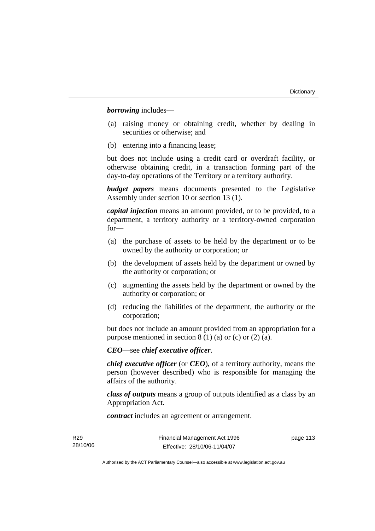*borrowing* includes—

- (a) raising money or obtaining credit, whether by dealing in securities or otherwise; and
- (b) entering into a financing lease;

but does not include using a credit card or overdraft facility, or otherwise obtaining credit, in a transaction forming part of the day-to-day operations of the Territory or a territory authority.

*budget papers* means documents presented to the Legislative Assembly under section 10 or section 13 (1).

*capital injection* means an amount provided, or to be provided, to a department, a territory authority or a territory-owned corporation for—

- (a) the purchase of assets to be held by the department or to be owned by the authority or corporation; or
- (b) the development of assets held by the department or owned by the authority or corporation; or
- (c) augmenting the assets held by the department or owned by the authority or corporation; or
- (d) reducing the liabilities of the department, the authority or the corporation;

but does not include an amount provided from an appropriation for a purpose mentioned in section  $8(1)(a)$  or (c) or (2) (a).

*CEO*—see *chief executive officer*.

*chief executive officer* (or *CEO*), of a territory authority, means the person (however described) who is responsible for managing the affairs of the authority.

*class of outputs* means a group of outputs identified as a class by an Appropriation Act.

*contract* includes an agreement or arrangement.

page 113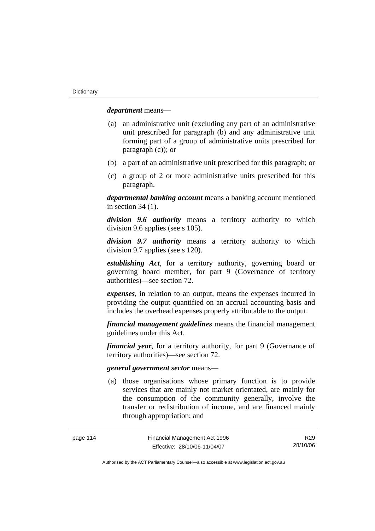*department* means—

- (a) an administrative unit (excluding any part of an administrative unit prescribed for paragraph (b) and any administrative unit forming part of a group of administrative units prescribed for paragraph (c)); or
- (b) a part of an administrative unit prescribed for this paragraph; or
- (c) a group of 2 or more administrative units prescribed for this paragraph.

*departmental banking account* means a banking account mentioned in section 34 (1).

*division 9.6 authority* means a territory authority to which division 9.6 applies (see s 105).

*division 9.7 authority* means a territory authority to which division 9.7 applies (see s 120).

*establishing Act*, for a territory authority, governing board or governing board member, for part 9 (Governance of territory authorities)—see section 72.

*expenses*, in relation to an output, means the expenses incurred in providing the output quantified on an accrual accounting basis and includes the overhead expenses properly attributable to the output.

*financial management guidelines* means the financial management guidelines under this Act.

*financial year*, for a territory authority, for part 9 (Governance of territory authorities)—see section 72.

#### *general government sector* means—

 (a) those organisations whose primary function is to provide services that are mainly not market orientated, are mainly for the consumption of the community generally, involve the transfer or redistribution of income, and are financed mainly through appropriation; and

R29 28/10/06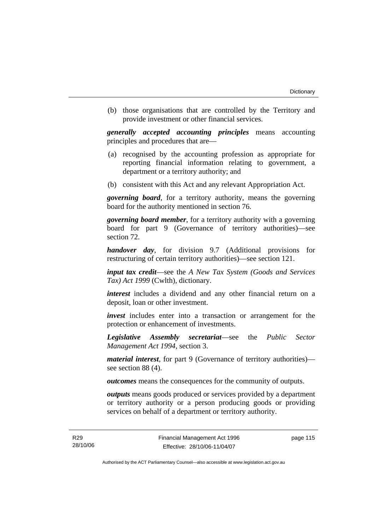(b) those organisations that are controlled by the Territory and provide investment or other financial services.

*generally accepted accounting principles* means accounting principles and procedures that are—

- (a) recognised by the accounting profession as appropriate for reporting financial information relating to government, a department or a territory authority; and
- (b) consistent with this Act and any relevant Appropriation Act.

*governing board*, for a territory authority, means the governing board for the authority mentioned in section 76.

*governing board member*, for a territory authority with a governing board for part 9 (Governance of territory authorities)—see section 72.

*handover day*, for division 9.7 (Additional provisions for restructuring of certain territory authorities)—see section 121.

*input tax credit*—see the *A New Tax System (Goods and Services Tax) Act 1999* (Cwlth), dictionary.

*interest* includes a dividend and any other financial return on a deposit, loan or other investment.

*invest* includes enter into a transaction or arrangement for the protection or enhancement of investments.

*Legislative Assembly secretariat*—see the *Public Sector Management Act 1994*, section 3.

*material interest*, for part 9 (Governance of territory authorities) see section 88 (4).

*outcomes* means the consequences for the community of outputs.

*outputs* means goods produced or services provided by a department or territory authority or a person producing goods or providing services on behalf of a department or territory authority.

page 115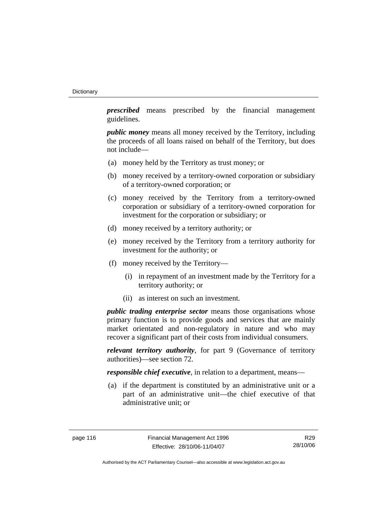*prescribed* means prescribed by the financial management guidelines.

*public money* means all money received by the Territory, including the proceeds of all loans raised on behalf of the Territory, but does not include—

- (a) money held by the Territory as trust money; or
- (b) money received by a territory-owned corporation or subsidiary of a territory-owned corporation; or
- (c) money received by the Territory from a territory-owned corporation or subsidiary of a territory-owned corporation for investment for the corporation or subsidiary; or
- (d) money received by a territory authority; or
- (e) money received by the Territory from a territory authority for investment for the authority; or
- (f) money received by the Territory—
	- (i) in repayment of an investment made by the Territory for a territory authority; or
	- (ii) as interest on such an investment.

*public trading enterprise sector* means those organisations whose primary function is to provide goods and services that are mainly market orientated and non-regulatory in nature and who may recover a significant part of their costs from individual consumers.

*relevant territory authority*, for part 9 (Governance of territory authorities)—see section 72.

*responsible chief executive*, in relation to a department, means—

 (a) if the department is constituted by an administrative unit or a part of an administrative unit—the chief executive of that administrative unit; or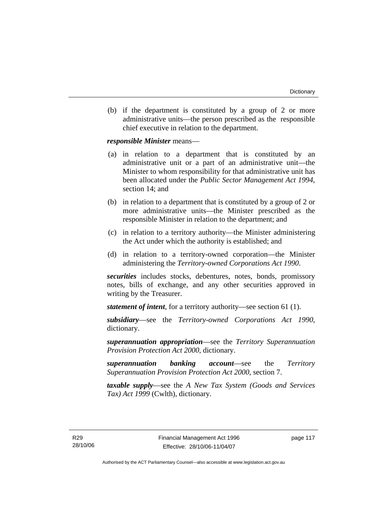(b) if the department is constituted by a group of 2 or more administrative units—the person prescribed as the responsible chief executive in relation to the department.

*responsible Minister* means—

- (a) in relation to a department that is constituted by an administrative unit or a part of an administrative unit—the Minister to whom responsibility for that administrative unit has been allocated under the *Public Sector Management Act 1994*, section 14; and
- (b) in relation to a department that is constituted by a group of 2 or more administrative units—the Minister prescribed as the responsible Minister in relation to the department; and
- (c) in relation to a territory authority—the Minister administering the Act under which the authority is established; and
- (d) in relation to a territory-owned corporation—the Minister administering the *Territory-owned Corporations Act 1990*.

*securities* includes stocks, debentures, notes, bonds, promissory notes, bills of exchange, and any other securities approved in writing by the Treasurer.

*statement of intent*, for a territory authority—see section 61 (1).

*subsidiary*—see the *Territory-owned Corporations Act 1990*, dictionary.

*superannuation appropriation*—see the *Territory Superannuation Provision Protection Act 2000*, dictionary.

*superannuation banking account*—see the *Territory Superannuation Provision Protection Act 2000*, section 7.

*taxable supply*—see the *A New Tax System (Goods and Services Tax) Act 1999* (Cwlth), dictionary.

R29 28/10/06 page 117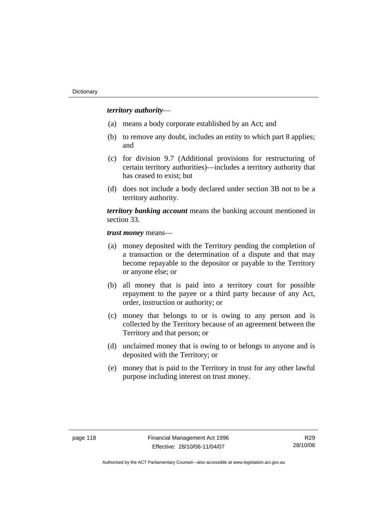## *territory authority*—

- (a) means a body corporate established by an Act; and
- (b) to remove any doubt, includes an entity to which part 8 applies; and
- (c) for division 9.7 (Additional provisions for restructuring of certain territory authorities)—includes a territory authority that has ceased to exist; but
- (d) does not include a body declared under section 3B not to be a territory authority.

*territory banking account* means the banking account mentioned in section 33.

*trust money* means—

- (a) money deposited with the Territory pending the completion of a transaction or the determination of a dispute and that may become repayable to the depositor or payable to the Territory or anyone else; or
- (b) all money that is paid into a territory court for possible repayment to the payee or a third party because of any Act, order, instruction or authority; or
- (c) money that belongs to or is owing to any person and is collected by the Territory because of an agreement between the Territory and that person; or
- (d) unclaimed money that is owing to or belongs to anyone and is deposited with the Territory; or
- (e) money that is paid to the Territory in trust for any other lawful purpose including interest on trust money.

R29 28/10/06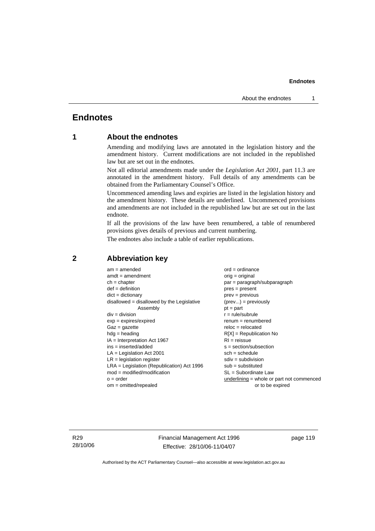## **Endnotes**

## **1 About the endnotes**

Amending and modifying laws are annotated in the legislation history and the amendment history. Current modifications are not included in the republished law but are set out in the endnotes.

Not all editorial amendments made under the *Legislation Act 2001*, part 11.3 are annotated in the amendment history. Full details of any amendments can be obtained from the Parliamentary Counsel's Office.

Uncommenced amending laws and expiries are listed in the legislation history and the amendment history. These details are underlined. Uncommenced provisions and amendments are not included in the republished law but are set out in the last endnote.

If all the provisions of the law have been renumbered, a table of renumbered provisions gives details of previous and current numbering.

The endnotes also include a table of earlier republications.

| $am = amended$                               | $ord = ordinance$                         |
|----------------------------------------------|-------------------------------------------|
| $amdt = amendment$                           | $orig = original$                         |
| $ch = chapter$                               | par = paragraph/subparagraph              |
| $def = definition$                           | $pres = present$                          |
| $dict = dictionary$                          | $prev = previous$                         |
| $disallowed = disallowed by the Legislative$ | $(\text{prev}) = \text{previously}$       |
| Assembly                                     | $pt = part$                               |
| $div = division$                             | $r = rule/subrule$                        |
| $exp = expires/expired$                      | $remum = renumbered$                      |
| $Gaz = gazette$                              | $reloc = relocated$                       |
| $hda =$ heading                              | $R[X]$ = Republication No                 |
| $IA = Interpretation Act 1967$               | $RI = reissue$                            |
| $ins = inserted/added$                       | $s = section/subsection$                  |
| $LA =$ Legislation Act 2001                  | $sch = schedule$                          |
| $LR =$ legislation register                  | $sdiv = subdivision$                      |
| $LRA =$ Legislation (Republication) Act 1996 | $sub = substituted$                       |
| $mod = modified/modification$                | $SL = Subordinate$ Law                    |
| $o = order$                                  | underlining = whole or part not commenced |
| $om = omitted/repealed$                      | or to be expired                          |
|                                              |                                           |

## **2 Abbreviation key**

R29 28/10/06 Financial Management Act 1996 Effective: 28/10/06-11/04/07

page 119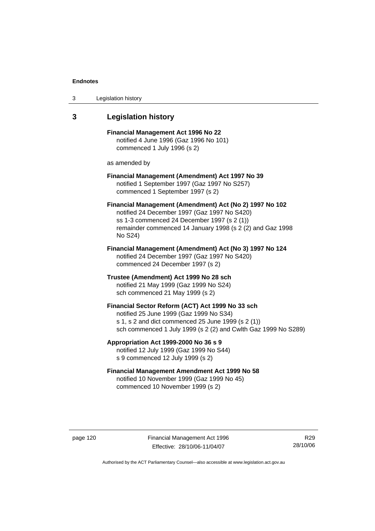| 3 | Legislation history |  |
|---|---------------------|--|
|---|---------------------|--|

## **3 Legislation history**

**Financial Management Act 1996 No 22**  notified 4 June 1996 (Gaz 1996 No 101) commenced 1 July 1996 (s 2)

as amended by

## **Financial Management (Amendment) Act 1997 No 39**  notified 1 September 1997 (Gaz 1997 No S257) commenced 1 September 1997 (s 2)

**Financial Management (Amendment) Act (No 2) 1997 No 102**  notified 24 December 1997 (Gaz 1997 No S420) ss 1-3 commenced 24 December 1997 (s 2 (1)) remainder commenced 14 January 1998 (s 2 (2) and Gaz 1998 No S24)

**Financial Management (Amendment) Act (No 3) 1997 No 124**  notified 24 December 1997 (Gaz 1997 No S420) commenced 24 December 1997 (s 2)

**Trustee (Amendment) Act 1999 No 28 sch**  notified 21 May 1999 (Gaz 1999 No S24) sch commenced 21 May 1999 (s 2)

#### **Financial Sector Reform (ACT) Act 1999 No 33 sch**  notified 25 June 1999 (Gaz 1999 No S34)

s 1, s 2 and dict commenced 25 June 1999 (s 2 (1)) sch commenced 1 July 1999 (s 2 (2) and Cwlth Gaz 1999 No S289)

**Appropriation Act 1999-2000 No 36 s 9**  notified 12 July 1999 (Gaz 1999 No S44)

s 9 commenced 12 July 1999 (s 2)

## **Financial Management Amendment Act 1999 No 58**  notified 10 November 1999 (Gaz 1999 No 45) commenced 10 November 1999 (s 2)

page 120 Financial Management Act 1996 Effective: 28/10/06-11/04/07

R29 28/10/06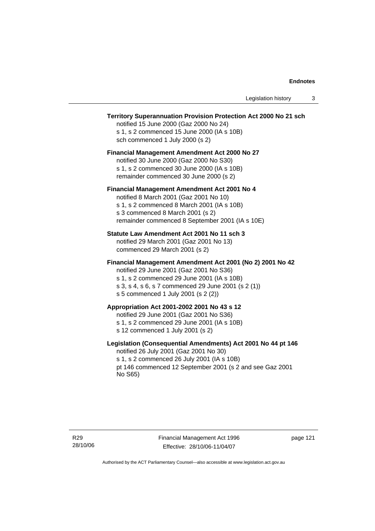### **Territory Superannuation Provision Protection Act 2000 No 21 sch**

notified 15 June 2000 (Gaz 2000 No 24) s 1, s 2 commenced 15 June 2000 (IA s 10B) sch commenced 1 July 2000 (s 2)

#### **Financial Management Amendment Act 2000 No 27**

notified 30 June 2000 (Gaz 2000 No S30) s 1, s 2 commenced 30 June 2000 (IA s 10B) remainder commenced 30 June 2000 (s 2)

#### **Financial Management Amendment Act 2001 No 4**

notified 8 March 2001 (Gaz 2001 No 10) s 1, s 2 commenced 8 March 2001 (IA s 10B) s 3 commenced 8 March 2001 (s 2) remainder commenced 8 September 2001 (IA s 10E)

#### **Statute Law Amendment Act 2001 No 11 sch 3**

notified 29 March 2001 (Gaz 2001 No 13) commenced 29 March 2001 (s 2)

#### **Financial Management Amendment Act 2001 (No 2) 2001 No 42**

notified 29 June 2001 (Gaz 2001 No S36)

- s 1, s 2 commenced 29 June 2001 (IA s 10B) s 3, s 4, s 6, s 7 commenced 29 June 2001 (s 2 (1))
- s 5 commenced 1 July 2001 (s 2 (2))

## **Appropriation Act 2001-2002 2001 No 43 s 12**

notified 29 June 2001 (Gaz 2001 No S36)

- s 1, s 2 commenced 29 June 2001 (IA s 10B)
- s 12 commenced 1 July 2001 (s 2)

#### **Legislation (Consequential Amendments) Act 2001 No 44 pt 146**

notified 26 July 2001 (Gaz 2001 No 30) s 1, s 2 commenced 26 July 2001 (IA s 10B) pt 146 commenced 12 September 2001 (s 2 and see Gaz 2001 No S65)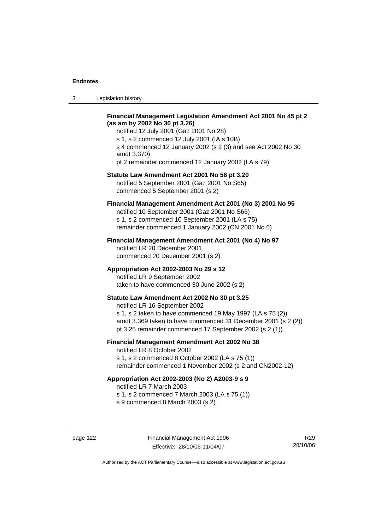3 Legislation history

## **Financial Management Legislation Amendment Act 2001 No 45 pt 2 (as am by 2002 No 30 pt 3.26)**

notified 12 July 2001 (Gaz 2001 No 28) s 1, s 2 commenced 12 July 2001 (IA s 10B) s 4 commenced 12 January 2002 (s 2 (3) and see Act 2002 No 30 amdt 3.370) pt 2 remainder commenced 12 January 2002 (LA s 79)

#### **Statute Law Amendment Act 2001 No 56 pt 3.20**

notified 5 September 2001 (Gaz 2001 No S65) commenced 5 September 2001 (s 2)

## **Financial Management Amendment Act 2001 (No 3) 2001 No 95**

notified 10 September 2001 (Gaz 2001 No S66) s 1, s 2 commenced 10 September 2001 (LA s 75) remainder commenced 1 January 2002 (CN 2001 No 6)

#### **Financial Management Amendment Act 2001 (No 4) No 97**

notified LR 20 December 2001 commenced 20 December 2001 (s 2)

#### **Appropriation Act 2002-2003 No 29 s 12**

notified LR 9 September 2002 taken to have commenced 30 June 2002 (s 2)

## **Statute Law Amendment Act 2002 No 30 pt 3.25**

notified LR 16 September 2002 s 1, s 2 taken to have commenced 19 May 1997 (LA s 75 (2)) amdt 3.369 taken to have commenced 31 December 2001 (s 2 (2)) pt 3.25 remainder commenced 17 September 2002 (s 2 (1))

#### **Financial Management Amendment Act 2002 No 38**

notified LR 8 October 2002 s 1, s 2 commenced 8 October 2002 (LA s 75 (1))

remainder commenced 1 November 2002 (s 2 and CN2002-12)

## **Appropriation Act 2002-2003 (No 2) A2003-9 s 9**

notified LR 7 March 2003

s 1, s 2 commenced 7 March 2003 (LA s 75 (1))

s 9 commenced 8 March 2003 (s 2)

R29 28/10/06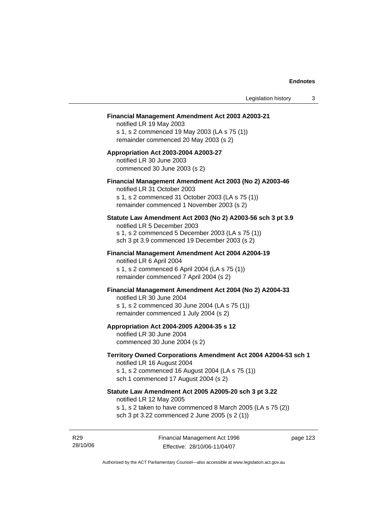#### **Financial Management Amendment Act 2003 A2003-21**

notified LR 19 May 2003 s 1, s 2 commenced 19 May 2003 (LA s 75 (1)) remainder commenced 20 May 2003 (s 2)

## **Appropriation Act 2003-2004 A2003-27**  notified LR 30 June 2003 commenced 30 June 2003 (s 2)

## **Financial Management Amendment Act 2003 (No 2) A2003-46**

notified LR 31 October 2003 s 1, s 2 commenced 31 October 2003 (LA s 75 (1)) remainder commenced 1 November 2003 (s 2)

#### **Statute Law Amendment Act 2003 (No 2) A2003-56 sch 3 pt 3.9**

notified LR 5 December 2003 s 1, s 2 commenced 5 December 2003 (LA s 75 (1)) sch 3 pt 3.9 commenced 19 December 2003 (s 2)

#### **Financial Management Amendment Act 2004 A2004-19**  notified LR 6 April 2004

s 1, s 2 commenced 6 April 2004 (LA s 75 (1)) remainder commenced 7 April 2004 (s 2)

#### **Financial Management Amendment Act 2004 (No 2) A2004-33**

notified LR 30 June 2004 s 1, s 2 commenced 30 June 2004 (LA s 75 (1)) remainder commenced 1 July 2004 (s 2)

#### **Appropriation Act 2004-2005 A2004-35 s 12**

notified LR 30 June 2004 commenced 30 June 2004 (s 2)

#### **Territory Owned Corporations Amendment Act 2004 A2004-53 sch 1**  notified LR 16 August 2004

s 1, s 2 commenced 16 August 2004 (LA s 75 (1)) sch 1 commenced 17 August 2004 (s 2)

## **Statute Law Amendment Act 2005 A2005-20 sch 3 pt 3.22**

notified LR 12 May 2005

- s 1, s 2 taken to have commenced 8 March 2005 (LA s 75 (2))
- sch 3 pt 3.22 commenced 2 June 2005 (s 2 (1))

R29 28/10/06 page 123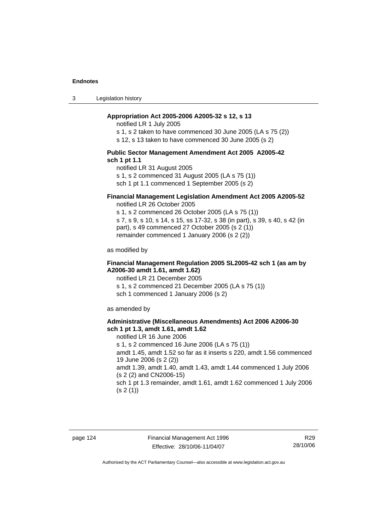3 Legislation history

#### **Appropriation Act 2005-2006 A2005-32 s 12, s 13**

notified LR 1 July 2005

s 1, s 2 taken to have commenced 30 June 2005 (LA s 75 (2))

s 12, s 13 taken to have commenced 30 June 2005 (s 2)

#### **Public Sector Management Amendment Act 2005 A2005-42 sch 1 pt 1.1**

notified LR 31 August 2005 s 1, s 2 commenced 31 August 2005 (LA s 75 (1)) sch 1 pt 1.1 commenced 1 September 2005 (s 2)

## **Financial Management Legislation Amendment Act 2005 A2005-52**

notified LR 26 October 2005

s 1, s 2 commenced 26 October 2005 (LA s 75 (1)) s 7, s 9, s 10, s 14, s 15, ss 17-32, s 38 (in part), s 39, s 40, s 42 (in part), s 49 commenced 27 October 2005 (s 2 (1)) remainder commenced 1 January 2006 (s 2 (2))

as modified by

#### **Financial Management Regulation 2005 SL2005-42 sch 1 (as am by A2006-30 amdt 1.61, amdt 1.62)**

notified LR 21 December 2005 s 1, s 2 commenced 21 December 2005 (LA s 75 (1)) sch 1 commenced 1 January 2006 (s 2)

as amended by

#### **Administrative (Miscellaneous Amendments) Act 2006 A2006-30 sch 1 pt 1.3, amdt 1.61, amdt 1.62**

notified LR 16 June 2006 s 1, s 2 commenced 16 June 2006 (LA s 75 (1)) amdt 1.45, amdt 1.52 so far as it inserts s 220, amdt 1.56 commenced 19 June 2006 (s 2 (2)) amdt 1.39, amdt 1.40, amdt 1.43, amdt 1.44 commenced 1 July 2006 (s 2 (2) and CN2006-15) sch 1 pt 1.3 remainder, amdt 1.61, amdt 1.62 commenced 1 July 2006  $(s 2(1))$ 

R29 28/10/06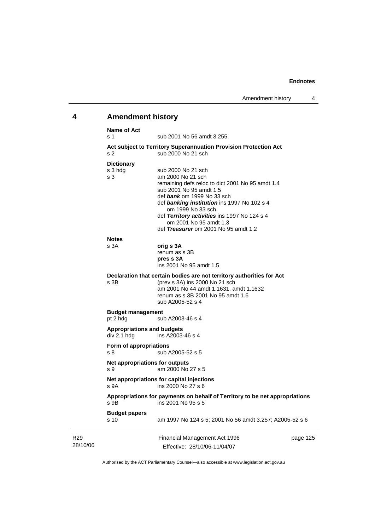## **4 Amendment history Name of Act**

R29

| Nallie VI AUL<br>s 1                             | sub 2001 No 56 amdt 3.255                                                                                                                                                                                                                                                                                                                  |          |
|--------------------------------------------------|--------------------------------------------------------------------------------------------------------------------------------------------------------------------------------------------------------------------------------------------------------------------------------------------------------------------------------------------|----------|
| s 2                                              | Act subject to Territory Superannuation Provision Protection Act<br>sub 2000 No 21 sch                                                                                                                                                                                                                                                     |          |
| <b>Dictionary</b><br>s 3 hdg<br>s <sub>3</sub>   | sub 2000 No 21 sch<br>am 2000 No 21 sch<br>remaining defs reloc to dict 2001 No 95 amdt 1.4<br>sub 2001 No 95 amdt 1.5<br>def bank om 1999 No 33 sch<br>def banking institution ins 1997 No 102 s 4<br>om 1999 No 33 sch<br>def Territory activities ins 1997 No 124 s 4<br>om 2001 No 95 amdt 1.3<br>def Treasurer om 2001 No 95 amdt 1.2 |          |
| <b>Notes</b><br>s 3A                             | orig s 3A<br>renum as s 3B<br>pres s 3A<br>ins 2001 No 95 amdt 1.5                                                                                                                                                                                                                                                                         |          |
| s 3B                                             | Declaration that certain bodies are not territory authorities for Act<br>(prev s 3A) ins 2000 No 21 sch<br>am 2001 No 44 amdt 1.1631, amdt 1.1632<br>renum as s 3B 2001 No 95 amdt 1.6<br>sub A2005-52 s 4                                                                                                                                 |          |
| <b>Budget management</b><br>pt 2 hdg             | sub A2003-46 s 4                                                                                                                                                                                                                                                                                                                           |          |
| <b>Appropriations and budgets</b><br>div 2.1 hdg | ins A2003-46 s 4                                                                                                                                                                                                                                                                                                                           |          |
| Form of appropriations<br>s 8                    | sub A2005-52 s 5                                                                                                                                                                                                                                                                                                                           |          |
| Net appropriations for outputs<br>s 9            | am 2000 No 27 s 5                                                                                                                                                                                                                                                                                                                          |          |
| s 9A                                             | Net appropriations for capital injections<br>ins 2000 No 27 s 6                                                                                                                                                                                                                                                                            |          |
| s 9B                                             | Appropriations for payments on behalf of Territory to be net appropriations<br>ins 2001 No 95 s 5                                                                                                                                                                                                                                          |          |
| <b>Budget papers</b><br>s 10                     | am 1997 No 124 s 5; 2001 No 56 amdt 3.257; A2005-52 s 6                                                                                                                                                                                                                                                                                    |          |
|                                                  | Financial Management Act 1996                                                                                                                                                                                                                                                                                                              | page 125 |

28/10/06 Effective: 28/10/06-11/04/07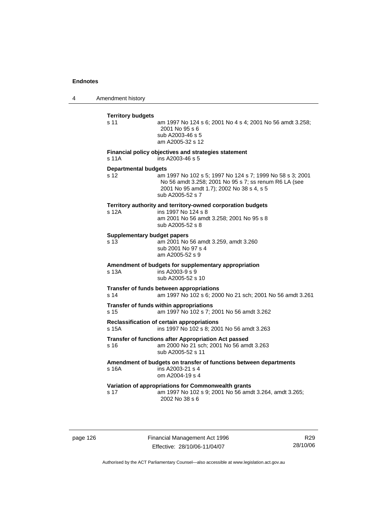4 Amendment history

| <b>Territory budgets</b><br>s 11           | am 1997 No 124 s 6; 2001 No 4 s 4; 2001 No 56 amdt 3.258;<br>2001 No 95 s 6<br>sub A2003-46 s 5<br>am A2005-32 s 12                                                                 |
|--------------------------------------------|-------------------------------------------------------------------------------------------------------------------------------------------------------------------------------------|
| s 11A                                      | Financial policy objectives and strategies statement<br>ins A2003-46 s 5                                                                                                            |
| <b>Departmental budgets</b><br>s 12        | am 1997 No 102 s 5; 1997 No 124 s 7; 1999 No 58 s 3; 2001<br>No 56 amdt 3.258; 2001 No 95 s 7; ss renum R6 LA (see<br>2001 No 95 amdt 1.7); 2002 No 38 s 4, s 5<br>sub A2005-52 s 7 |
| s 12A                                      | Territory authority and territory-owned corporation budgets<br>ins 1997 No 124 s 8<br>am 2001 No 56 amdt 3.258; 2001 No 95 s 8<br>sub A2005-52 s 8                                  |
| <b>Supplementary budget papers</b><br>s 13 | am 2001 No 56 amdt 3.259, amdt 3.260<br>sub 2001 No 97 s 4<br>am A2005-52 s 9                                                                                                       |
| s 13A                                      | Amendment of budgets for supplementary appropriation<br>ins A2003-9 s 9<br>sub A2005-52 s 10                                                                                        |
| s <sub>14</sub>                            | Transfer of funds between appropriations<br>am 1997 No 102 s 6; 2000 No 21 sch; 2001 No 56 amdt 3.261                                                                               |
| s <sub>15</sub>                            | Transfer of funds within appropriations<br>am 1997 No 102 s 7; 2001 No 56 amdt 3.262                                                                                                |
| s 15A                                      | Reclassification of certain appropriations<br>ins 1997 No 102 s 8; 2001 No 56 amdt 3.263                                                                                            |
| s 16                                       | Transfer of functions after Appropriation Act passed<br>am 2000 No 21 sch; 2001 No 56 amdt 3.263<br>sub A2005-52 s 11                                                               |
| s 16A                                      | Amendment of budgets on transfer of functions between departments<br>ins A2003-21 s 4<br>om A2004-19 s 4                                                                            |
| s 17                                       | Variation of appropriations for Commonwealth grants<br>am 1997 No 102 s 9; 2001 No 56 amdt 3.264, amdt 3.265;<br>2002 No 38 s 6                                                     |

page 126 Financial Management Act 1996 Effective: 28/10/06-11/04/07

R29 28/10/06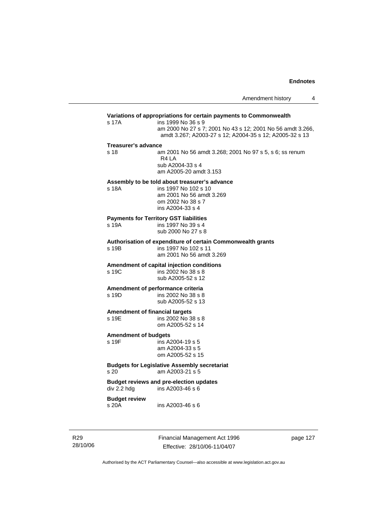## **Variations of appropriations for certain payments to Commonwealth** s 17A ins 1999 No 36 s 9 am 2000 No 27 s 7; 2001 No 43 s 12; 2001 No 56 amdt 3.266, amdt 3.267; A2003-27 s 12; A2004-35 s 12; A2005-32 s 13 **Treasurer's advance**  s 18 am 2001 No 56 amdt 3.268; 2001 No 97 s 5, s 6; ss renum R4 LA sub A2004-33 s 4 am A2005-20 amdt 3.153 **Assembly to be told about treasurer's advance** s 18A ins 1997 No 102 s 10 am 2001 No 56 amdt 3.269 om 2002 No 38 s 7 ins A2004-33 s 4 **Payments for Territory GST liabilities** ins 1997 No 39 s 4 sub 2000 No 27 s 8 **Authorisation of expenditure of certain Commonwealth grants**  s 19B ins 1997 No 102 s 11 am 2001 No 56 amdt 3.269 **Amendment of capital injection conditions**  ins 2002 No 38 s 8 sub A2005-52 s 12 **Amendment of performance criteria**<br>s 19D ins 2002 No 38 s 8 ins 2002 No 38 s 8 sub A2005-52 s 13 **Amendment of financial targets**  s 19E ins 2002 No 38 s 8 om A2005-52 s 14 **Amendment of budgets**   $ins$  A2004-19 s 5 am A2004-33 s 5 om A2005-52 s 15 **Budgets for Legislative Assembly secretariat**  s 20 am A2003-21 s 5 **Budget reviews and pre-election updates**   $div 2.2$  hdg  $ins A2003-46 s 6$ **Budget review**  s 20A ins A2003-46 s 6

R29 28/10/06 Financial Management Act 1996 Effective: 28/10/06-11/04/07

page 127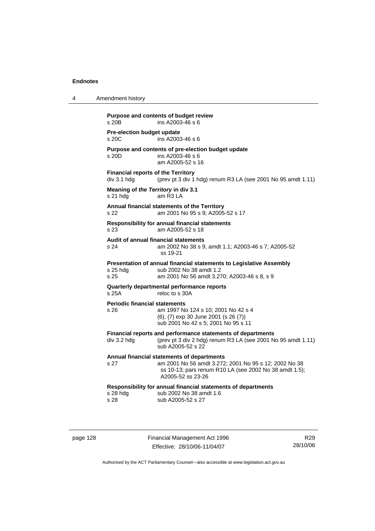| 4 | Amendment history                                                                                                                                                                          |
|---|--------------------------------------------------------------------------------------------------------------------------------------------------------------------------------------------|
|   | Purpose and contents of budget review<br>ins A2003-46 s 6<br>s 20B                                                                                                                         |
|   | Pre-election budget update<br>s 20C<br>ins A2003-46 s 6                                                                                                                                    |
|   | Purpose and contents of pre-election budget update<br>ins A2003-46 s 6<br>s 20D<br>am A2005-52 s 16                                                                                        |
|   | <b>Financial reports of the Territory</b><br>div 3.1 hdg<br>(prev pt 3 div 1 hdg) renum R3 LA (see 2001 No 95 amdt 1.11)                                                                   |
|   | Meaning of the Territory in div 3.1<br>am R3 LA<br>$s21$ hdg                                                                                                                               |
|   | Annual financial statements of the Territory<br>am 2001 No 95 s 9; A2005-52 s 17<br>s 22                                                                                                   |
|   | Responsibility for annual financial statements<br>s 23<br>am A2005-52 s 18                                                                                                                 |
|   | Audit of annual financial statements<br>s 24<br>am 2002 No 38 s 9, amdt 1.1; A2003-46 s 7; A2005-52<br>ss 19-21                                                                            |
|   | Presentation of annual financial statements to Legislative Assembly<br>sub 2002 No 38 amdt 1.2<br>$s$ 25 hdg<br>s 25<br>am 2001 No 56 amdt 3.270; A2003-46 s 8, s 9                        |
|   | Quarterly departmental performance reports<br>s 25A<br>reloc to s 30A                                                                                                                      |
|   | <b>Periodic financial statements</b><br>am 1997 No 124 s 10; 2001 No 42 s 4<br>s 26<br>(6), (7) exp 30 June 2001 (s 26 (7))<br>sub 2001 No 42 s 5; 2001 No 95 s 11                         |
|   | Financial reports and performance statements of departments<br>(prev pt 3 div 2 hdg) renum R3 LA (see 2001 No 95 amdt 1.11)<br>div 3.2 hdg<br>sub A2005-52 s 22                            |
|   | Annual financial statements of departments<br>s 27<br>am 2001 No 56 amdt 3.272; 2001 No 95 s 12; 2002 No 38<br>ss 10-13; pars renum R10 LA (see 2002 No 38 amdt 1.5);<br>A2005-52 ss 23-26 |
|   | Responsibility for annual financial statements of departments<br>s 28 hdg<br>sub 2002 No 38 amdt 1.6<br>s 28<br>sub A2005-52 s 27                                                          |
|   |                                                                                                                                                                                            |

page 128 Financial Management Act 1996 Effective: 28/10/06-11/04/07

R29 28/10/06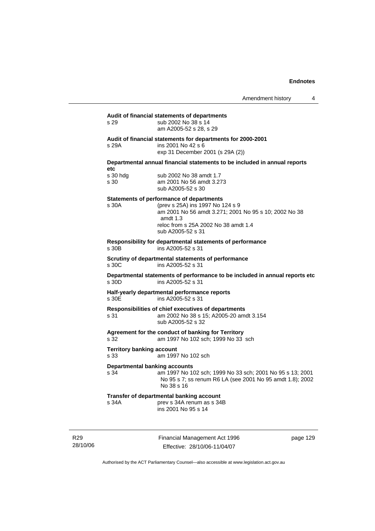| s 29                                     | Audit of financial statements of departments<br>sub 2002 No 38 s 14<br>am A2005-52 s 28, s 29                                                                                                                         |
|------------------------------------------|-----------------------------------------------------------------------------------------------------------------------------------------------------------------------------------------------------------------------|
| s 29A                                    | Audit of financial statements for departments for 2000-2001<br>ins 2001 No 42 s 6<br>exp 31 December 2001 (s 29A (2))                                                                                                 |
| etc                                      | Departmental annual financial statements to be included in annual reports                                                                                                                                             |
| s 30 hdg<br>s 30                         | sub 2002 No 38 amdt 1.7<br>am 2001 No 56 amdt 3.273<br>sub A2005-52 s 30                                                                                                                                              |
| s 30A                                    | <b>Statements of performance of departments</b><br>(prev s 25A) ins 1997 No 124 s 9<br>am 2001 No 56 amdt 3.271; 2001 No 95 s 10; 2002 No 38<br>amdt 1.3<br>reloc from s 25A 2002 No 38 amdt 1.4<br>sub A2005-52 s 31 |
| s 30B                                    | Responsibility for departmental statements of performance<br>ins A2005-52 s 31                                                                                                                                        |
| s 30C                                    | Scrutiny of departmental statements of performance<br>ins A2005-52 s 31                                                                                                                                               |
| s 30D                                    | Departmental statements of performance to be included in annual reports etc<br>ins A2005-52 s 31                                                                                                                      |
| s 30E                                    | Half-yearly departmental performance reports<br>ins A2005-52 s 31                                                                                                                                                     |
| s 31                                     | Responsibilities of chief executives of departments<br>am 2002 No 38 s 15; A2005-20 amdt 3.154<br>sub A2005-52 s 32                                                                                                   |
| s 32                                     | Agreement for the conduct of banking for Territory<br>am 1997 No 102 sch; 1999 No 33 sch                                                                                                                              |
| <b>Territory banking account</b><br>s 33 | am 1997 No 102 sch                                                                                                                                                                                                    |
| Departmental banking accounts<br>s 34    | am 1997 No 102 sch; 1999 No 33 sch; 2001 No 95 s 13; 2001<br>No 95 s 7; ss renum R6 LA (see 2001 No 95 amdt 1.8); 2002<br>No 38 s 16                                                                                  |
| s 34A                                    | Transfer of departmental banking account<br>prev s 34A renum as s 34B<br>ins 2001 No 95 s 14                                                                                                                          |

R29 28/10/06 Financial Management Act 1996 Effective: 28/10/06-11/04/07

page 129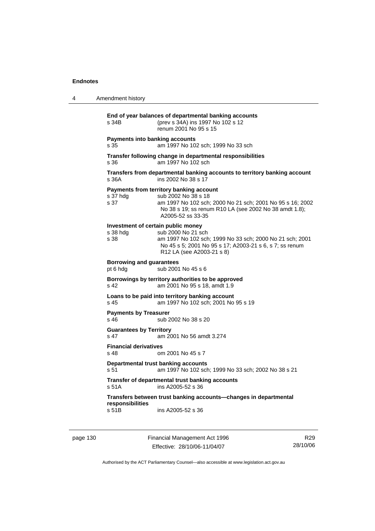| 4 | Amendment history                                                                                                                                                                                                                |
|---|----------------------------------------------------------------------------------------------------------------------------------------------------------------------------------------------------------------------------------|
|   | End of year balances of departmental banking accounts<br>(prev s 34A) ins 1997 No 102 s 12<br>s 34B<br>renum 2001 No 95 s 15                                                                                                     |
|   | <b>Payments into banking accounts</b><br>am 1997 No 102 sch; 1999 No 33 sch<br>s 35                                                                                                                                              |
|   | Transfer following change in departmental responsibilities<br>am 1997 No 102 sch<br>s 36                                                                                                                                         |
|   | Transfers from departmental banking accounts to territory banking account<br>ins 2002 No 38 s 17<br>s 36A                                                                                                                        |
|   | Payments from territory banking account<br>sub 2002 No 38 s 18<br>s 37 hdg<br>s 37<br>am 1997 No 102 sch; 2000 No 21 sch; 2001 No 95 s 16; 2002<br>No 38 s 19; ss renum R10 LA (see 2002 No 38 amdt 1.8);<br>A2005-52 ss 33-35   |
|   | Investment of certain public money<br>sub 2000 No 21 sch<br>s 38 hdg<br>am 1997 No 102 sch; 1999 No 33 sch; 2000 No 21 sch; 2001<br>s 38<br>No 45 s 5; 2001 No 95 s 17; A2003-21 s 6, s 7; ss renum<br>R12 LA (see A2003-21 s 8) |
|   | <b>Borrowing and guarantees</b><br>sub 2001 No 45 s 6<br>pt 6 hdg                                                                                                                                                                |
|   | Borrowings by territory authorities to be approved<br>am 2001 No 95 s 18, amdt 1.9<br>s 42                                                                                                                                       |
|   | Loans to be paid into territory banking account<br>am 1997 No 102 sch; 2001 No 95 s 19<br>s 45                                                                                                                                   |
|   | <b>Payments by Treasurer</b><br>sub 2002 No 38 s 20<br>s 46                                                                                                                                                                      |
|   | <b>Guarantees by Territory</b><br>s 47<br>am 2001 No 56 amdt 3.274                                                                                                                                                               |
|   | <b>Financial derivatives</b><br>om 2001 No 45 s 7<br>s 48                                                                                                                                                                        |
|   | Departmental trust banking accounts<br>s 51<br>am 1997 No 102 sch; 1999 No 33 sch; 2002 No 38 s 21                                                                                                                               |
|   | Transfer of departmental trust banking accounts<br>s 51A<br>ins A2005-52 s 36                                                                                                                                                    |
|   | Transfers between trust banking accounts-changes in departmental<br>responsibilities<br>s 51B<br>ins A2005-52 s 36                                                                                                               |
|   |                                                                                                                                                                                                                                  |

page 130 Financial Management Act 1996 Effective: 28/10/06-11/04/07

R29 28/10/06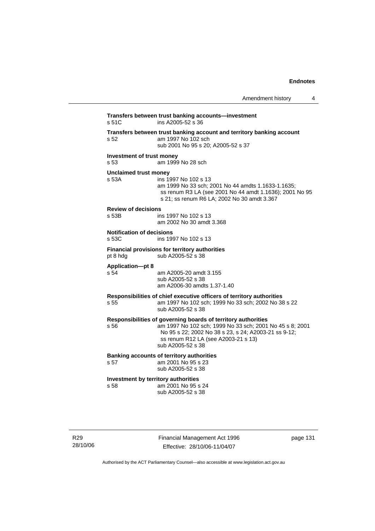| Amendment history |  |
|-------------------|--|
|-------------------|--|

| s <sub>52</sub><br>Investment of trust money<br>s 53<br><b>Unclaimed trust money</b><br>s 53A<br><b>Review of decisions</b><br>s 53B<br><b>Notification of decisions</b><br>s 53C<br>pt 8 hdg<br><b>Application-pt 8</b><br>s <sub>54</sub> | Transfers between trust banking account and territory banking account<br>am 1997 No 102 sch<br>sub 2001 No 95 s 20; A2005-52 s 37<br>am 1999 No 28 sch<br>ins 1997 No 102 s 13<br>am 1999 No 33 sch; 2001 No 44 amdts 1.1633-1.1635;<br>ss renum R3 LA (see 2001 No 44 amdt 1.1636); 2001 No 95<br>s 21; ss renum R6 LA; 2002 No 30 amdt 3.367<br>ins 1997 No 102 s 13<br>am 2002 No 30 amdt 3.368<br>ins 1997 No 102 s 13<br>Financial provisions for territory authorities<br>sub A2005-52 s 38<br>am A2005-20 amdt 3.155<br>sub A2005-52 s 38 |
|---------------------------------------------------------------------------------------------------------------------------------------------------------------------------------------------------------------------------------------------|--------------------------------------------------------------------------------------------------------------------------------------------------------------------------------------------------------------------------------------------------------------------------------------------------------------------------------------------------------------------------------------------------------------------------------------------------------------------------------------------------------------------------------------------------|
|                                                                                                                                                                                                                                             |                                                                                                                                                                                                                                                                                                                                                                                                                                                                                                                                                  |
|                                                                                                                                                                                                                                             |                                                                                                                                                                                                                                                                                                                                                                                                                                                                                                                                                  |
|                                                                                                                                                                                                                                             |                                                                                                                                                                                                                                                                                                                                                                                                                                                                                                                                                  |
|                                                                                                                                                                                                                                             |                                                                                                                                                                                                                                                                                                                                                                                                                                                                                                                                                  |
|                                                                                                                                                                                                                                             |                                                                                                                                                                                                                                                                                                                                                                                                                                                                                                                                                  |
|                                                                                                                                                                                                                                             |                                                                                                                                                                                                                                                                                                                                                                                                                                                                                                                                                  |
|                                                                                                                                                                                                                                             | am A2006-30 amdts 1.37-1.40                                                                                                                                                                                                                                                                                                                                                                                                                                                                                                                      |
| s 55                                                                                                                                                                                                                                        | Responsibilities of chief executive officers of territory authorities<br>am 1997 No 102 sch; 1999 No 33 sch; 2002 No 38 s 22<br>sub A2005-52 s 38                                                                                                                                                                                                                                                                                                                                                                                                |
| s 56                                                                                                                                                                                                                                        | Responsibilities of governing boards of territory authorities<br>am 1997 No 102 sch; 1999 No 33 sch; 2001 No 45 s 8; 2001<br>No 95 s 22; 2002 No 38 s 23, s 24; A2003-21 ss 9-12;<br>ss renum R12 LA (see A2003-21 s 13)<br>sub A2005-52 s 38                                                                                                                                                                                                                                                                                                    |
| s 57                                                                                                                                                                                                                                        | <b>Banking accounts of territory authorities</b><br>am 2001 No 95 s 23<br>sub A2005-52 s 38                                                                                                                                                                                                                                                                                                                                                                                                                                                      |
| Investment by territory authorities<br>s 58                                                                                                                                                                                                 | am 2001 No 95 s 24<br>sub A2005-52 s 38                                                                                                                                                                                                                                                                                                                                                                                                                                                                                                          |

R29 28/10/06 Financial Management Act 1996 Effective: 28/10/06-11/04/07

page 131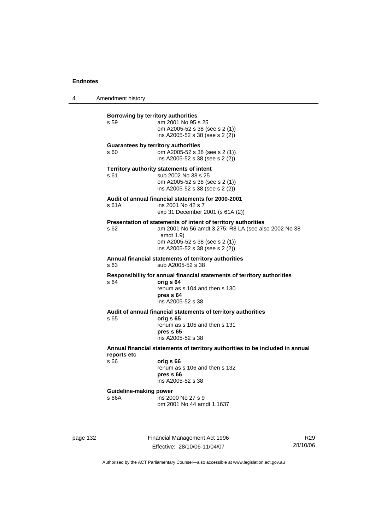4 Amendment history

| Borrowing by territory authorities<br>s 59         | am 2001 No 95 s 25<br>om A2005-52 s 38 (see s 2 (1))<br>ins A2005-52 s 38 (see s 2 (2))                                                                                                                 |
|----------------------------------------------------|---------------------------------------------------------------------------------------------------------------------------------------------------------------------------------------------------------|
| <b>Guarantees by territory authorities</b><br>s 60 | om A2005-52 s 38 (see s 2 (1))<br>ins A2005-52 s 38 (see s 2 (2))                                                                                                                                       |
| s 61                                               | Territory authority statements of intent<br>sub 2002 No 38 s 25<br>om A2005-52 s 38 (see s 2 (1))<br>ins A2005-52 s 38 (see s 2 (2))                                                                    |
| s 61A                                              | Audit of annual financial statements for 2000-2001<br>ins 2001 No 42 s 7<br>exp 31 December 2001 (s 61A (2))                                                                                            |
| s 62                                               | Presentation of statements of intent of territory authorities<br>am 2001 No 56 amdt 3.275; R8 LA (see also 2002 No 38<br>amdt 1.9)<br>om A2005-52 s 38 (see s 2 (1))<br>ins A2005-52 s 38 (see s 2 (2)) |
| s63                                                | Annual financial statements of territory authorities<br>sub A2005-52 s 38                                                                                                                               |
| s 64                                               | Responsibility for annual financial statements of territory authorities<br>orig s 64<br>renum as s 104 and then s 130<br>pres s 64<br>ins A2005-52 s 38                                                 |
| s 65                                               | Audit of annual financial statements of territory authorities<br>orig s 65<br>renum as s 105 and then s 131<br>pres s 65<br>ins A2005-52 s 38                                                           |
| reports etc                                        | Annual financial statements of territory authorities to be included in annual                                                                                                                           |
| s 66                                               | orig s 66<br>renum as s 106 and then s 132<br>pres <sub>66</sub><br>ins A2005-52 s 38                                                                                                                   |
| <b>Guideline-making power</b><br>s 66A             | ins 2000 No 27 s 9<br>om 2001 No 44 amdt 1.1637                                                                                                                                                         |
|                                                    |                                                                                                                                                                                                         |

page 132 Financial Management Act 1996 Effective: 28/10/06-11/04/07

R29 28/10/06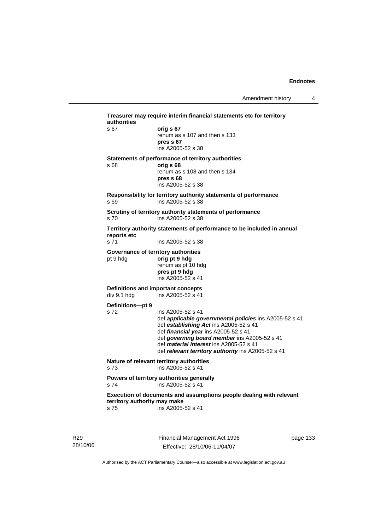| authorities<br>s 67          | orig s 67                                                                      |
|------------------------------|--------------------------------------------------------------------------------|
|                              | renum as s 107 and then s 133                                                  |
|                              | pres s 67                                                                      |
|                              | ins A2005-52 s 38                                                              |
|                              | Statements of performance of territory authorities                             |
| s 68                         | orig s 68<br>renum as s 108 and then s 134                                     |
|                              | pres s 68                                                                      |
|                              | ins A2005-52 s 38                                                              |
|                              | Responsibility for territory authority statements of performance               |
| s 69                         | ins A2005-52 s 38                                                              |
|                              | Scrutiny of territory authority statements of performance                      |
| s <sub>70</sub>              | ins A2005-52 s 38                                                              |
| reports etc                  | Territory authority statements of performance to be included in annual         |
| s 71                         | ins A2005-52 s 38                                                              |
|                              | Governance of territory authorities                                            |
| pt 9 hdg                     | orig pt 9 hdg                                                                  |
|                              | renum as pt 10 hdg<br>pres pt 9 hdg                                            |
|                              | ins A2005-52 s 41                                                              |
|                              | Definitions and important concepts                                             |
| div 9.1 hdg                  | ins A2005-52 s 41                                                              |
| Definitions-pt 9             |                                                                                |
| s 72                         | ins A2005-52 s 41                                                              |
|                              | def applicable governmental policies ins A2005-52 s 41                         |
|                              | def establishing Act ins A2005-52 s 41<br>def financial year ins A2005-52 s 41 |
|                              | def governing board member ins A2005-52 s 41                                   |
|                              | def <i>material interest</i> ins A2005-52 s 41                                 |
|                              | def relevant territory authority ins A2005-52 s 41                             |
| s <sub>73</sub>              | Nature of relevant territory authorities<br>ins A2005-52 s 41                  |
|                              | Powers of territory authorities generally                                      |
| s 74                         | ins A2005-52 s 41                                                              |
| territory authority may make | Execution of documents and assumptions people dealing with relevant            |
| s 75                         | ins A2005-52 s 41                                                              |

R29 28/10/06 Financial Management Act 1996 Effective: 28/10/06-11/04/07

page 133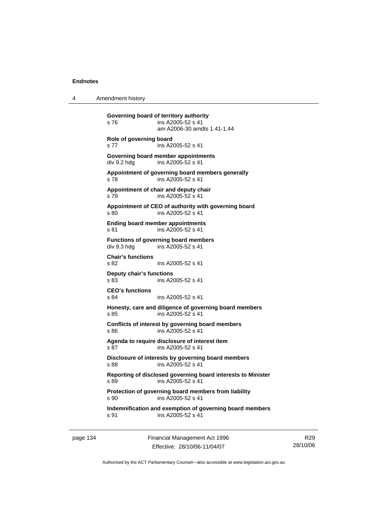4 Amendment history

**Governing board of territory authority**  s 76 ins A2005-52 s 41 am A2006-30 amdts 1.41-1.44 **Role of governing board**  s 77 ins A2005-52 s 41 **Governing board member appointments**  div 9.2 hdg ins A2005-52 s 41 **Appointment of governing board members generally**  s 78 ins A2005-52 s 41 **Appointment of chair and deputy chair**  s 79 ins A2005-52 s 41 **Appointment of CEO of authority with governing board**  s 80 ins A2005-52 s 41 **Ending board member appointments**  s 81 ins A2005-52 s 41 **Functions of governing board members**  div 9.3 hdg ins A2005-52 s 41 **Chair's functions**  s 82 ins A2005-52 s 41 **Deputy chair's functions**  ins A2005-52 s 41 **CEO's functions**  s 84 ins A2005-52 s 41 **Honesty, care and diligence of governing board members**  s 85 ins A2005-52 s 41 **Conflicts of interest by governing board members**  s 86 ins A2005-52 s 41 **Agenda to require disclosure of interest item**  s 87 ins A2005-52 s 41 **Disclosure of interests by governing board members**  s 88 ins A2005-52 s 41 **Reporting of disclosed governing board interests to Minister**  s 89 ins A2005-52 s 41 **Protection of governing board members from liability**  s 90 ins A2005-52 s 41 **Indemnification and exemption of governing board members**  s 91 ins A2005-52 s 41

page 134 Financial Management Act 1996 Effective: 28/10/06-11/04/07

R29 28/10/06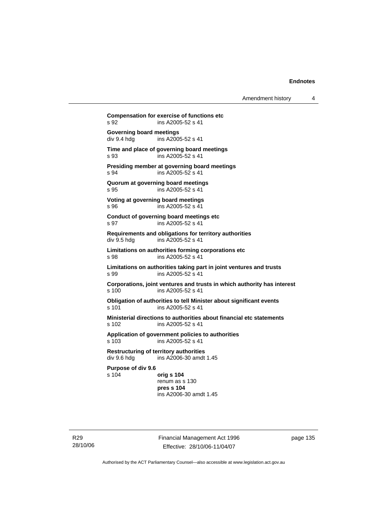Amendment history 4

**Compensation for exercise of functions etc**  s 92 ins A2005-52 s 41 **Governing board meetings**<br>div 9.4 hdg ins A200 ins A2005-52 s 41 **Time and place of governing board meetings**  s 93 ins A2005-52 s 41 **Presiding member at governing board meetings**  s 94 ins A2005-52 s 41 **Quorum at governing board meetings**  s 95 ins A2005-52 s 41 **Voting at governing board meetings**  s 96 ins A2005-52 s 41 **Conduct of governing board meetings etc**  s 97 ins A2005-52 s 41 **Requirements and obligations for territory authorities**  div 9.5 hdg ins A2005-52 s 41 **Limitations on authorities forming corporations etc**  s 98 ins A2005-52 s 41 **Limitations on authorities taking part in joint ventures and trusts**  s 99 ins A2005-52 s 41 **Corporations, joint ventures and trusts in which authority has interest**  s 100 ins A2005-52 s 41 **Obligation of authorities to tell Minister about significant events**  s 101 ins A2005-52 s 41 **Ministerial directions to authorities about financial etc statements**  s 102 ins A2005-52 s 41 **Application of government policies to authorities**  s 103 ins A2005-52 s 41 **Restructuring of territory authorities**  ins  $A2006-30$  amdt 1.45 **Purpose of div 9.6**  s 104 **orig s 104** renum as s 130 **pres s 104**  ins A2006-30 amdt 1.45

R29 28/10/06 Financial Management Act 1996 Effective: 28/10/06-11/04/07

page 135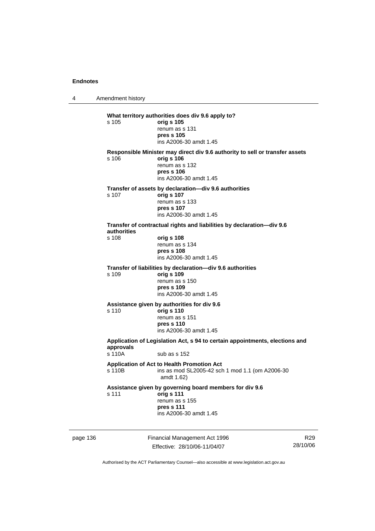4 Amendment history

|          | s 105                                                                                                              | What territory authorities does div 9.6 apply to?<br>orig s 105<br>renum as s 131<br>pres s 105<br>ins A2006-30 amdt 1.45                            |   |
|----------|--------------------------------------------------------------------------------------------------------------------|------------------------------------------------------------------------------------------------------------------------------------------------------|---|
|          | s 106                                                                                                              | Responsible Minister may direct div 9.6 authority to sell or transfer assets<br>orig s 106<br>renum as s 132<br>pres s 106<br>ins A2006-30 amdt 1.45 |   |
|          | s 107                                                                                                              | Transfer of assets by declaration—div 9.6 authorities<br>orig s 107<br>renum as s 133<br>pres s 107<br>ins A2006-30 amdt 1.45                        |   |
|          | authorities<br>s 108                                                                                               | Transfer of contractual rights and liabilities by declaration-div 9.6<br>orig s 108<br>renum as s 134<br>pres s 108<br>ins A2006-30 amdt 1.45        |   |
|          | s 109                                                                                                              | Transfer of liabilities by declaration-div 9.6 authorities<br>orig s 109<br>renum as s 150<br>pres s 109<br>ins A2006-30 amdt 1.45                   |   |
|          | s 110                                                                                                              | Assistance given by authorities for div 9.6<br>orig s 110<br>renum as s 151<br>pres s 110<br>ins A2006-30 amdt 1.45                                  |   |
|          | Application of Legislation Act, s 94 to certain appointments, elections and<br>approvals<br>s 110A<br>sub as s 152 |                                                                                                                                                      |   |
|          | s 110B                                                                                                             | Application of Act to Health Promotion Act<br>ins as mod SL2005-42 sch 1 mod 1.1 (om A2006-30<br>amdt 1.62)                                          |   |
|          | s 111                                                                                                              | Assistance given by governing board members for div 9.6<br>orig s 111<br>renum as s 155<br>pres s 111<br>ins A2006-30 amdt 1.45                      |   |
| page 136 |                                                                                                                    | Financial Management Act 1996                                                                                                                        | R |

Effective: 28/10/06-11/04/07

R29 28/10/06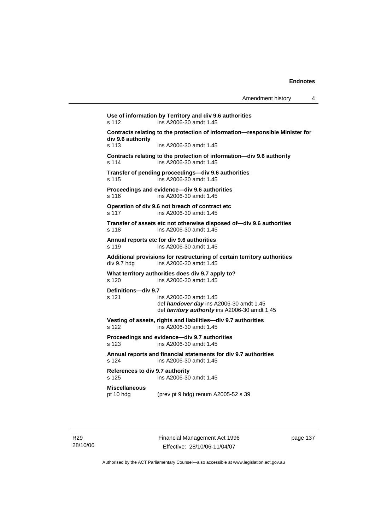| Amendment history |  |
|-------------------|--|
|-------------------|--|

**Use of information by Territory and div 9.6 authorities**  s 112 ins A2006-30 amdt 1.45 **Contracts relating to the protection of information—responsible Minister for div 9.6 authority**  s 113 ins A2006-30 amdt 1.45 **Contracts relating to the protection of information—div 9.6 authority**  s 114 ins A2006-30 amdt 1.45 **Transfer of pending proceedings—div 9.6 authorities**  s 115 ins A2006-30 amdt 1.45 **Proceedings and evidence—div 9.6 authorities**  s 116 ins A2006-30 amdt 1.45 **Operation of div 9.6 not breach of contract etc**  s 117 ins A2006-30 amdt 1.45 **Transfer of assets etc not otherwise disposed of—div 9.6 authorities**  s 118 ins A2006-30 amdt 1.45 **Annual reports etc for div 9.6 authorities**  s 119 ins A2006-30 amdt 1.45 **Additional provisions for restructuring of certain territory authorities**  div 9.7 hdg ins A2006-30 amdt 1.45 **What territory authorities does div 9.7 apply to?**  s 120 ins A2006-30 amdt 1.45 **Definitions—div 9.7**  s 121 ins A2006-30 amdt 1.45 def *handover day* ins A2006-30 amdt 1.45 def *territory authority* ins A2006-30 amdt 1.45 **Vesting of assets, rights and liabilities—div 9.7 authorities**  s 122 ins A2006-30 amdt 1.45 **Proceedings and evidence—div 9.7 authorities**  s 123 ins A2006-30 amdt 1.45 **Annual reports and financial statements for div 9.7 authorities**  s 124 ins A2006-30 amdt 1.45 **References to div 9.7 authority**  ins A2006-30 amdt 1.45 **Miscellaneous**  pt 10 hdg (prev pt 9 hdg) renum A2005-52 s 39

Financial Management Act 1996 Effective: 28/10/06-11/04/07

page 137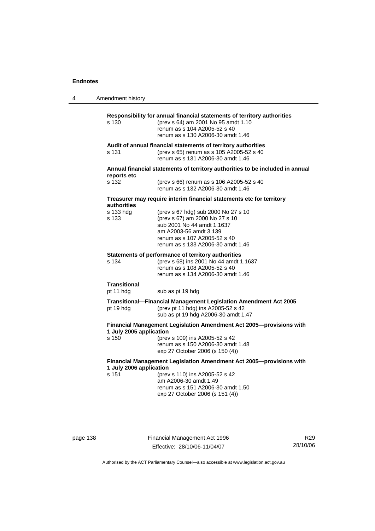4 Amendment history

| s 130                                                                                             | Responsibility for annual financial statements of territory authorities<br>(prev s 64) am 2001 No 95 amdt 1.10<br>renum as s 104 A2005-52 s 40<br>renum as s 130 A2006-30 amdt 1.46                |  |
|---------------------------------------------------------------------------------------------------|----------------------------------------------------------------------------------------------------------------------------------------------------------------------------------------------------|--|
| s 131                                                                                             | Audit of annual financial statements of territory authorities<br>(prev s 65) renum as s 105 A2005-52 s 40<br>renum as s 131 A2006-30 amdt 1.46                                                     |  |
|                                                                                                   | Annual financial statements of territory authorities to be included in annual                                                                                                                      |  |
| reports etc<br>s 132                                                                              | (prev s 66) renum as s 106 A2005-52 s 40<br>renum as s 132 A2006-30 amdt 1.46                                                                                                                      |  |
| Treasurer may require interim financial statements etc for territory<br>authorities               |                                                                                                                                                                                                    |  |
| s 133 hdg<br>s 133                                                                                | (prev s 67 hdg) sub 2000 No 27 s 10<br>(prev s 67) am 2000 No 27 s 10<br>sub 2001 No 44 amdt 1.1637<br>am A2003-56 amdt 3.139<br>renum as s 107 A2005-52 s 40<br>renum as s 133 A2006-30 amdt 1.46 |  |
| s 134                                                                                             | Statements of performance of territory authorities<br>(prev s 68) ins 2001 No 44 amdt 1.1637<br>renum as s 108 A2005-52 s 40<br>renum as s 134 A2006-30 amdt 1.46                                  |  |
| <b>Transitional</b><br>pt 11 hdg                                                                  | sub as pt 19 hdg                                                                                                                                                                                   |  |
| pt 19 hdg                                                                                         | Transitional—Financial Management Legislation Amendment Act 2005<br>(prev pt 11 hdg) ins A2005-52 s 42<br>sub as pt 19 hdg A2006-30 amdt 1.47                                                      |  |
| Financial Management Legislation Amendment Act 2005--- provisions with<br>1 July 2005 application |                                                                                                                                                                                                    |  |
| s 150                                                                                             | (prev s 109) ins A2005-52 s 42<br>renum as s 150 A2006-30 amdt 1.48<br>exp 27 October 2006 (s 150 (4))                                                                                             |  |
| Financial Management Legislation Amendment Act 2005-provisions with<br>1 July 2006 application    |                                                                                                                                                                                                    |  |
| s 151                                                                                             | (prev s 110) ins A2005-52 s 42<br>am A2006-30 amdt 1.49<br>renum as s 151 A2006-30 amdt 1.50<br>exp 27 October 2006 (s 151 (4))                                                                    |  |

page 138 Financial Management Act 1996 Effective: 28/10/06-11/04/07

R29 28/10/06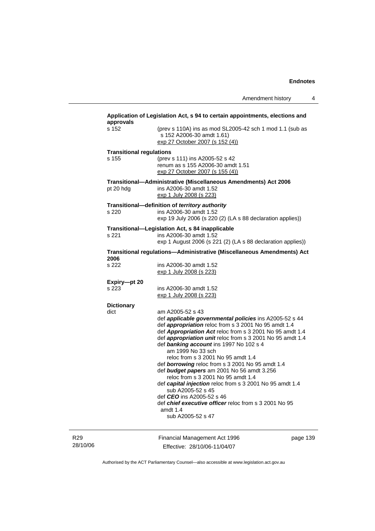| s 152                           | (prev s 110A) ins as mod SL2005-42 sch 1 mod 1.1 (sub as<br>s 152 A2006-30 amdt 1.61)<br>exp 27 October 2007 (s 152 (4))                                                                                                                                                                                                                                                                                                                                                                                                                                                                                                                                                                                     |          |
|---------------------------------|--------------------------------------------------------------------------------------------------------------------------------------------------------------------------------------------------------------------------------------------------------------------------------------------------------------------------------------------------------------------------------------------------------------------------------------------------------------------------------------------------------------------------------------------------------------------------------------------------------------------------------------------------------------------------------------------------------------|----------|
| <b>Transitional regulations</b> |                                                                                                                                                                                                                                                                                                                                                                                                                                                                                                                                                                                                                                                                                                              |          |
| s 155                           | (prev s 111) ins A2005-52 s 42<br>renum as s 155 A2006-30 amdt 1.51<br>exp 27 October 2007 (s 155 (4))                                                                                                                                                                                                                                                                                                                                                                                                                                                                                                                                                                                                       |          |
| pt 20 hdg                       | Transitional-Administrative (Miscellaneous Amendments) Act 2006<br>ins A2006-30 amdt 1.52<br>exp 1 July 2008 (s 223)                                                                                                                                                                                                                                                                                                                                                                                                                                                                                                                                                                                         |          |
|                                 | Transitional-definition of territory authority                                                                                                                                                                                                                                                                                                                                                                                                                                                                                                                                                                                                                                                               |          |
| s 220                           | ins A2006-30 amdt 1.52<br>exp 19 July 2006 (s 220 (2) (LA s 88 declaration applies))                                                                                                                                                                                                                                                                                                                                                                                                                                                                                                                                                                                                                         |          |
| s 221                           | Transitional-Legislation Act, s 84 inapplicable<br>ins A2006-30 amdt 1.52<br>exp 1 August 2006 (s 221 (2) (LA s 88 declaration applies))                                                                                                                                                                                                                                                                                                                                                                                                                                                                                                                                                                     |          |
| 2006                            | Transitional regulations—Administrative (Miscellaneous Amendments) Act                                                                                                                                                                                                                                                                                                                                                                                                                                                                                                                                                                                                                                       |          |
| s 222                           | ins A2006-30 amdt 1.52<br><u>exp 1 July 2008 (s 223)</u>                                                                                                                                                                                                                                                                                                                                                                                                                                                                                                                                                                                                                                                     |          |
| Expiry-pt 20                    |                                                                                                                                                                                                                                                                                                                                                                                                                                                                                                                                                                                                                                                                                                              |          |
| s 223                           | ins A2006-30 amdt 1.52<br>exp 1 July 2008 (s 223)                                                                                                                                                                                                                                                                                                                                                                                                                                                                                                                                                                                                                                                            |          |
| <b>Dictionary</b>               |                                                                                                                                                                                                                                                                                                                                                                                                                                                                                                                                                                                                                                                                                                              |          |
| dict                            | am A2005-52 s 43<br>def applicable governmental policies ins A2005-52 s 44<br>def <i>appropriation</i> reloc from s 3 2001 No 95 amdt 1.4<br>def Appropriation Act reloc from s 3 2001 No 95 amdt 1.4<br>def <b>appropriation unit</b> reloc from s 3 2001 No 95 amdt 1.4<br>def banking account ins 1997 No 102 s 4<br>am 1999 No 33 sch<br>reloc from s 3 2001 No 95 amdt 1.4<br>def borrowing reloc from s 3 2001 No 95 amdt 1.4<br>def budget papers am 2001 No 56 amdt 3.256<br>reloc from s 3 2001 No 95 amdt 1.4<br>def capital injection reloc from s 3 2001 No 95 amdt 1.4<br>sub A2005-52 s 45<br>def <i>CEO</i> ins A2005-52 s 46<br>def <i>chief executive officer</i> reloc from s 3 2001 No 95 |          |
|                                 | amdt 1.4<br>sub A2005-52 s 47                                                                                                                                                                                                                                                                                                                                                                                                                                                                                                                                                                                                                                                                                |          |
|                                 | Financial Management Act 1996                                                                                                                                                                                                                                                                                                                                                                                                                                                                                                                                                                                                                                                                                | page 139 |

28/10/06

R29

Effective: 28/10/06-11/04/07

page 139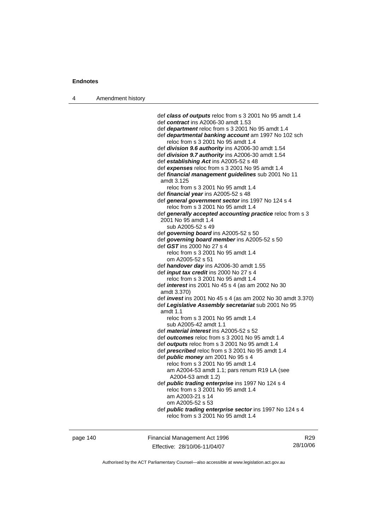4 Amendment history

 def *class of outputs* reloc from s 3 2001 No 95 amdt 1.4 def *contract* ins A2006-30 amdt 1.53 def *department* reloc from s 3 2001 No 95 amdt 1.4 def *departmental banking account* am 1997 No 102 sch reloc from s 3 2001 No 95 amdt 1.4 def *division 9.6 authority* ins A2006-30 amdt 1.54 def *division 9.7 authority* ins A2006-30 amdt 1.54 def *establishing Act* ins A2005-52 s 48 def *expenses* reloc from s 3 2001 No 95 amdt 1.4 def *financial management guidelines* sub 2001 No 11 amdt 3.125 reloc from s 3 2001 No 95 amdt 1.4 def *financial year* ins A2005-52 s 48 def *general government sector* ins 1997 No 124 s 4 reloc from s 3 2001 No 95 amdt 1.4 def *generally accepted accounting practice* reloc from s 3 2001 No 95 amdt 1.4 sub A2005-52 s 49 def *governing board* ins A2005-52 s 50 def *governing board member* ins A2005-52 s 50 def *GST* ins 2000 No 27 s 4 reloc from s 3 2001 No 95 amdt 1.4 om A2005-52 s 51 def *handover day* ins A2006-30 amdt 1.55 def *input tax credit* ins 2000 No 27 s 4 reloc from s 3 2001 No 95 amdt 1.4 def *interest* ins 2001 No 45 s 4 (as am 2002 No 30 amdt 3.370) def *invest* ins 2001 No 45 s 4 (as am 2002 No 30 amdt 3.370) def *Legislative Assembly secretariat* sub 2001 No 95 amdt 1.1 reloc from s 3 2001 No 95 amdt 1.4 sub A2005-42 amdt 1.1 def *material interest* ins A2005-52 s 52 def *outcomes* reloc from s 3 2001 No 95 amdt 1.4 def *outputs* reloc from s 3 2001 No 95 amdt 1.4 def *prescribed* reloc from s 3 2001 No 95 amdt 1.4 def *public money* am 2001 No 95 s 4 reloc from s 3 2001 No 95 amdt 1.4 am A2004-53 amdt 1.1; pars renum R19 LA (see A2004-53 amdt 1.2) def *public trading enterprise* ins 1997 No 124 s 4 reloc from s 3 2001 No 95 amdt 1.4 am A2003-21 s 14 om A2005-52 s 53 def *public trading enterprise sector* ins 1997 No 124 s 4 reloc from s 3 2001 No 95 amdt 1.4

page 140 Financial Management Act 1996 Effective: 28/10/06-11/04/07

R29 28/10/06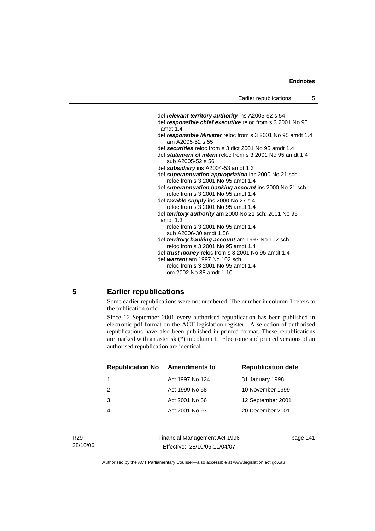def *relevant territory authority* ins A2005-52 s 54 def *responsible chief executive* reloc from s 3 2001 No 95 amdt 1.4 def *responsible Minister* reloc from s 3 2001 No 95 amdt 1.4 am A2005-52 s 55 def *securities* reloc from s 3 dict 2001 No 95 amdt 1.4 def *statement of intent* reloc from s 3 2001 No 95 amdt 1.4 sub A2005-52 s 56 def *subsidiary* ins A2004-53 amdt 1.3 def *superannuation appropriation* ins 2000 No 21 sch reloc from s 3 2001 No 95 amdt 1.4 def *superannuation banking account* ins 2000 No 21 sch reloc from s 3 2001 No 95 amdt 1.4 def *taxable supply* ins 2000 No 27 s 4 reloc from s 3 2001 No 95 amdt 1.4 def *territory authority* am 2000 No 21 sch; 2001 No 95 amdt 1.3 reloc from s 3 2001 No 95 amdt 1.4 sub A2006-30 amdt 1.56 def *territory banking account* am 1997 No 102 sch reloc from s 3 2001 No 95 amdt 1.4 def *trust money* reloc from s 3 2001 No 95 amdt 1.4 def *warrant* am 1997 No 102 sch reloc from s 3 2001 No 95 amdt 1.4 om 2002 No 38 amdt 1.10

## **5 Earlier republications**

Some earlier republications were not numbered. The number in column 1 refers to the publication order.

Since 12 September 2001 every authorised republication has been published in electronic pdf format on the ACT legislation register. A selection of authorised republications have also been published in printed format. These republications are marked with an asterisk (\*) in column 1. Electronic and printed versions of an authorised republication are identical.

| <b>Republication No</b> | <b>Amendments to</b> | <b>Republication date</b> |
|-------------------------|----------------------|---------------------------|
|                         | Act 1997 No 124      | 31 January 1998           |
| $\mathcal{P}$           | Act 1999 No 58       | 10 November 1999          |
| 3                       | Act 2001 No 56       | 12 September 2001         |
|                         | Act 2001 No 97       | 20 December 2001          |
|                         |                      |                           |

Financial Management Act 1996 Effective: 28/10/06-11/04/07

page 141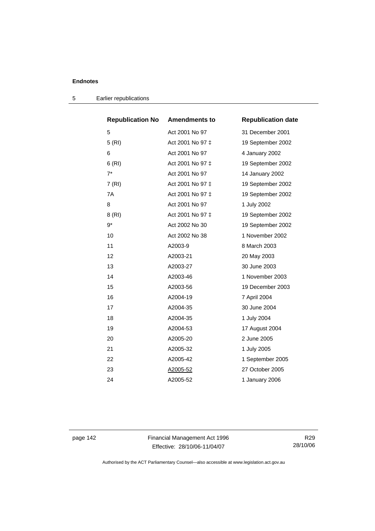| <b>Republication No</b> | <b>Amendments to</b> | <b>Republication date</b> |
|-------------------------|----------------------|---------------------------|
| 5                       | Act 2001 No 97       | 31 December 2001          |
| 5(RI)                   | Act 2001 No 97 ‡     | 19 September 2002         |
| 6                       | Act 2001 No 97       | 4 January 2002            |
| 6(RI)                   | Act 2001 No 97 ‡     | 19 September 2002         |
| $7^*$                   | Act 2001 No 97       | 14 January 2002           |
| 7 (RI)                  | Act 2001 No 97 ‡     | 19 September 2002         |
| 7A                      | Act 2001 No 97 ‡     | 19 September 2002         |
| 8                       | Act 2001 No 97       | 1 July 2002               |
| 8 (RI)                  | Act 2001 No 97 ‡     | 19 September 2002         |
| 9*                      | Act 2002 No 30       | 19 September 2002         |
| 10                      | Act 2002 No 38       | 1 November 2002           |
| 11                      | A2003-9              | 8 March 2003              |
| 12                      | A2003-21             | 20 May 2003               |
| 13                      | A2003-27             | 30 June 2003              |
| 14                      | A2003-46             | 1 November 2003           |
| 15                      | A2003-56             | 19 December 2003          |
| 16                      | A2004-19             | 7 April 2004              |
| 17                      | A2004-35             | 30 June 2004              |
| 18                      | A2004-35             | 1 July 2004               |
| 19                      | A2004-53             | 17 August 2004            |
| 20                      | A2005-20             | 2 June 2005               |
| 21                      | A2005-32             | 1 July 2005               |
| 22                      | A2005-42             | 1 September 2005          |
| 23                      | A2005-52             | 27 October 2005           |
| 24                      | A2005-52             | 1 January 2006            |

5 Earlier republications

page 142 Financial Management Act 1996 Effective: 28/10/06-11/04/07

R29 28/10/06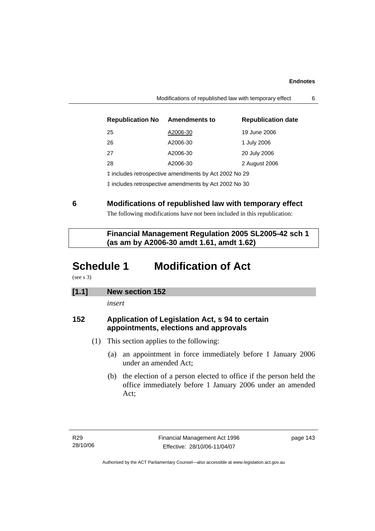| <b>Republication No</b>                               | <b>Amendments to</b> | <b>Republication date</b> |
|-------------------------------------------------------|----------------------|---------------------------|
| 25                                                    | A2006-30             | 19 June 2006              |
| 26                                                    | A2006-30             | 1 July 2006               |
| 27                                                    | A2006-30             | 20 July 2006              |
| 28                                                    | A2006-30             | 2 August 2006             |
| t includes retrospective amendments by Act 2002 No 29 |                      |                           |
| t includes retrospective amendments by Act 2002 No 30 |                      |                           |

Modifications of republished law with temporary effect 6

**6 Modifications of republished law with temporary effect** 

The following modifications have not been included in this republication:

 **Financial Management Regulation 2005 SL2005-42 sch 1 (as am by A2006-30 amdt 1.61, amdt 1.62)** 

# **Schedule 1 Modification of Act**

(see s 3)

| [1.1] | <b>New section 152</b> |
|-------|------------------------|
|-------|------------------------|

*insert* 

# **152 Application of Legislation Act, s 94 to certain appointments, elections and approvals**

- (1) This section applies to the following:
	- (a) an appointment in force immediately before 1 January 2006 under an amended Act;
	- (b) the election of a person elected to office if the person held the office immediately before 1 January 2006 under an amended Act;

page 143